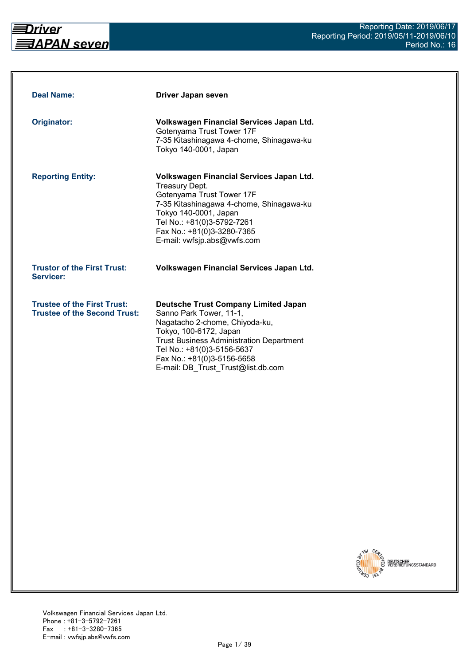

| <b>Deal Name:</b>                                                         | Driver Japan seven                                                                                                                                                                                                                                                                      |
|---------------------------------------------------------------------------|-----------------------------------------------------------------------------------------------------------------------------------------------------------------------------------------------------------------------------------------------------------------------------------------|
| Originator:                                                               | Volkswagen Financial Services Japan Ltd.<br>Gotenyama Trust Tower 17F<br>7-35 Kitashinagawa 4-chome, Shinagawa-ku<br>Tokyo 140-0001, Japan                                                                                                                                              |
| <b>Reporting Entity:</b>                                                  | Volkswagen Financial Services Japan Ltd.<br><b>Treasury Dept.</b><br>Gotenyama Trust Tower 17F<br>7-35 Kitashinagawa 4-chome, Shinagawa-ku<br>Tokyo 140-0001, Japan<br>Tel No.: +81(0)3-5792-7261<br>Fax No.: +81(0)3-3280-7365<br>E-mail: vwfsjp.abs@vwfs.com                          |
| <b>Trustor of the First Trust:</b><br>Servicer:                           | Volkswagen Financial Services Japan Ltd.                                                                                                                                                                                                                                                |
| <b>Trustee of the First Trust:</b><br><b>Trustee of the Second Trust:</b> | <b>Deutsche Trust Company Limited Japan</b><br>Sanno Park Tower, 11-1,<br>Nagatacho 2-chome, Chiyoda-ku,<br>Tokyo, 100-6172, Japan<br><b>Trust Business Administration Department</b><br>Tel No.: +81(0)3-5156-5637<br>Fax No.: +81(0)3-5156-5658<br>E-mail: DB Trust Trust@list.db.com |

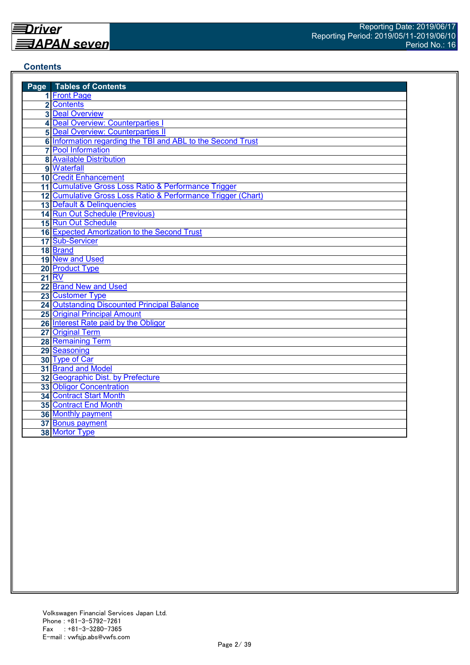## **Contents**

| <b>Page</b> Tables of Contents                               |
|--------------------------------------------------------------|
| 1 Front Page                                                 |
| 2 Contents                                                   |
| <b>3 Deal Overview</b>                                       |
| 4 Deal Overview: Counterparties I                            |
| <b>5 Deal Overview: Counterparties II</b>                    |
| 6 Information regarding the TBI and ABL to the Second Trust  |
| <b>7</b> Pool Information                                    |
| <b>8 Available Distribution</b>                              |
| 9 Waterfall                                                  |
| <b>10 Credit Enhancement</b>                                 |
| 11 Cumulative Gross Loss Ratio & Performance Trigger         |
| 12 Cumulative Gross Loss Ratio & Performance Trigger (Chart) |
| 13 Default & Delinquencies                                   |
| 14 Run Out Schedule (Previous)                               |
| 15 Run Out Schedule                                          |
| 16 Expected Amortization to the Second Trust                 |
| 17 Sub-Servicer                                              |
| 18 Brand                                                     |
| 19 New and Used                                              |
| 20 Product Type                                              |
| <b>21 RV</b>                                                 |
| 22 Brand New and Used                                        |
| 23 Customer Type                                             |
| <b>24 Outstanding Discounted Principal Balance</b>           |
| 25 Original Principal Amount                                 |
| 26 Interest Rate paid by the Obligor                         |
| 27 Original Term                                             |
| 28 Remaining Term                                            |
| 29 Seasoning                                                 |
| 30 Type of Car                                               |
| 31 Brand and Model                                           |
| 32 Geographic Dist. by Prefecture                            |
| <b>33 Obligor Concentration</b>                              |
| <b>34 Contract Start Month</b>                               |
| 35 Contract End Month                                        |
| 36 Monthly payment                                           |
| 37 Bonus payment                                             |
| 38 Mortor Type                                               |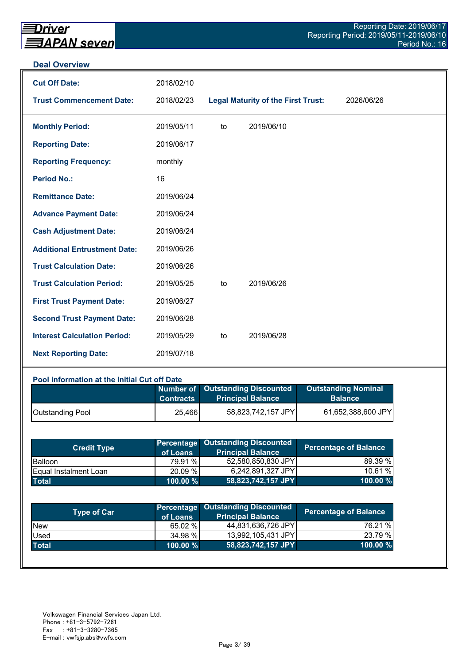#### **Deal Overview**

| <b>Cut Off Date:</b>                | 2018/02/10 |    |                                           |            |
|-------------------------------------|------------|----|-------------------------------------------|------------|
| <b>Trust Commencement Date:</b>     | 2018/02/23 |    | <b>Legal Maturity of the First Trust:</b> | 2026/06/26 |
| <b>Monthly Period:</b>              | 2019/05/11 | to | 2019/06/10                                |            |
| <b>Reporting Date:</b>              | 2019/06/17 |    |                                           |            |
| <b>Reporting Frequency:</b>         | monthly    |    |                                           |            |
| <b>Period No.:</b>                  | 16         |    |                                           |            |
| <b>Remittance Date:</b>             | 2019/06/24 |    |                                           |            |
| <b>Advance Payment Date:</b>        | 2019/06/24 |    |                                           |            |
| <b>Cash Adjustment Date:</b>        | 2019/06/24 |    |                                           |            |
| <b>Additional Entrustment Date:</b> | 2019/06/26 |    |                                           |            |
| <b>Trust Calculation Date:</b>      | 2019/06/26 |    |                                           |            |
| <b>Trust Calculation Period:</b>    | 2019/05/25 | to | 2019/06/26                                |            |
| <b>First Trust Payment Date:</b>    | 2019/06/27 |    |                                           |            |
| <b>Second Trust Payment Date:</b>   | 2019/06/28 |    |                                           |            |
| <b>Interest Calculation Period:</b> | 2019/05/29 | to | 2019/06/28                                |            |
| <b>Next Reporting Date:</b>         | 2019/07/18 |    |                                           |            |

## **Pool information at the Initial Cut off Date**

|                  | <b>Contracts</b> | Number of Outstanding Discounted<br><b>Principal Balance</b> | <b>Outstanding Nominal</b><br><b>Balance</b> |
|------------------|------------------|--------------------------------------------------------------|----------------------------------------------|
| Outstanding Pool | 25,466           | 58,823,742,157 JPY                                           | 61,652,388,600 JPY                           |

| <b>Credit Type</b>            | of Loans    | <b>Percentage Outstanding Discounted</b><br><b>Principal Balance</b> | <b>Percentage of Balance</b> |
|-------------------------------|-------------|----------------------------------------------------------------------|------------------------------|
| <b>Balloon</b>                | 79.91 %     | 52,580,850,830 JPY                                                   | 89.39 %                      |
| <b>IEqual Instalment Loan</b> | 20.09 %     | 6,242,891,327 JPY                                                    | 10.61%                       |
| <b>Total</b>                  | $100.00 \%$ | 58,823,742,157 JPY                                                   | $100.00 \%$                  |

| <b>Type of Car</b> | of Loans    | <b>Percentage Outstanding Discounted</b><br><b>Principal Balance</b> | <b>Percentage of Balance</b> |
|--------------------|-------------|----------------------------------------------------------------------|------------------------------|
| <b>New</b>         | 65.02 %     | 44,831,636,726 JPY                                                   | 76.21 %                      |
| Used               | 34.98 %     | 13,992,105,431 JPY                                                   | 23.79 %                      |
| <b>Total</b>       | $100.00 \%$ | 58,823,742,157 JPY                                                   | 100.00 %                     |
|                    |             |                                                                      |                              |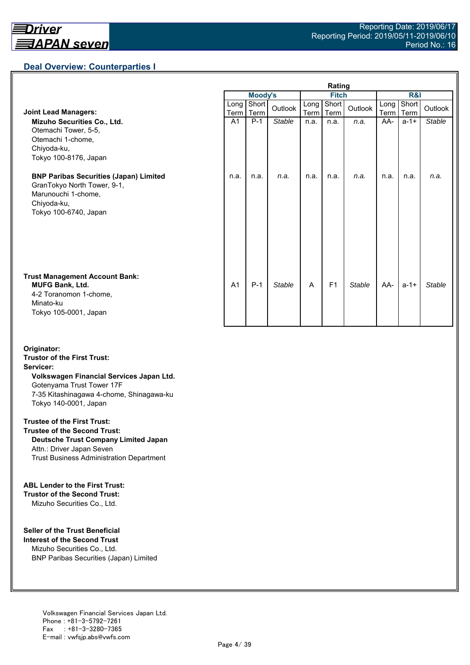## **Deal Overview: Counterparties I**

|                                                                                                                                             | Rating         |                |               |              |                |               |                     |               |               |
|---------------------------------------------------------------------------------------------------------------------------------------------|----------------|----------------|---------------|--------------|----------------|---------------|---------------------|---------------|---------------|
|                                                                                                                                             |                | <b>Moody's</b> |               | <b>Fitch</b> |                |               | <b>R&amp;I</b>      |               |               |
| <b>Joint Lead Managers:</b>                                                                                                                 | Long  <br>Term | Short<br>Term  | Outlook       | Long<br>Term | Short<br>Term  | Outlook       | Long<br><b>Term</b> | Short<br>Term | Outlook       |
| Mizuho Securities Co., Ltd.<br>Otemachi Tower, 5-5,<br>Otemachi 1-chome,<br>Chiyoda-ku,<br>Tokyo 100-8176, Japan                            | A <sub>1</sub> | $P-1$          | <b>Stable</b> | n.a.         | n.a.           | n.a.          | AA-                 | $a - 1 +$     | <b>Stable</b> |
| <b>BNP Paribas Securities (Japan) Limited</b><br>GranTokyo North Tower, 9-1,<br>Marunouchi 1-chome,<br>Chiyoda-ku,<br>Tokyo 100-6740, Japan | n.a.           | n.a.           | n.a.          | n.a.         | n.a.           | n.a.          | n.a.                | n.a.          | n.a.          |
| <b>Trust Management Account Bank:</b><br><b>MUFG Bank, Ltd.</b><br>4-2 Toranomon 1-chome,<br>Minato-ku<br>Tokyo 105-0001, Japan             | A <sub>1</sub> | $P-1$          | <b>Stable</b> | A            | F <sub>1</sub> | <b>Stable</b> | AA-                 | $a - 1 +$     | Stable        |

#### **Originator: Trustor of the First Trust: Servicer: Volkswagen Financial Services Japan Ltd.** Gotenyama Trust Tower 17F 7-35 Kitashinagawa 4-chome, Shinagawa-ku Tokyo 140-0001, Japan

#### **Trustee of the First Trust:**

**Trustee of the Second Trust: Deutsche Trust Company Limited Japan** Attn.: Driver Japan Seven Trust Business Administration Department

#### **ABL Lender to the First Trust:**

**Trustor of the Second Trust:** Mizuho Securities Co., Ltd.

#### **Seller of the Trust Beneficial**

**Interest of the Second Trust** Mizuho Securities Co., Ltd. BNP Paribas Securities (Japan) Limited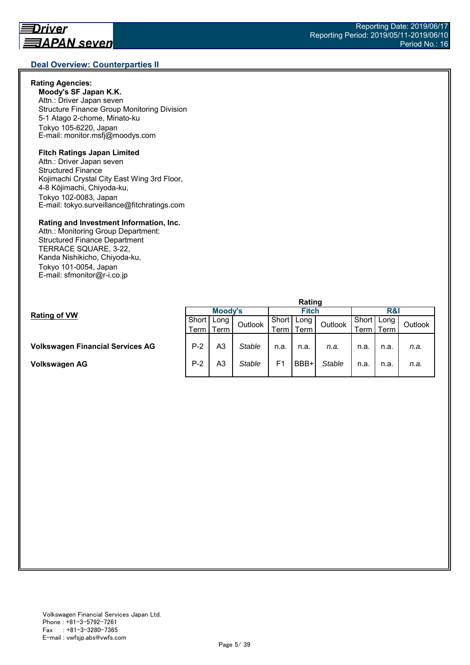#### **Rating Agencies:**

**Moody's SF Japan K.K.** Attn.: Driver Japan seven Structure Finance Group Monitoring Division 5-1 Atago 2-chome, Minato-ku Tokyo 105-6220, Japan E-mail: monitor.msfj@moodys.com

## **Fitch Ratings Japan Limited**

Attn.: Driver Japan seven Structured Finance Kojimachi Crystal City East Wing 3rd Floor, 4-8 Kōjimachi, Chiyoda-ku, Tokyo 102-0083, Japan E-mail: tokyo.surveillance@fitchratings.com

#### **Rating and Investment Information, Inc.**

Attn.: Monitoring Group Department: Structured Finance Department TERRACE SQUARE, 3-22, Kanda Nishikicho, Chiyoda-ku, Tokyo 101-0054, Japan E-mail: sfmonitor@r-i.co.jp

|                                         | naulu   |      |         |                |      |         |       |      |         |  |
|-----------------------------------------|---------|------|---------|----------------|------|---------|-------|------|---------|--|
| <b>Rating of VW</b>                     | Moody's |      |         | <b>Fitch</b>   |      |         | R&I   |      |         |  |
|                                         | Short I | Long | Outlook | Short          | Long | Outlook | Short | Long | Outlook |  |
|                                         | Term I  | Term |         | Term I         | Term |         | Term  | Term |         |  |
|                                         |         |      |         |                |      |         |       |      |         |  |
| <b>Volkswagen Financial Services AG</b> | $P-2$   | A3   | Stable  | n.a.           | n.a. | n.a.    | n.a.  | n.a. | n.a.    |  |
| <b>Volkswagen AG</b>                    | $P-2$   | A3   | Stable  | F <sub>1</sub> | BBB+ | Stable  | n.a.  | n.a. | n.a.    |  |
|                                         |         |      |         |                |      |         |       |      |         |  |

**Rating**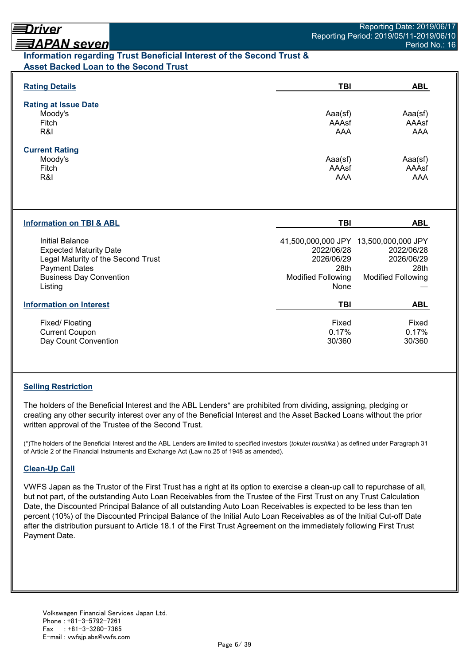# <u> ヨAPAN seven</u> **Information regarding Trust Beneficial Interest of the Second Trust & Asset Backed Loan to the Second Trust**

| <b>Rating Details</b>                                                                                                                                       | <b>TBI</b>                                                            | <b>ABL</b>                                                                                             |
|-------------------------------------------------------------------------------------------------------------------------------------------------------------|-----------------------------------------------------------------------|--------------------------------------------------------------------------------------------------------|
| <b>Rating at Issue Date</b><br>Moody's<br>Fitch<br>R&I                                                                                                      | Aaa(sf)<br>AAAsf<br>AAA                                               | Aaa(sf)<br>AAAsf<br>AAA                                                                                |
| <b>Current Rating</b><br>Moody's<br>Fitch<br>R&I                                                                                                            | Aaa(sf)<br>AAAsf<br><b>AAA</b>                                        | Aaa(sf)<br>AAAsf<br><b>AAA</b>                                                                         |
| <b>Information on TBI &amp; ABL</b>                                                                                                                         | <b>TBI</b>                                                            | <b>ABL</b>                                                                                             |
| Initial Balance<br><b>Expected Maturity Date</b><br>Legal Maturity of the Second Trust<br><b>Payment Dates</b><br><b>Business Day Convention</b><br>Listing | 2022/06/28<br>2026/06/29<br>28th<br><b>Modified Following</b><br>None | 41,500,000,000 JPY 13,500,000,000 JPY<br>2022/06/28<br>2026/06/29<br>28th<br><b>Modified Following</b> |
| <b>Information on Interest</b>                                                                                                                              | <b>TBI</b>                                                            | <b>ABL</b>                                                                                             |
| Fixed/Floating<br><b>Current Coupon</b><br>Day Count Convention                                                                                             | Fixed<br>0.17%<br>30/360                                              | Fixed<br>0.17%<br>30/360                                                                               |

# **Selling Restriction**

The holders of the Beneficial Interest and the ABL Lenders\* are prohibited from dividing, assigning, pledging or creating any other security interest over any of the Beneficial Interest and the Asset Backed Loans without the prior written approval of the Trustee of the Second Trust.

(\*)The holders of the Beneficial Interest and the ABL Lenders are limited to specified investors (*tokutei toushika* ) as defined under Paragraph 31 of Article 2 of the Financial Instruments and Exchange Act (Law no.25 of 1948 as amended).

# **Clean-Up Call**

VWFS Japan as the Trustor of the First Trust has a right at its option to exercise a clean-up call to repurchase of all, but not part, of the outstanding Auto Loan Receivables from the Trustee of the First Trust on any Trust Calculation Date, the Discounted Principal Balance of all outstanding Auto Loan Receivables is expected to be less than ten percent (10%) of the Discounted Principal Balance of the Initial Auto Loan Receivables as of the Initial Cut-off Date after the distribution pursuant to Article 18.1 of the First Trust Agreement on the immediately following First Trust Payment Date.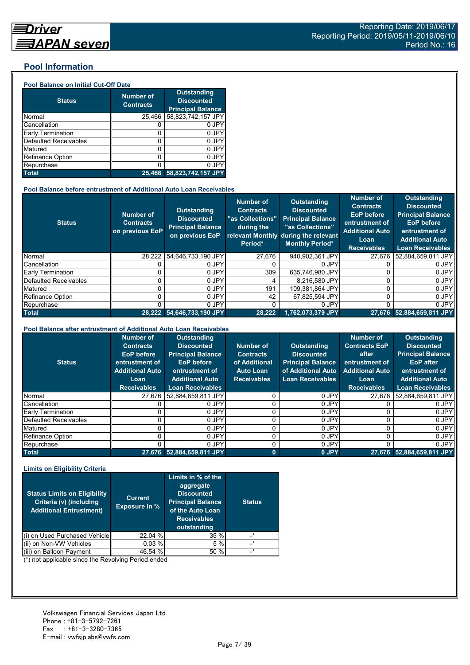## **Pool Information**

#### **Pool Balance on Initial Cut-Off Date**

| <b>Status</b>                | <b>Number of</b><br><b>Contracts</b> | <b>Outstanding</b><br><b>Discounted</b><br><b>Principal Balance</b> |
|------------------------------|--------------------------------------|---------------------------------------------------------------------|
| Normal                       | 25,466                               | 58,823,742,157 JPY                                                  |
| Cancellation                 |                                      | 0 JPY                                                               |
| Early Termination            | 0                                    | 0 JPY                                                               |
| <b>Defaulted Receivables</b> | 0                                    | 0 JPY                                                               |
| Matured                      | ი                                    | 0 JPY                                                               |
| <b>Refinance Option</b>      | 0                                    | 0 JPY                                                               |
| Repurchase                   |                                      | 0 JPY                                                               |
| <b>Total</b>                 | 25.466                               | 58,823,742,157 JPY                                                  |

#### **Pool Balance before entrustment of Additional Auto Loan Receivables**

| <b>Status</b>            | <b>Number of</b><br><b>Contracts</b><br>on previous EoP | <b>Outstanding</b><br><b>Discounted</b><br><b>Principal Balance</b><br>on previous EoP | <b>Number of</b><br><b>Contracts</b><br>"as Collections"<br>during the<br>Period* | Outstanding<br><b>Discounted</b><br><b>Principal Balance</b><br>"as Collections"<br>relevant Monthly during the relevant<br><b>Monthly Period*</b> | <b>Number of</b><br><b>Contracts</b><br><b>EoP</b> before<br>entrustment of<br><b>Additional Auto</b><br>Loan<br><b>Receivables</b> | <b>Outstanding</b><br><b>Discounted</b><br><b>Principal Balance</b><br><b>EoP</b> before<br>entrustment of<br><b>Additional Auto</b><br><b>Loan Receivables</b> |
|--------------------------|---------------------------------------------------------|----------------------------------------------------------------------------------------|-----------------------------------------------------------------------------------|----------------------------------------------------------------------------------------------------------------------------------------------------|-------------------------------------------------------------------------------------------------------------------------------------|-----------------------------------------------------------------------------------------------------------------------------------------------------------------|
| Normal                   | 28.222                                                  | 54.646.733.190 JPY                                                                     | 27.676                                                                            | 940,902,361 JPY                                                                                                                                    | 27.676                                                                                                                              | 52.884.659.811 JPY                                                                                                                                              |
| Cancellation             |                                                         | 0 JPY                                                                                  |                                                                                   | 0 JPY                                                                                                                                              |                                                                                                                                     | 0 JPY                                                                                                                                                           |
| <b>Early Termination</b> |                                                         | 0 JPY                                                                                  | 309                                                                               | 635.746.980 JPY                                                                                                                                    |                                                                                                                                     | 0 JPY                                                                                                                                                           |
| Defaulted Receivables    |                                                         | 0 JPY                                                                                  |                                                                                   | 8.216.580 JPY                                                                                                                                      |                                                                                                                                     | 0 JPY                                                                                                                                                           |
| Matured                  |                                                         | 0 JPY                                                                                  | 191                                                                               | 109.381.864 JPY                                                                                                                                    |                                                                                                                                     | 0 JPY                                                                                                                                                           |
| <b>Refinance Option</b>  |                                                         | 0 JPY                                                                                  | 42                                                                                | 67.825.594 JPY                                                                                                                                     | U                                                                                                                                   | 0 JPY                                                                                                                                                           |
| Repurchase               |                                                         | 0 JPY                                                                                  |                                                                                   | 0 JPY                                                                                                                                              | U                                                                                                                                   | 0 JPY                                                                                                                                                           |
| <b>Total</b>             |                                                         | 28.222 54.646.733.190 JPY                                                              | 28.222                                                                            | 1,762,073,379 JPY                                                                                                                                  |                                                                                                                                     | 27,676 52,884,659,811 JPY                                                                                                                                       |

#### **Pool Balance after entrustment of Additional Auto Loan Receivables**

| <b>Status</b>            | <b>Number of</b><br><b>Contracts</b><br><b>EoP</b> before<br>entrustment of<br><b>Additional Auto</b><br>Loan<br><b>Receivables</b> | <b>Outstanding</b><br><b>Discounted</b><br><b>Principal Balance</b><br><b>EoP</b> before<br>entrustment of<br><b>Additional Auto</b><br><b>Loan Receivables</b> | Number of<br><b>Contracts</b><br>of Additional<br><b>Auto Loan</b><br><b>Receivables</b> | <b>Outstanding</b><br><b>Discounted</b><br><b>Principal Balance</b><br>of Additional Auto<br><b>Loan Receivables</b> | <b>Number of</b><br><b>Contracts EoP</b><br>after<br>entrustment of<br><b>Additional Auto</b><br>Loan<br><b>Receivables</b> | <b>Outstanding</b><br><b>Discounted</b><br><b>Principal Balance</b><br><b>EoP</b> after<br>entrustment of<br><b>Additional Auto</b><br><b>Loan Receivables</b> |
|--------------------------|-------------------------------------------------------------------------------------------------------------------------------------|-----------------------------------------------------------------------------------------------------------------------------------------------------------------|------------------------------------------------------------------------------------------|----------------------------------------------------------------------------------------------------------------------|-----------------------------------------------------------------------------------------------------------------------------|----------------------------------------------------------------------------------------------------------------------------------------------------------------|
| Normal                   | 27.676                                                                                                                              | 52.884.659.811 JPY                                                                                                                                              |                                                                                          | 0 JPY                                                                                                                | 27.676                                                                                                                      | 52,884,659,811 JPY                                                                                                                                             |
| Cancellation             |                                                                                                                                     | 0 JPY                                                                                                                                                           |                                                                                          | 0 JPY                                                                                                                |                                                                                                                             | 0 JPY                                                                                                                                                          |
| <b>Early Termination</b> |                                                                                                                                     | 0 JPY                                                                                                                                                           |                                                                                          | 0 JPY                                                                                                                |                                                                                                                             | 0 JPY                                                                                                                                                          |
| Defaulted Receivables    |                                                                                                                                     | 0 JPY                                                                                                                                                           |                                                                                          | 0 JPY                                                                                                                |                                                                                                                             | 0 JPY                                                                                                                                                          |
| Matured                  |                                                                                                                                     | 0 JPY                                                                                                                                                           |                                                                                          | 0 JPY                                                                                                                | 0                                                                                                                           | 0 JPY                                                                                                                                                          |
| Refinance Option         |                                                                                                                                     | 0 JPY                                                                                                                                                           |                                                                                          | 0 JPY                                                                                                                |                                                                                                                             | 0 JPY                                                                                                                                                          |
| Repurchase               |                                                                                                                                     | 0 JPY                                                                                                                                                           |                                                                                          | 0 JPY                                                                                                                |                                                                                                                             | 0 JPY                                                                                                                                                          |
| <b>Total</b>             | 27.676                                                                                                                              | 52,884,659,811 JPY                                                                                                                                              | $\bf{0}$                                                                                 | 0 JPY                                                                                                                |                                                                                                                             | 27,676 52,884,659,811 JPY                                                                                                                                      |

#### **Limits on Eligibility Criteria**

| <b>Status Limits on Eligibility</b><br>Criteria (v) (including<br><b>Additional Entrustment)</b> | <b>Current</b><br><b>Exposure in %</b> | Limits in % of the<br>aggregate<br><b>Discounted</b><br><b>Principal Balance</b><br>of the Auto Loan<br><b>Receivables</b><br>outstanding | <b>Status</b> |
|--------------------------------------------------------------------------------------------------|----------------------------------------|-------------------------------------------------------------------------------------------------------------------------------------------|---------------|
| on Used Purchased Vehicle                                                                        | 22.04 %                                | 35 %                                                                                                                                      | $^\star$      |
| (ii) on Non-VW Vehicles                                                                          | 0.03%                                  | 5%                                                                                                                                        | $^{\star}$    |
| on Balloon Payment                                                                               | 46.54 %                                | 50 %                                                                                                                                      | $\star$       |

(\*) not applicable since the Revolving Period ended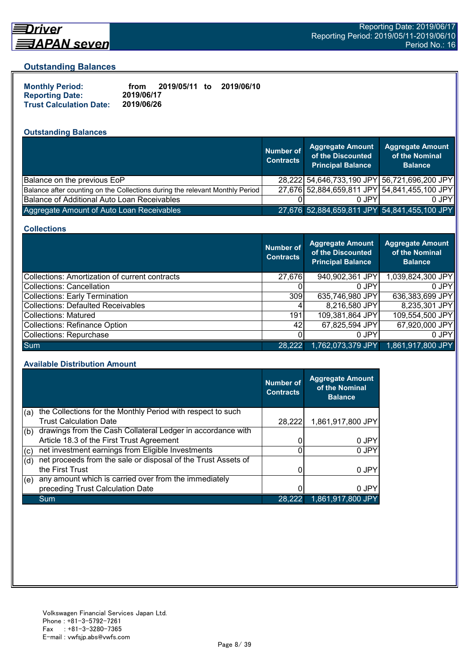

# Driver <u> ヨAPAN seven</u>

## **Outstanding Balances**

| <b>Monthly Period:</b>         | from       | 2019/05/11 to | 2019/06/10 |
|--------------------------------|------------|---------------|------------|
| <b>Reporting Date:</b>         | 2019/06/17 |               |            |
| <b>Trust Calculation Date:</b> | 2019/06/26 |               |            |

# **Outstanding Balances**

|                                                                              | <b>Number of</b><br><b>Contracts</b> | <b>Aggregate Amount</b><br>of the Discounted<br><b>Principal Balance</b> | <b>Aggregate Amount</b><br>of the Nominal<br><b>Balance</b> |
|------------------------------------------------------------------------------|--------------------------------------|--------------------------------------------------------------------------|-------------------------------------------------------------|
| Balance on the previous EoP                                                  |                                      | 28,222 54,646,733,190 JPY 56,721,696,200 JPY                             |                                                             |
| Balance after counting on the Collections during the relevant Monthly Period |                                      | 27,676 52,884,659,811 JPY 54,841,455,100 JPY                             |                                                             |
| Balance of Additional Auto Loan Receivables                                  |                                      | 0 JPY                                                                    | 0 JPY                                                       |
| Aggregate Amount of Auto Loan Receivables                                    |                                      | 27,676 52,884,659,811 JPY 54,841,455,100 JPY                             |                                                             |

#### **Collections**

|                                                       | <b>Number of</b><br><b>Contracts</b> | Aggregate Amount<br>of the Discounted<br><b>Principal Balance</b> | <b>Aggregate Amount</b><br>of the Nominal<br><b>Balance</b> |
|-------------------------------------------------------|--------------------------------------|-------------------------------------------------------------------|-------------------------------------------------------------|
| <b>Collections: Amortization of current contracts</b> | 27,676                               | 940,902,361 JPY                                                   | 1,039,824,300 JPY                                           |
| Collections: Cancellation                             |                                      | $0$ JPY                                                           | $0$ JPY                                                     |
| <b>Collections: Early Termination</b>                 | 309                                  | 635,746,980 JPY                                                   | 636,383,699 JPY                                             |
| <b>Collections: Defaulted Receivables</b>             |                                      | 8,216,580 JPY                                                     | 8,235,301 JPY                                               |
| <b>Collections: Matured</b>                           | 191                                  | 109,381,864 JPY                                                   | 109,554,500 JPY                                             |
| <b>Collections: Refinance Option</b>                  | 42                                   | 67,825,594 JPY                                                    | 67,920,000 JPY                                              |
| Collections: Repurchase                               |                                      | 0 JPY                                                             | 0 JPY                                                       |
| <b>Sum</b>                                            | 28,222                               | 1,762,073,379 JPY                                                 | 1,861,917,800 JPY                                           |

#### **Available Distribution Amount**

|     |                                                               | <b>Number of</b><br><b>Contracts</b> | <b>Aggregate Amount</b><br>of the Nominal<br><b>Balance</b> |
|-----|---------------------------------------------------------------|--------------------------------------|-------------------------------------------------------------|
| (a) | the Collections for the Monthly Period with respect to such   |                                      |                                                             |
|     | <b>Trust Calculation Date</b>                                 | 28,222                               | 1,861,917,800 JPY                                           |
| (b) | drawings from the Cash Collateral Ledger in accordance with   |                                      |                                                             |
|     | Article 18.3 of the First Trust Agreement                     |                                      | 0 JPY                                                       |
| (c) | net investment earnings from Eligible Investments             | 0                                    | 0 JPY                                                       |
| (d) | net proceeds from the sale or disposal of the Trust Assets of |                                      |                                                             |
|     | the First Trust                                               |                                      | 0 JPY                                                       |
| (e) | any amount which is carried over from the immediately         |                                      |                                                             |
|     | preceding Trust Calculation Date                              |                                      | 0 JPY                                                       |
|     | Sum                                                           | 28.222                               | 1,861,917,800 JPY                                           |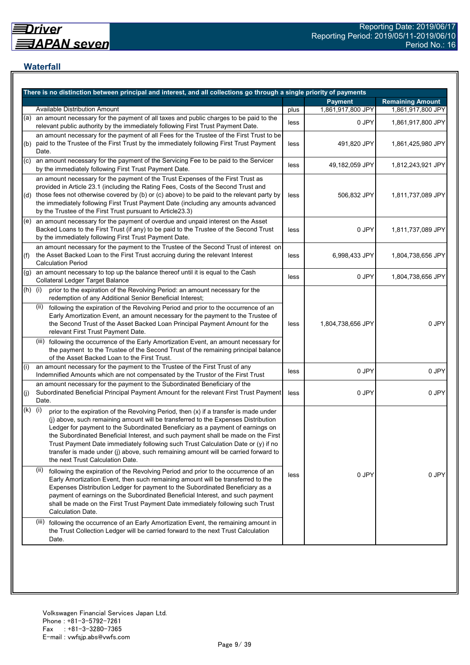## **Waterfall**

|           | There is no distinction between principal and interest, and all collections go through a single priority of payments                                                                                                                                                                                                                                                                                                                                                                                                                                                    |      |                   |                         |
|-----------|-------------------------------------------------------------------------------------------------------------------------------------------------------------------------------------------------------------------------------------------------------------------------------------------------------------------------------------------------------------------------------------------------------------------------------------------------------------------------------------------------------------------------------------------------------------------------|------|-------------------|-------------------------|
|           |                                                                                                                                                                                                                                                                                                                                                                                                                                                                                                                                                                         |      | <b>Payment</b>    | <b>Remaining Amount</b> |
|           | <b>Available Distribution Amount</b>                                                                                                                                                                                                                                                                                                                                                                                                                                                                                                                                    | plus | 1,861,917,800 JPY | 1,861,917,800 JPY       |
| (a)       | an amount necessary for the payment of all taxes and public charges to be paid to the<br>relevant public authority by the immediately following First Trust Payment Date.                                                                                                                                                                                                                                                                                                                                                                                               | less | 0 JPY             | 1,861,917,800 JPY       |
| (b)       | an amount necessary for the payment of all Fees for the Trustee of the First Trust to be<br>paid to the Trustee of the First Trust by the immediately following First Trust Payment<br>Date.                                                                                                                                                                                                                                                                                                                                                                            | less | 491,820 JPY       | 1,861,425,980 JPY       |
| (C)       | an amount necessary for the payment of the Servicing Fee to be paid to the Servicer<br>by the immediately following First Trust Payment Date.                                                                                                                                                                                                                                                                                                                                                                                                                           | less | 49,182,059 JPY    | 1,812,243,921 JPY       |
|           | an amount necessary for the payment of the Trust Expenses of the First Trust as<br>provided in Article 23.1 (including the Rating Fees, Costs of the Second Trust and<br>(d) those fees not otherwise covered by (b) or (c) above) to be paid to the relevant party by<br>the immediately following First Trust Payment Date (including any amounts advanced<br>by the Trustee of the First Trust pursuant to Article23.3)                                                                                                                                              | less | 506,832 JPY       | 1,811,737,089 JPY       |
|           | (e) an amount necessary for the payment of overdue and unpaid interest on the Asset<br>Backed Loans to the First Trust (if any) to be paid to the Trustee of the Second Trust<br>by the immediately following First Trust Payment Date.                                                                                                                                                                                                                                                                                                                                 | less | 0 JPY             | 1,811,737,089 JPY       |
| (f)       | an amount necessary for the payment to the Trustee of the Second Trust of interest on<br>the Asset Backed Loan to the First Trust accruing during the relevant Interest<br><b>Calculation Period</b>                                                                                                                                                                                                                                                                                                                                                                    | less | 6,998,433 JPY     | 1,804,738,656 JPY       |
| (g)       | an amount necessary to top up the balance thereof until it is equal to the Cash<br>Collateral Ledger Target Balance                                                                                                                                                                                                                                                                                                                                                                                                                                                     | less | 0 JPY             | 1,804,738,656 JPY       |
| $(h)$ (i) | prior to the expiration of the Revolving Period: an amount necessary for the<br>redemption of any Additional Senior Beneficial Interest;                                                                                                                                                                                                                                                                                                                                                                                                                                |      |                   |                         |
|           | following the expiration of the Revolving Period and prior to the occurrence of an<br>(ii)<br>Early Amortization Event, an amount necessary for the payment to the Trustee of<br>the Second Trust of the Asset Backed Loan Principal Payment Amount for the<br>relevant First Trust Payment Date.                                                                                                                                                                                                                                                                       | less | 1,804,738,656 JPY | 0 JPY                   |
|           | (iii) following the occurrence of the Early Amortization Event, an amount necessary for<br>the payment to the Trustee of the Second Trust of the remaining principal balance<br>of the Asset Backed Loan to the First Trust.                                                                                                                                                                                                                                                                                                                                            |      |                   |                         |
| (i)       | an amount necessary for the payment to the Trustee of the First Trust of any<br>Indemnified Amounts which are not compensated by the Trustor of the First Trust                                                                                                                                                                                                                                                                                                                                                                                                         | less | 0 JPY             | 0 JPY                   |
| (j)       | an amount necessary for the payment to the Subordinated Beneficiary of the<br>Subordinated Beneficial Principal Payment Amount for the relevant First Trust Payment<br>Date.                                                                                                                                                                                                                                                                                                                                                                                            | less | 0 JPY             | 0 JPY                   |
| (k)       | (i)<br>prior to the expiration of the Revolving Period, then (x) if a transfer is made under<br>(j) above, such remaining amount will be transferred to the Expenses Distribution<br>Ledger for payment to the Subordinated Beneficiary as a payment of earnings on<br>the Subordinated Beneficial Interest, and such payment shall be made on the First<br>Trust Payment Date immediately following such Trust Calculation Date or (y) if no<br>transfer is made under (j) above, such remaining amount will be carried forward to<br>the next Trust Calculation Date. |      |                   |                         |
|           | (ii)<br>following the expiration of the Revolving Period and prior to the occurrence of an<br>Early Amortization Event, then such remaining amount will be transferred to the<br>Expenses Distribution Ledger for payment to the Subordinated Beneficiary as a<br>payment of earnings on the Subordinated Beneficial Interest, and such payment<br>shall be made on the First Trust Payment Date immediately following such Trust<br>Calculation Date.                                                                                                                  | less | 0 JPY             | 0 JPY                   |
|           | (iii)<br>following the occurrence of an Early Amortization Event, the remaining amount in<br>the Trust Collection Ledger will be carried forward to the next Trust Calculation<br>Date.                                                                                                                                                                                                                                                                                                                                                                                 |      |                   |                         |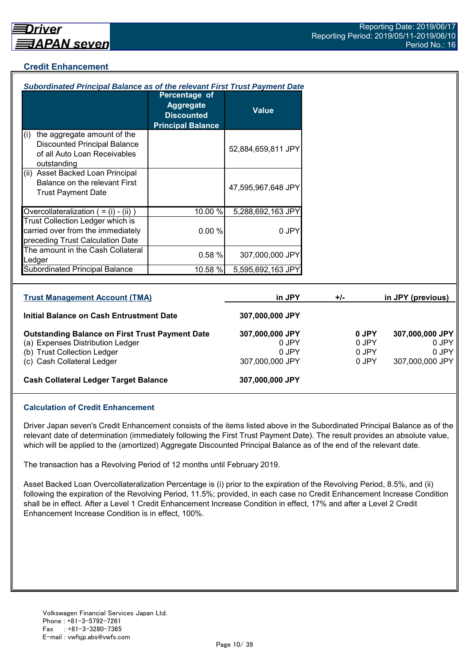## **Credit Enhancement**

| Subordinated Principal Balance as of the relevant First Trust Payment Date                                                |                                                                                    |                                   |       |                         |                                   |
|---------------------------------------------------------------------------------------------------------------------------|------------------------------------------------------------------------------------|-----------------------------------|-------|-------------------------|-----------------------------------|
|                                                                                                                           | Percentage of<br><b>Aggregate</b><br><b>Discounted</b><br><b>Principal Balance</b> | <b>Value</b>                      |       |                         |                                   |
| the aggregate amount of the<br>(i)<br><b>Discounted Principal Balance</b><br>of all Auto Loan Receivables<br>outstanding  |                                                                                    | 52,884,659,811 JPY                |       |                         |                                   |
| (ii) Asset Backed Loan Principal<br>Balance on the relevant First<br><b>Trust Payment Date</b>                            |                                                                                    | 47,595,967,648 JPY                |       |                         |                                   |
| Overcollateralization $( = (i) - (ii) )$                                                                                  | 10.00 %                                                                            | 5,288,692,163 JPY                 |       |                         |                                   |
| Trust Collection Ledger which is<br>carried over from the immediately<br>preceding Trust Calculation Date                 | 0.00%                                                                              | 0 JPY                             |       |                         |                                   |
| The amount in the Cash Collateral<br>Ledger                                                                               | 0.58%                                                                              | 307,000,000 JPY                   |       |                         |                                   |
| Subordinated Principal Balance                                                                                            | 10.58 %                                                                            | 5,595,692,163 JPY                 |       |                         |                                   |
| <b>Trust Management Account (TMA)</b>                                                                                     |                                                                                    | in JPY                            | $+/-$ |                         | in JPY (previous)                 |
| Initial Balance on Cash Entrustment Date                                                                                  |                                                                                    | 307,000,000 JPY                   |       |                         |                                   |
| <b>Outstanding Balance on First Trust Payment Date</b><br>(a) Expenses Distribution Ledger<br>(b) Trust Collection Ledger |                                                                                    | 307,000,000 JPY<br>0 JPY<br>0 JPY |       | 0 JPY<br>0 JPY<br>0 JPY | 307,000,000 JPY<br>0 JPY<br>0 JPY |

(c) Cash Collateral Ledger 307,000,000 JPY 0 JPY 307,000,000 JPY

#### **Cash Collateral Ledger Target Balance 307,000,000 JPY**

#### **Calculation of Credit Enhancement**

Driver Japan seven's Credit Enhancement consists of the items listed above in the Subordinated Principal Balance as of the relevant date of determination (immediately following the First Trust Payment Date). The result provides an absolute value, which will be applied to the (amortized) Aggregate Discounted Principal Balance as of the end of the relevant date.

The transaction has a Revolving Period of 12 months until February 2019.

Asset Backed Loan Overcollateralization Percentage is (i) prior to the expiration of the Revolving Period, 8.5%, and (ii) following the expiration of the Revolving Period, 11.5%; provided, in each case no Credit Enhancement Increase Condition shall be in effect. After a Level 1 Credit Enhancement Increase Condition in effect, 17% and after a Level 2 Credit Enhancement Increase Condition is in effect, 100%.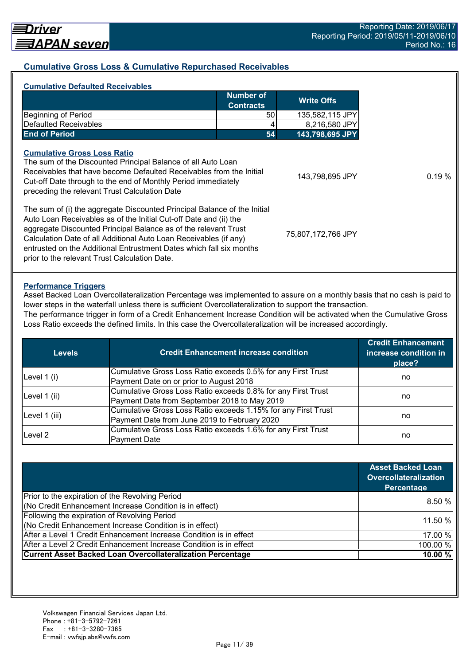## **Cumulative Gross Loss & Cumulative Repurchased Receivables**

| <b>Number of</b><br><b>Contracts</b>                                                                                                                                                                                                                                                                                                                         | <b>Write Offs</b>  |
|--------------------------------------------------------------------------------------------------------------------------------------------------------------------------------------------------------------------------------------------------------------------------------------------------------------------------------------------------------------|--------------------|
|                                                                                                                                                                                                                                                                                                                                                              |                    |
| <b>Beginning of Period</b><br>50 l                                                                                                                                                                                                                                                                                                                           | 135,582,115 JPY    |
| <b>Defaulted Receivables</b>                                                                                                                                                                                                                                                                                                                                 | 8,216,580 JPY      |
| <b>End of Period</b><br>54                                                                                                                                                                                                                                                                                                                                   | 143,798,695 JPY    |
| <b>Cumulative Gross Loss Ratio</b><br>The sum of the Discounted Principal Balance of all Auto Loan<br>Receivables that have become Defaulted Receivables from the Initial<br>Cut-off Date through to the end of Monthly Period immediately<br>preceding the relevant Trust Calculation Date                                                                  | 143,798,695 JPY    |
| The sum of (i) the aggregate Discounted Principal Balance of the Initial<br>Auto Loan Receivables as of the Initial Cut-off Date and (ii) the<br>aggregate Discounted Principal Balance as of the relevant Trust<br>Calculation Date of all Additional Auto Loan Receivables (if any)<br>entrusted on the Additional Entrustment Dates which fall six months | 75,807,172,766 JPY |

#### **Performance Triggers**

Asset Backed Loan Overcollateralization Percentage was implemented to assure on a monthly basis that no cash is paid to lower steps in the waterfall unless there is sufficient Overcollateralization to support the transaction.

The performance trigger in form of a Credit Enhancement Increase Condition will be activated when the Cumulative Gross Loss Ratio exceeds the defined limits. In this case the Overcollateralization will be increased accordingly.

| <b>Levels</b> | <b>Credit Enhancement increase condition</b>                  | <b>Credit Enhancement</b><br>increase condition in<br>place? |  |
|---------------|---------------------------------------------------------------|--------------------------------------------------------------|--|
| Level $1(i)$  | Cumulative Gross Loss Ratio exceeds 0.5% for any First Trust  |                                                              |  |
|               | Payment Date on or prior to August 2018                       | no                                                           |  |
|               | Cumulative Gross Loss Ratio exceeds 0.8% for any First Trust  |                                                              |  |
| Level 1 (ii)  | Payment Date from September 2018 to May 2019                  | no                                                           |  |
|               | Cumulative Gross Loss Ratio exceeds 1.15% for any First Trust | no                                                           |  |
| Level 1 (iii) | Payment Date from June 2019 to February 2020                  |                                                              |  |
| Level 2       | Cumulative Gross Loss Ratio exceeds 1.6% for any First Trust  |                                                              |  |
|               | <b>Payment Date</b>                                           | no                                                           |  |

|                                                                    | <b>Asset Backed Loan</b><br><b>Overcollateralization</b><br>Percentage |
|--------------------------------------------------------------------|------------------------------------------------------------------------|
| Prior to the expiration of the Revolving Period                    |                                                                        |
| (No Credit Enhancement Increase Condition is in effect)            | 8.50%                                                                  |
| Following the expiration of Revolving Period                       | 11.50 %                                                                |
| (No Credit Enhancement Increase Condition is in effect)            |                                                                        |
| After a Level 1 Credit Enhancement Increase Condition is in effect | 17.00 %                                                                |
| After a Level 2 Credit Enhancement Increase Condition is in effect | 100.00 %                                                               |
| <b>Current Asset Backed Loan Overcollateralization Percentage</b>  | 10.00 %                                                                |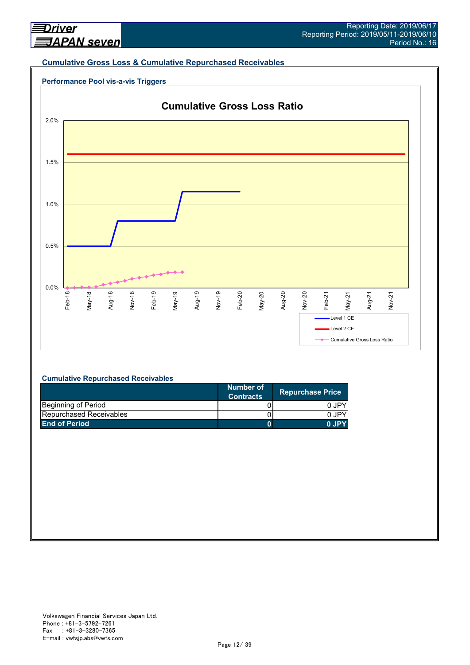#### **Cumulative Gross Loss & Cumulative Repurchased Receivables**





#### **Cumulative Repurchased Receivables**

|                                | Number of<br><b>Contracts</b> | <b>Repurchase Price</b> |
|--------------------------------|-------------------------------|-------------------------|
| Beginning of Period            |                               | 0 JPY                   |
| <b>Repurchased Receivables</b> |                               | 0.IPY                   |
| <b>End of Period</b>           |                               | 0.IPY                   |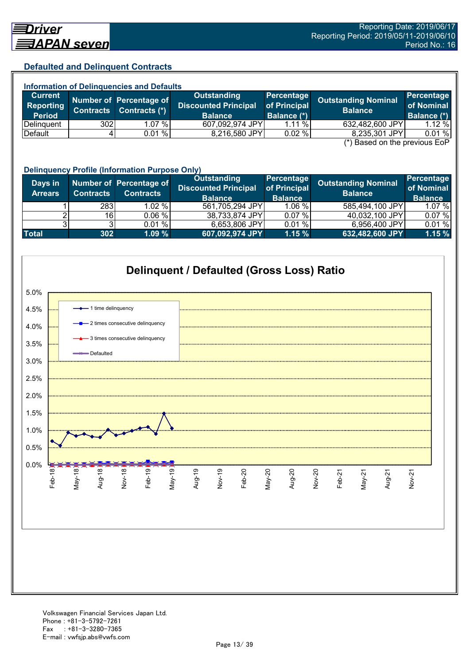## **Defaulted and Delinquent Contracts**

| <b>Information of Delinguencies and Defaults</b>                 |     |                         |                                            |                            |                            |                                 |  |
|------------------------------------------------------------------|-----|-------------------------|--------------------------------------------|----------------------------|----------------------------|---------------------------------|--|
| <b>Current</b><br>Reporting                                      |     | Number of Percentage of | Outstanding<br><b>Discounted Principal</b> | Percentage<br>of Principal | <b>Outstanding Nominal</b> | <b>Percentage</b><br>of Nominal |  |
| <b>Period</b>                                                    |     | Contracts Contracts (*) | <b>Balance</b>                             | <b>Balance (*)</b>         | <b>Balance</b>             | Balance (*)                     |  |
| Delinguent                                                       | 302 | 1.07 %I                 | 607,092,974 JPY                            | 1.11%                      | 632,482,600 JPY            | $1.12\%$                        |  |
| Default                                                          |     | 0.01%                   | 8,216,580 JPY                              | 0.02%                      | 8,235,301 JPY              | 0.01%                           |  |
| $\left( \star \right)$ Desail and the nucliplical $\Gamma_{2}$ D |     |                         |                                            |                            |                            |                                 |  |

(\*) Based on the previous EoP

|                           | <b>Delinquency Profile (Information Purpose Only)</b> |                                             |                                                              |                                                     |                                              |                                            |  |
|---------------------------|-------------------------------------------------------|---------------------------------------------|--------------------------------------------------------------|-----------------------------------------------------|----------------------------------------------|--------------------------------------------|--|
| Days in<br><b>Arrears</b> | <b>Contracts</b>                                      | Number of Percentage of<br><b>Contracts</b> | Outstanding<br><b>Discounted Principal</b><br><b>Balance</b> | <b>Percentage</b><br>of Principal<br><b>Balance</b> | <b>Outstanding Nominal</b><br><b>Balance</b> | Percentage<br>of Nominal<br><b>Balance</b> |  |
|                           | 283                                                   | $1.02 \%$                                   | 561,705,294 JPY                                              | $1.06 \%$                                           | 585,494,100 JPY                              | 1.07 %                                     |  |
|                           | 16                                                    | 0.06 %                                      | 38,733,874 JPY                                               | 0.07%                                               | 40,032,100 JPY                               | 0.07%                                      |  |
|                           |                                                       | 0.01%                                       | 6,653,806 JPY                                                | 0.01%                                               | 6,956,400 JPY                                | 0.01%                                      |  |
| <b>Total</b>              | 302                                                   | 1.09%                                       | 607,092,974 JPY                                              | 1.15%                                               | 632,482,600 JPY                              | 1.15%                                      |  |

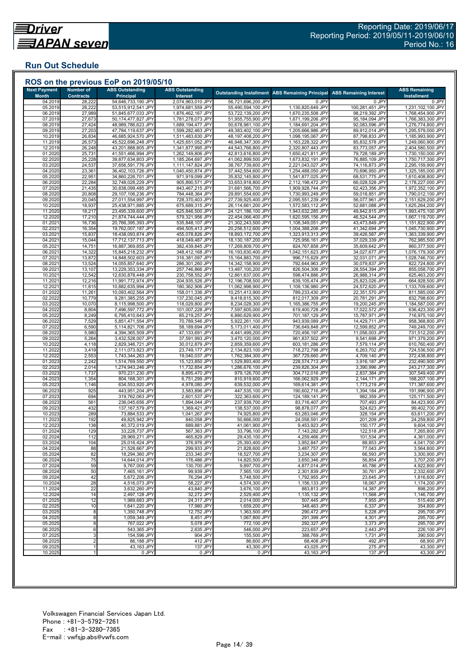## **Run Out Schedule**

| <b>Next Payment</b>     | <b>Number of</b>           | <b>ABS Outstanding</b>                   | <b>ABS Outstanding</b>                 |                                          | <b>Outstanding Installment ABS Remaining Principal</b> | <b>ABS Remaining Interest</b>    | <b>ABS Remaining</b>                   |
|-------------------------|----------------------------|------------------------------------------|----------------------------------------|------------------------------------------|--------------------------------------------------------|----------------------------------|----------------------------------------|
| <b>Month</b><br>04.2019 | <b>Contracts</b><br>28,222 | <b>Principal</b><br>54,646,733,190 JPY   | Interest<br>2,074,963,010 JPY          | 56,721,696,200 JPY                       | 0 JPY                                                  | 0 JPY                            | <b>Installment</b><br>0 JPY            |
| 05.2019                 | 28,222                     | 53,515,912,541 JPY                       | 1,974,681,559 JPY                      | 55,490,594,100 JPY                       | 1,130,820,649 JPY                                      | 100,281,451 JPY                  | 1,231,102,100 JPY                      |
| 06.2019                 | 27,989                     | 51,845,677,033 JPY                       | 1,876,462,167 JPY                      | 53,722,139,200 JPY                       | 1,670,235,508 JPY                                      | 98,219,392 JPY                   | 1,768,454,900 JPY                      |
| 07.2019                 | 27,673                     | 50,174,477,827 JPY                       | 1,781,278,073 JPY                      | 51,955,755,900 JPY<br>50,678,981,100 JPY | 1,671,199,206 JPY                                      | 95,184,094 JPY                   | 1,766,383,300 JPY                      |
| 08.2019<br>09.2019      | 27,424<br>27,203           | 48,989,786,623 JPY<br>47,784,119,637 JPY | 1,689,194,477 JPY<br>1,599,282,463 JPY | 49,383,402,100 JPY                       | 1,184,691,204 JPY<br>1,205,666,986 JPY                 | 92,083,596 JPY<br>89,912,014 JPY | 1,276,774,800 JPY<br>1,295,579,000 JPY |
| 10.2019                 | 26,834                     | 46,685,924,570 JPY                       | 1,511,483,630 JPY                      | 48,197,408,200 JPY                       | 1,098,195,067 JPY                                      | 87,798,833 JPY                   | 1,185,993,900 JPY                      |
| 11.2019                 | 26,573                     | 45,522,696,248 JPY                       | 1,425,651,052 JPY                      | 46,948,347,300 JPY                       | 1,163,228,322 JPY                                      | 85,832,578 JPY                   | 1,249,060,900 JPY                      |
| 12.2019                 | 26,248                     | 43,201,888,805 JPY                       | 1,341,877,995 JPY                      | 44,543,766,800 JPY                       | 2,320,807,443 JPY                                      | 83,773,057 JPY                   | 2,404,580,500 JPY                      |
| 01.2020<br>02.2020      | 25,731                     | 41,551,466,994 JPY<br>39,877,634,803 JPY | 1,262,149,806 JPY<br>1,185,264,697 JPY | 42,813,616,800 JPY<br>41,062,899,500 JPY | 1,650,421,811 JPY<br>1,673,832,191 JPY                 | 79,728,189 JPY<br>76,885,109 JPY | 1,730,150,000 JPY<br>1,750,717,300 JPY |
| 03.2020                 | 25,228<br>24,537           | 37,656,591,776 JPY                       | 1,111,147,824 JPY                      | 38,767,739,600 JPY                       | 2,221,043,027 JPY                                      | 74,116,873 JPY                   | 2,295,159,900 JPY                      |
| 04.2020                 | 23,361                     | 36,402,103,726 JPY                       | 1,040,450,874 JPY                      | 37,442,554,600 JPY                       | 1,254,488,050 JPY                                      | 70,696,950 JPY                   | 1,325,185,000 JPY                      |
| 05.2020                 | 22,951                     | 34,860,226,701 JPY                       | 971,919,099 JPY                        | 35,832,145,800 JPY                       | 1,541,877,025 JPY                                      | 68,531,775 JPY                   | 1,610,408,800 JPY                      |
| 06.2020                 | 22,284                     | 32,748,028,229 JPY                       | 905,890,571 JPY                        | 33,653,918,800 JPY                       | 2,112,198,472 JPY                                      | 66,028,528 JPY                   | 2,178,227,000 JPY                      |
| 07.2020<br>08.2020      | 21,435<br>20,808           | 30,838,099,485 JPY<br>29,107,106,236 JPY | 843,467,215 JPY<br>784,448,364 JPY     | 31,681,566,700 JPY<br>29,891,554,600 JPY | 1,909,928,744 JPY<br>1,730,993,249 JPY                 | 62,423,356 JPY<br>59,018,851 JPY | 1,972,352,100 JPY<br>1,790,012,100 JPY |
| 09.2020                 | 20,045                     | 27,011,554,997 JPY                       | 728,370,403 JPY                        | 27,739,925,400 JPY                       | 2,095,551,239 JPY                                      | 56,077,961 JPY                   | 2,151,629,200 JPY                      |
| 10.2020                 | 18,937                     | 25,438,971,885 JPY                       | 675,689,315 JPY                        | 26,114,661,200 JPY                       | 1,572,583,112 JPY                                      | 52,681,088 JPY                   | 1,625,264,200 JPY                      |
| 11.2020                 | 18,217                     | 23,495,339,600 JPY                       | 625,846,500 JPY                        | 24,121,186,100 JPY                       | 1,943,632,285 JPY                                      | 49,842,815 JPY                   | 1,993,475,100 JPY                      |
| 12.2020                 | 17,210                     | 21,874,744,444 JPY                       | 579,321,956 JPY                        | 22,454,066,400 JPY                       | 1,620,595,156 JPY                                      | 46,524,544 JPY                   | 1,667,119,700 JPY                      |
| 01.2021<br>02.2021      | 16,736<br>16,354           | 20,766,395,393 JPY<br>19,762,007,187 JPY | 535,848,107 JPY<br>494,505,413 JPY     | 21,302,243,500 JPY<br>20,256,512,600 JPY | 1,108,349,051 JPY<br>1,004,388,206 JPY                 | 43,473,849 JPY<br>41,342,694 JPY | 1,151,822,900 JPY<br>1,045,730,900 JPY |
| 03.2021                 | 15,837                     | 18,438,093,874 JPY                       | 455,078,826 JPY                        | 18,893,172,700 JPY                       | 1,323,913,313 JPY                                      | 39,426,587 JPY                   | 1,363,339,900 JPY                      |
| 04.202                  | 15,044                     | 17,712,137,713 JPY                       | 418,049,487 JPY                        | 18,130,187,200 JPY                       | 725,956,161 JPY                                        | 37,029,339 JPY                   | 762,985,500 JPY                        |
| 05.202'                 | 14,751                     | 16,887,369,855 JPY                       | 382,439,845 JPY                        | 17,269,809,700 JPY                       | 824,767,858 JPY                                        | 35,609,642 JPY                   | 860,377,500 JPY                        |
| 06.202                  | 14,322                     | 15,845,218,232 JPY                       | 348,412,168 JPY                        | 16,193,630,400 JPY                       | 1,042,151,623 JPY                                      | 34,027,677 JPY                   | 1,076,179,300 JPY                      |
| 07.2021<br>08.202       | 13,872<br>13,524           | 14,848,502,603 JPY<br>14,055,857,640 JPY | 316,381,097 JPY<br>286,301,260 JPY     | 15,164,883,700 JPY<br>14,342,158,900 JPY | 996,715,629 JPY<br>792,644,963 JPY                     | 32,031,071 JPY<br>30,079,837 JPY | 1,028,746,700 JPY<br>822,724,800 JPY   |
| 09.202                  | 13,107                     | 13,229,353,334 JPY                       | 257,746,866 JPY                        | 13,487,100,200 JPY                       | 826,504,306 JPY                                        | 28,554,394 JPY                   | 855,058,700 JPY                        |
| 10.202                  | 12,542                     | 12,630,878,448 JPY                       | 230,758,552 JPY                        | 12,861,637,000 JPY                       | 598,474,886 JPY                                        | 26,988,314 JPY                   | 625,463,200 JPY                        |
| 11.202'                 | 12,216                     | 11,991,772,974 JPY                       | 204,935,526 JPY                        | 12,196,708,500 JPY                       | 639,105,474 JPY                                        | 25,823,026 JPY                   | 664,928,500 JPY                        |
| 12.202<br>01.2022       | 11,815<br>11,261           | 10,882,635,994 JPY<br>10,093,402,564 JPY | 180,362,906 JPY<br>158,011,336 JPY     | 11,062,998,900 JPY<br>10,251,413,900 JPY | 1,109,136,980 JPY<br>789,233,430 JPY                   | 24,572,620 JPY<br>22,351,570 JPY | 1,133,709,600 JPY                      |
| 02.202                  | 10,779                     | 9,281,385,255 JPY                        | 137,230,045 JPY                        | 9,418,615,300 JPY                        | 812,017,309 JPY                                        | 20,781,291 JPY                   | 811,585,000 JPY<br>832,798,600 JPY     |
| 03.2022                 | 10,070                     | 8,115,998,500 JPY                        | 118,029,800 JPY                        | 8,234,028,300 JPY                        | 1,165,386,755 JPY                                      | 19,200,245 JPY                   | 1,184,587,000 JPY                      |
| 04.2022                 | 8,804                      | 7,496,597,772 JPY                        | 101,007,228 JPY                        | 7,597,605,000 JPY                        | 619,400,728 JPY                                        | 17,022,572 JPY                   | 636,423,300 JPY                        |
| 05.2022                 | 8,249                      | 6,795,410,643 JPY                        | 85,219,257 JPY                         | 6,880,629,900 JPY                        | 701,187,129 JPY                                        | 15,787,971 JPY                   | 716,975,100 JPY                        |
| 06.202<br>07.202        | 7,529<br>6,590             | 5,851,471,554 JPY<br>5,114,821,706 JPY   | 70,789,546 JPY<br>58,189,694 JPY       | 5,922,261,100 JPY<br>5,173,011,400 JPY   | 943,939,089 JPY<br>736,649,848 JPY                     | 14,429,711 JPY<br>12,599,852 JPY | 958,368,800 JPY<br>749,249,700 JPY     |
| 08.2022                 | 5,980                      | 4,394,365,509 JPY                        | 47,133,691 JPY                         | 4,441,499,200 JPY                        | 720,456,197 JPY                                        | 11,056,003 JPY                   | 731,512,200 JPY                        |
| 09.2022                 | 5,264                      | 3,432,528,007 JPY                        | 37,591,993 JPY                         | 3,470,120,000 JPY                        | 961,837,502 JPY                                        | 9,541,698 JPY                    | 971,379,200 JPY                        |
| 10.202                  | 4,118                      | 2,829,346,721 JPY                        | 30,012,879 JPY                         | 2,859,359,600 JPY                        | 603,181,286 JPY                                        | 7,579,114 JPY                    | 610,760,400 JPY                        |
| 11.202                  | 3,419                      | 2,111,073,923 JPY                        | 23,749,177 JPY                         | 2,134,823,100 JPY                        | 718,272,798 JPY                                        | 6,263,702 JPY                    | 724,536,500 JPY                        |
| 12.202<br>01.2023       | 2,553<br>2,242             | 1,743,344,263 JPY<br>1,514,769,550 JPY   | 19,040,037 JPY<br>15,123,850 JPY       | 1,762,384,300 JPY<br>1,529,893,400 JPY   | 367,729,660 JPY<br>228,574,713 JPY                     | 4,709,140 JPY<br>3,916,187 JPY   | 372,438,800 JPY<br>232,490,900 JPY     |
| 02.2023                 | 2,014                      | 1,274,943,246 JPY                        | 11,732,854 JPY                         | 1,286,676,100 JPY                        | 239,826,304 JPY                                        | 3,390,996 JPY                    | 243,217,300 JPY                        |
| 03.2023                 | 1,737                      | 970,231,230 JPY                          | 8,895,470 JPY                          | 979,126,700 JPY                          | 304,712,016 JPY                                        | 2,837,384 JPY                    | 307,549,400 JPY                        |
| 04.2023                 | 1,354                      | 804,168,301 JPY                          | 6,751,299 JPY                          | 810,919,600 JPY                          | 166,062,929 JPY                                        | 2,144,171 JPY                    | 168,207,100 JPY                        |
| 05.2023<br>06.2023      | 1,146<br>925               | 634,553,920 JPY<br>443,951,204 JPY       | 4,978,080 JPY<br>3,583,896 JPY         | 639,532,000 JPY<br>447,535,100 JPY       | 169,614,381 JPY<br>190,602,716 JPY                     | 1,773,219 JPY<br>1,394,184 JPY   | 171,387,600 JPY<br>191,996,900 JPY     |
| 07.2023                 | 694                        | 319,762,063 JPY                          | 2,601,537 JPY                          | 322,363,600 JPY                          | 124,189,141 JPY                                        | 982,359 JPY                      | 125,171,500 JPY                        |
| 08.202                  | 561                        | 236,045,656 JPY                          | 1,894,044 JPY                          | 237,939,700 JPY                          | 83,716,407 JPY                                         | 707,493 JPY                      | 84,423,900 JPY                         |
| 09.2023                 | 432                        | 137,167,579 JPY                          | 1,369,421 JPY                          | 138,537,000 JPY                          | 98,878,077 JPY                                         | 524,623 JPY                      | 99,402,700 JPY                         |
| 10.2023                 | 289                        | 73,884,533 JPY                           | 1,041,267 JPY                          | 74,925,800 JPY<br>50.666.000 JPY         | 63,283,046 JPY                                         | 328,154 JPY                      | 63,611,200 JPY                         |
| 11.2023<br>12.2023      | 192<br>138                 | 49,825,942 JPY<br>40,372,019 JPY         | 840,058 JPY<br>689,881 JPY             | 41,061,900 JPY                           | 24,058,591 JPY<br>9,453,923 JPY                        | 201,209 JPY<br>150,177 JPY       | 24,259,800 JPY<br>9,604,100 JPY        |
| 01.2024                 | 129                        | 33,228,737 JPY                           | 567,363 JPY                            | 33,796,100 JPY                           | 7,143,282 JPY                                          | 122,518 JPY                      | 7,265,800 JPY                          |
| 02.2024                 | 112                        | 28,969,271 JPY                           | 465,829 JPY                            | 29,435,100 JPY                           | 4,259,466 JPY                                          | 101,534 JPY                      | 4,361,000 JPY                          |
| 03.2024                 | 104                        | 25,016,424 JPY                           | 376,976 JPY                            | 25,393,400 JPY                           | 3,952,847 JPY                                          | 88,853 JPY                       | 4,041,700 JPY                          |
| 04.2024<br>05.2024      | 88<br>82                   | 21,528,667 JPY<br>18,294,360 JPY         | 299,933 JPY<br>233,340 JPY             | 21,828,600 JPY<br>18,527,700 JPY         | 3,487,757 JPY<br>3,234,307 JPY                         | 77,043 JPY<br>66,593 JPY         | 3,564,800 JPY<br>3,300,900 JPY         |
| 06.2024                 | 75                         | 14,644,014 JPY                           | 176,486 JPY                            | 14,820,500 JPY                           | 3,650,346 JPY                                          | 56,854 JPY                       | 3,707,200 JPY                          |
| 07.2024                 | 59                         | 9,767,000 JPY                            | 130,700 JPY                            | 9,897,700 JPY                            | 4,877,014 JPY                                          | 45,786 JPY                       | 4,922,800 JPY                          |
| 08.2024                 | 50                         | 7,465,161 JPY                            | 99,939 JPY                             | 7,565,100 JPY                            | 2,301,839 JPY                                          | 30,761 JPY                       | 2,332,600 JPY                          |
| 09.2024                 | 42                         | 5,672,206 JPY                            | 76,294 JPY                             | 5,748,500 JPY                            | 1,792,955 JPY                                          | 23,645 JPY                       | 1,816,600 JPY                          |
| 10.2024<br>11.2024      | 28<br>22                   | 4,516,073 JPY<br>3,632,260 JPY           | 58,227 JPY<br>43,840 JPY               | 4,574,300 JPY<br>3,676,100 JPY           | 1,156,133 JPY<br>883,813 JPY                           | 18,067 JPY<br>14,387 JPY         | 1,174,200 JPY<br>898,200 JPY           |
| 12.2024                 | 14                         | 2,497,128 JPY                            | 32,272 JPY                             | 2,529,400 JPY                            | 1,135,132 JPY                                          | 11,568 JPY                       | 1,146,700 JPY                          |
| 01.2025                 | 12                         | 1,989,683 JPY                            | 24,317 JPY                             | 2,014,000 JPY                            | 507,445 JPY                                            | 7,955 JPY                        | 515,400 JPY                            |
| 02.2025                 | 10                         | 1,641,220 JPY                            | 17,980 JPY                             | 1,659,200 JPY                            | 348,463 JPY                                            | 6,337 JPY                        | 354,800 JPY                            |
| 03.2025                 | 8                          | 1,350,748 JPY                            | 12,752 JPY                             | 1,363,500 JPY                            | 290,472 JPY                                            | 5,228 JPY                        | 295,700 JPY                            |
| 04.2025<br>05.2025      | 8<br>8                     | 1,059,349 JPY<br>767,022 JPY             | 8,451 JPY<br>5,078 JPY                 | 1,067,800 JPY<br>772,100 JPY             | 291,399 JPY<br>292,327 JPY                             | 4,301 JPY<br>3,373 JPY           | 295,700 JPY<br>295,700 JPY             |
| 06.2025                 | 6                          | 543,365 JPY                              | 2,635 JPY                              | 546,000 JPY                              | 223.657 JPY                                            | 2,443 JPY                        | 226,100 JPY                            |
| 07.2025                 | 3                          | 154,596 JPY                              | 904 JPY                                | 155,500 JPY                              | 388,769 JPY                                            | 1,731 JPY                        | 390,500 JPY                            |
| 08.2025                 | $\overline{2}$             | 86,188 JPY                               | 412 JPY                                | 86,600 JPY                               | 68,408 JPY                                             | 492 JPY                          | 68,900 JPY                             |
| 09.2025                 |                            | 43,163 JPY                               | 137 JPY                                | 43,300 JPY                               | 43,025 JPY                                             | 275 JPY                          | 43,300 JPY                             |
| 10.2025                 |                            | 0 JPY                                    | 0 JPY                                  | 0 JPY                                    | 43,163 JPY                                             | 137 JPY                          | 43,300 JPY                             |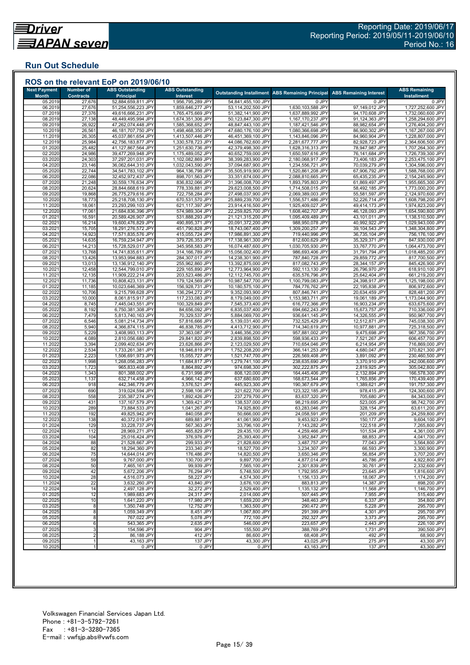## **Run Out Schedule**

| <b>Next Payment</b><br><b>Month</b> | <b>Number of</b><br><b>Contracts</b> | <b>ABS Outstanding</b><br><b>Principal</b> | <b>ABS Outstanding</b><br>Interest     |                                          | <b>Outstanding Installment ABS Remaining Principal</b> | <b>ABS Remaining Interest</b>    | <b>ABS Remaining</b><br><b>Installment</b> |
|-------------------------------------|--------------------------------------|--------------------------------------------|----------------------------------------|------------------------------------------|--------------------------------------------------------|----------------------------------|--------------------------------------------|
| 05.2019                             | 27,676                               | 52,884,659,811 JPY                         | 1,956,795,289 JPY                      | 54,841,455,100 JPY                       | 0 JPY                                                  | 0 JPY                            | 0 JPY                                      |
| 06.2019                             | 27,676                               | 51,254,556,223 JPY                         | 1,859,646,277 JPY                      | 53,114,202,500 JPY                       | 1,630,103,588 JPY                                      | 97,149,012 JPY                   | 1,727,252,600 JPY                          |
| 07.2019                             | 27,376                               | 49,616,666,231 JPY                         | 1,765,475,669 JPY                      | 51,382,141,900 JPY                       | 1,637,889,992 JPY                                      | 94,170,608 JPY                   | 1,732,060,600 JPY                          |
| 08.2019                             | 27,138                               | 48,449,495,994 JPY                         | 1,674,351,306 JPY                      | 50,123,847,300 JPY                       | 1,167,170,237 JPY                                      | 91,124,363 JPY                   | 1,258,294,600 JPY                          |
| 09.2019                             | 26,922                               | 47,262,074,448 JPY                         | 1,585,368,652 JPY                      | 48,847,443,100 JPY                       | 1,187,421,546 JPY                                      | 88,982,654 JPY                   | 1,276,404,200 JPY                          |
| 10.2019<br>11.2019                  | 26,561<br>26,305                     | 46,181,707,750 JPY<br>45,037,861,654 JPY   | 1,498,468,350 JPY<br>1,413,507,446 JPY | 47,680,176,100 JPY<br>46,451,369,100 JPY | 1,080,366,698 JPY<br>1,143,846,096 JPY                 | 86,900,302 JPY<br>84,960,904 JPY | 1,167,267,000 JPY<br>1,228,807,000 JPY     |
| 12.2019                             | 25,984                               | 42,756,183,877 JPY                         | 1,330,578,723 JPY                      | 44,086,762,600 JPY                       | 2,281,677,777 JPY                                      | 82,928,723 JPY                   | 2,364,606,500 JPY                          |
| 01.2020                             | 25,482                               | 41,127,867,564 JPY                         | 1,251,630,736 JPY                      | 42,379,498,300 JPY                       | 1,628,316,313 JPY                                      | 78,947,987 JPY                   | 1,707,264,300 JPY                          |
| 02.2020                             | 24,986                               | 39,477,269,948 JPY                         | 1,175,489,052 JPY                      | 40,652,759,000 JPY                       | 1,650,597,616 JPY                                      | 76,141,684 JPY                   | 1,726,739,300 JPY                          |
| 03.2020                             | 24,303                               | 37,297,201,031 JPY                         | 1,102,082,869 JPY                      | 38,399,283,900 JPY                       | 2,180,068,917 JPY                                      | 73,406,183 JPY                   | 2,253,475,100 JPY                          |
| 04.2020                             | 23,146                               | 36,062,644,310 JPY                         | 1,032,043,590 JPY                      | 37,094,687,900 JPY                       | 1,234,556,721 JPY                                      | 70,039,279 JPY                   | 1,304,596,000 JPY                          |
| 05.2020                             | 22,744                               | 34,541,783,102 JPY                         | 964,136,798 JPY                        | 35,505,919,900 JPY                       | 1,520,861,208 JPY                                      | 67,906,792 JPY                   | 1,588,768,000 JPY                          |
| 06.2020<br>07.2020                  | 22,086<br>21,248                     | 32,452,972,437 JPY<br>30,559,176,634 JPY   | 898,701,563 JPY<br>836,832,066 JPY     | 33,351,674,000 JPY<br>31,396,008,700 JPY | 2,088,810,665 JPY<br>1,893,795,803 JPY                 | 65,435,235 JPY<br>61,869,497 JPY | 2,154,245,900 JPY<br>1,955,665,300 JPY     |
| 08.2020                             | 20,624                               | 28,844,668,619 JPY                         | 778,339,881 JPY                        | 29,623,008,500 JPY                       | 1,714,508,015 JPY                                      | 58,492,185 JPY                   | 1,773,000,200 JPY                          |
| 09.2020                             | 19,868                               | 26,775,279,616 JPY                         | 722,758,284 JPY                        | 27,498,037,900 JPY                       | 2,069,389,003 JPY                                      | 55,581,597 JPY                   | 2,124,970,600 JPY                          |
| 10.2020                             | 18,773                               | 25,218,708,130 JPY                         | 670,531,570 JPY                        | 25,889,239,700 JPY                       | 1,556,571,486 JPY                                      | 52,226,714 JPY                   | 1,608,798,200 JPY                          |
| 11.2020                             | 18,061                               | 23,293,299,103 JPY                         | 621,117,397 JPY                        | 23,914,416,500 JPY                       | 1,925,409,027 JPY                                      | 49,414,173 JPY                   | 1,974,823,200 JPY                          |
| 12.2020                             | 17,061                               | 21,684,836,396 JPY                         | 574,989,304 JPY                        | 22,259,825,700 JPY                       | 1,608,462,707 JPY                                      | 46,128,093 JPY                   | 1,654,590,800 JPY                          |
| 01.2021                             | 16,591                               | 20,589,426,907 JPY                         | 531,888,293 JPY                        | 21,121,315,200 JPY                       | 1,095,409,489 JPY                                      | 43,101,011 JPY                   | 1,138,510,500 JPY                          |
| 02.2021<br>03.2021                  | 16,214<br>15,705                     | 19,600,476,829 JPY<br>18,291,276,572 JPY   | 490,895,371 JPY<br>451,790,828 JPY     | 20,091,372,200 JPY<br>18,743,067,400 JPY | 988,950,078 JPY<br>1,309,200,257 JPY                   | 40,992,922 JPY<br>39,104,543 JPY | 1,029,943,000 JPY<br>1,348,304,800 JPY     |
| 04.2021                             | 14,923                               | 17,571,835,576 JPY                         | 415,055,724 JPY                        | 17,986,891,300 JPY                       | 719,440,996 JPY                                        | 36,735,104 JPY                   | 756,176,100 JPY                            |
| 05.202                              | 14,635                               | 16,759,234,947 JPY                         | 379,726,353 JPY                        | 17,138,961,300 JPY                       | 812,600,629 JPY                                        | 35,329,371 JPY                   | 847,930,000 JPY                            |
| 06.202                              | 14,213                               | 15,728,529,017 JPY                         | 345,958,583 JPY                        | 16,074,487,600 JPY                       | 1,030,705,930 JPY                                      | 33,767,770 JPY                   | 1,064,473,700 JPY                          |
| 07.202                              | 13,768                               | 14,741,835,611 JPY                         | 314,166,789 JPY                        | 15,056,002,400 JPY                       | 986,693,406 JPY                                        | 31,791,794 JPY                   | 1,018,485,200 JPY                          |
| 08.2021                             | 13,426                               | 13,953,994,883 JPY                         | 284,307,017 JPY                        | 14,238,301,900 JPY                       | 787,840,728 JPY                                        | 29,859,772 JPY                   | 817,700,500 JPY                            |
| 09.202                              | 13,013                               | 13,136,912,140 JPY                         | 255,962,860 JPY                        | 13,392,875,000 JPY                       | 817,082,743 JPY                                        | 28,344,157 JPY                   | 845,426,900 JPY                            |
| 10.202<br>11.202                    | 12,458<br>12,135                     | 12,544,799,010 JPY<br>11,909,222,214 JPY   | 229,165,890 JPY<br>203,523,486 JPY     | 12,773,964,900 JPY<br>12,112,745,700 JPY | 592,113,130 JPY<br>635,576,796 JPY                     | 26,796,970 JPY<br>25,642,404 JPY | 618,910,100 JPY<br>661,219,200 JPY         |
| 12.202                              | 11,736                               | 10,808,423,131 JPY                         | 179,124,569 JPY                        | 10,987,547,700 JPY                       | 1,100,799,083 JPY                                      | 24,398,917 JPY                   | 1,125,198,000 JPY                          |
| 01.2022                             | 11,185                               | 10,023,646,369 JPY                         | 156,928,731 JPY                        | 10,180,575,100 JPY                       | 784,776,762 JPY                                        | 22,195,838 JPY                   | 806,972,600 JPY                            |
| 02.2022                             | 10,706                               | 9,215,799,628 JPY                          | 136,294,272 JPY                        | 9,352,093,900 JPY                        | 807,846,741 JPY                                        | 20,634,459 JPY                   | 828,481,200 JPY                            |
| 03.202                              | 10,000                               | 8,061,815,917 JPY                          | 117,233,083 JPY                        | 8,179,049,000 JPY                        | 1,153,983,711 JPY                                      | 19,061,189 JPY                   | 1,173,044,900 JPY                          |
| 04.2022                             | 8,745                                | 7,445,043,551 JPY                          | 100,329,849 JPY                        | 7,545,373,400 JPY                        | 616,772,366 JPY                                        | 16,903,234 JPY                   | 633,675,600 JPY                            |
| 05.2022                             | 8,192                                | 6,750,381,308 JPY                          | 84,656,092 JPY                         | 6,835,037,400 JPY                        | 694,662,243 JPY                                        | 15,673,757 JPY                   | 710,336,000 JPY                            |
| 06.2022<br>07.202                   | 7,479<br>6,546                       | 5,813,740,163 JPY<br>5,081,214,734 JPY     | 70,329,537 JPY<br>57,816,666 JPY       | 5,884,069,700 JPY<br>5,139,031,400 JPY   | 936,641,145 JPY<br>732,525,429 JPY                     | 14,326,555 JPY<br>12,512,871 JPY | 950,967,700 JPY<br>745,038,300 JPY         |
| 08.2022                             | 5,940                                | 4,366,874,115 JPY                          | 46,838,785 JPY                         | 4,413,712,900 JPY                        | 714,340,619 JPY                                        | 10,977,881 JPY                   | 725,318,500 JPY                            |
| 09.2022                             | 5,229                                | 3,408,993,113 JPY                          | 37,363,087 JPY                         | 3,446,356,200 JPY                        | 957,881,002 JPY                                        | 9,475,698 JPY                    | 967,356,700 JPY                            |
| 10.2022                             | 4,089                                | 2,810,056,680 JPY                          | 29,841,820 JPY                         | 2,839,898,500 JPY                        | 598,936,433 JPY                                        | 7,521,267 JPY                    | 606,457,700 JPY                            |
| 11.202                              | 3,394                                | 2,099,402,634 JPY                          | 23,626,866 JPY                         | 2,123,029,500 JPY                        | 710,654,046 JPY                                        | 6,214,954 JPY                    | 716,869,000 JPY                            |
| 12.202                              | 2,534                                | 1,733,261,381 JPY                          | 18,946,819 JPY                         | 1,752,208,200 JPY                        | 366,141,253 JPY                                        | 4,680,047 JPY                    | 370,821,300 JPY                            |
| 01.2023<br>02.2023                  | 2,223                                | 1,506,691,973 JPY<br>1,268,056,283 JPY     | 15,055,727 JPY                         | 1,521,747,700 JPY                        | 226,569,408 JPY<br>238,635,690 JPY                     | 3,891,092 JPY<br>3,370,910 JPY   | 230,460,500 JPY<br>242,006,600 JPY         |
| 03.2023                             | 1,998<br>1,723                       | 965,833,408 JPY                            | 11,684,817 JPY<br>8,864,892 JPY        | 1,279,741,100 JPY<br>974,698,300 JPY     | 302,222,875 JPY                                        | 2,819,925 JPY                    | 305,042,800 JPY                            |
| 04.2023                             | 1,343                                | 801,388,002 JPY                            | 6,731,998 JPY                          | 808,120,000 JPY                          | 164,445,406 JPY                                        | 2,132,894 JPY                    | 166,578,300 JPY                            |
| 05.2023                             | 1,137                                | 632,714,458 JPY                            | 4,966,142 JPY                          | 637,680,600 JPY                          | 168,673,544 JPY                                        | 1,765,856 JPY                    | 170,439,400 JPY                            |
| 06.2023                             | 918                                  | 442,346,779 JPY                            | 3,576,521 JPY                          | 445,923,300 JPY                          | 190,367,679 JPY                                        | 1,389,621 JPY                    | 191,757,300 JPY                            |
| 07.2023                             | 690                                  | 319,024,594 JPY                            | 2,598,106 JPY                          | 321,622,700 JPY                          | 123,322,185 JPY                                        | 978,415 JPY                      | 124,300,600 JPY                            |
| 08.2023                             | 558                                  | 235,387,274 JPY                            | 1,892,426 JPY                          | 237,279,700 JPY                          | 83,637,320 JPY                                         | 705,680 JPY                      | 84,343,000 JPY                             |
| 09.202                              | 431<br>289                           | 137,167,579 JPY<br>73,884,533 JPY          | 1,369,421 JPY                          | 138,537,000 JPY                          | 98,219,695 JPY                                         | 523,005 JPY<br>328,154 JPY       | 98,742,700 JPY                             |
| 10.2023<br>11.2023                  | 192                                  | 49,825,942 JPY                             | 1,041,267 JPY<br>840,058 JPY           | 74,925,800 JPY<br>50,666,000 JPY         | 63,283,046 JPY<br>24,058,591 JPY                       | 201,209 JPY                      | 63,611,200 JPY<br>24,259,800 JPY           |
| 12.2023                             | 138                                  | 40.372.019 JPY                             | 689,881 JPY                            | 41.061.900 JPY                           | 9,453,923 JPY                                          | 150,177 JPY                      | 9,604,100 JPY                              |
| 01.2024                             | 129                                  | 33,228,737 JPY                             | 567,363 JPY                            | 33,796,100 JPY                           | 7,143,282 JPY                                          | 122,518 JPY                      | 7,265,800 JPY                              |
| 02.2024                             | 112                                  | 28,969,271 JPY                             | 465,829 JPY                            | 29,435,100 JPY                           | 4,259,466 JPY                                          | 101,534 JPY                      | 4,361,000 JPY                              |
| 03.2024                             | 104                                  | 25,016,424 JPY                             | 376,976 JPY                            | 25,393,400 JPY                           | 3,952,847 JPY                                          | 88,853 JPY                       | 4,041,700 JPY                              |
| 04.2024                             | 88                                   | 21,528,667 JPY                             | 299,933 JPY                            | 21,828,600 JPY                           | 3,487,757 JPY                                          | 77,043 JPY                       | 3,564,800 JPY                              |
| 05.2024                             | 82                                   | 18,294,360 JPY                             | 233,340 JPY                            | 18,527,700 JPY                           | 3,234,307 JPY                                          | 66,593 JPY                       | 3,300,900 JPY                              |
| 06.2024<br>07.2024                  | 75<br>59                             | 14,644,014 JPY<br>9,767,000 JPY            | 176,486 JPY<br>130,700 JPY             | 14,820,500 JPY<br>9,897,700 JPY          | 3,650,346 JPY<br>4,877,014 JPY                         | 56,854 JPY<br>45,786 JPY         | 3,707,200 JPY<br>4,922,800 JPY             |
| 08.2024                             | 50                                   | 7,465,161 JPY                              | 99,939 JPY                             | 7,565,100 JPY                            | 2,301,839 JPY                                          | 30,761 JPY                       | 2,332,600 JPY                              |
| 09.2024                             | 42                                   | 5,672,206 JPY                              | 76,294 JPY                             | 5,748,500 JPY                            | 1,792,955 JPY                                          | 23,645 JPY                       | 1.816.600 JPY                              |
| 10.2024                             | 28                                   | 4,516,073 JPY                              | 58,227 JPY                             | 4,574,300 JPY                            | 1,156,133 JPY                                          | 18,067 JPY                       | 1,174,200 JPY                              |
| 11.2024                             | 22                                   | 3.632.260 JPY                              | 43,840 JPY                             | 3,676,100 JPY                            | 883.813 JPY                                            | 14,387 JPY                       | 898,200 JPY                                |
| 12.2024                             | 14                                   | 2,497,128 JPY                              | 32,272 JPY                             | 2,529,400 JPY                            | 1,135,132 JPY                                          | 11,568 JPY                       | 1,146,700 JPY                              |
| 01.2025                             | 12                                   | 1,989,683 JPY                              | 24,317 JPY                             | 2,014,000 JPY                            | 507,445 JPY                                            | 7,955 JPY                        | 515,400 JPY                                |
| 02.2025                             | 10                                   | 1,641,220 JPY                              | 17,980 JPY                             | 1,659,200 JPY<br>1,363,500 JPY           | 348,463 JPY<br>290,472 JPY                             | 6,337 JPY                        | 354,800 JPY                                |
| 03.2025<br>04.2025                  | 8<br>8                               | 1,350,748 JPY<br>1.059.349 JPY             | 12,752 JPY<br>8,451 JPY                | 1,067,800 JPY                            | 291,399 JPY                                            | 5,228 JPY<br>4.301 JPY           | 295,700 JPY<br>295,700 JPY                 |
| 05.2025                             | 8                                    | 767,022 JPY                                | 5,078 JPY                              | 772,100 JPY                              | 292,327 JPY                                            | 3,373 JPY                        | 295,700 JPY                                |
| 06.2025                             | $\overline{6}$                       | 543,365 JPY                                | 2,635 JPY                              | 546,000 JPY                              | 223,657 JPY                                            | 2,443 JPY                        | 226,100 JPY                                |
| 07.2025                             | 3                                    | 154,596 JPY                                | 904 JPY                                | 155,500 JPY                              | 388,769 JPY                                            | 1,731 JPY                        | 390,500 JPY                                |
| 08.2025                             | $\overline{2}$                       | 86,188 JPY                                 | 412 JPY                                | 86,600 JPY                               | 68,408 JPY                                             | 492 JPY                          | 68,900 JPY                                 |
| 09.2025                             |                                      | 43,163 JPY                                 | 137 JPY                                | 43,300 JPY                               | 43,025 JPY                                             | 275 JPY                          | 43,300 JPY                                 |
| 10.2025                             |                                      | 0 JPY                                      | 0 JPY                                  | 0 JPY                                    | 43,163 JPY                                             | 137 JPY                          | 43,300 JPY                                 |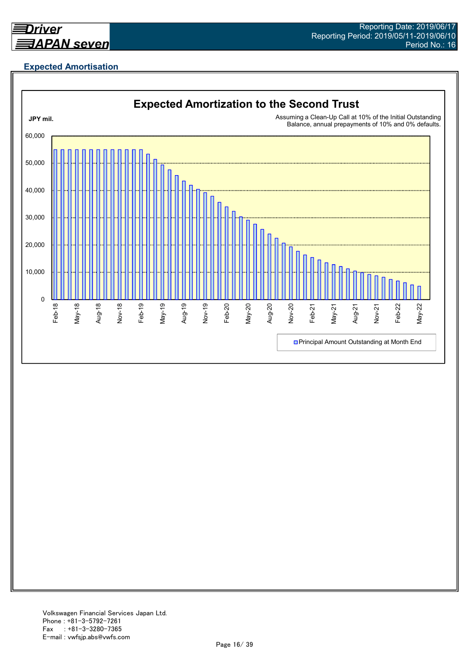

# **Expected Amortisation**

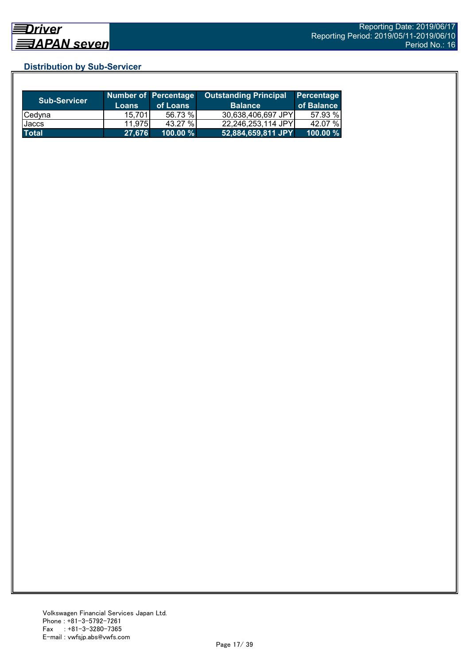# **Distribution by Sub-Servicer**

| <b>Sub-Servicer</b> | <b>Loans</b> | <b>Number of Percentage</b><br>of Loans | <b>Outstanding Principal</b><br><b>Balance</b> | <b>Percentage</b><br>of Balance |
|---------------------|--------------|-----------------------------------------|------------------------------------------------|---------------------------------|
| Cedyna              | 15.701       | 56.73 %                                 | 30.638.406.697 JPYI                            | 57.93 %                         |
| Jaccs               | 11.975       | 43.27%                                  | 22,246,253,114 JPY                             | 42.07 %                         |
| <b>Total</b>        | 27,676       | $100.00 \%$                             | 52,884,659,811 JPY                             | 100.00 $%$                      |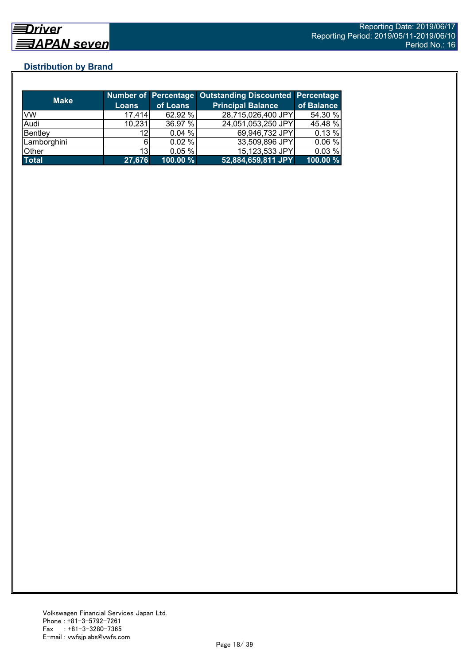# **Distribution by Brand**

| <b>Make</b>  |              |             | Number of Percentage Outstanding Discounted Percentage |            |
|--------------|--------------|-------------|--------------------------------------------------------|------------|
|              | <b>Loans</b> | of Loans    | <b>Principal Balance</b>                               | of Balance |
| VW           | 17,414       | 62.92 %     | 28,715,026,400 JPY                                     | 54.30 %    |
| Audi         | 10,231       | 36.97 %     | 24,051,053,250 JPY                                     | 45.48 %    |
| Bentley      | 12           | 0.04%       | 69,946,732 JPY                                         | 0.13 %     |
| Lamborghini  | 61           | 0.02%       | 33,509,896 JPY                                         | 0.06%      |
| Other        | 13           | 0.05%       | 15,123,533 JPY                                         | 0.03%      |
| <b>Total</b> | 27,676       | $100.00 \%$ | 52,884,659,811 JPY                                     | 100.00 %   |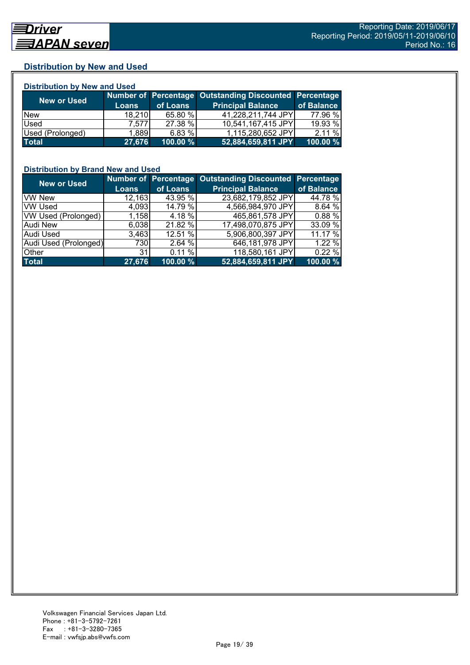## **Distribution by New and Used**

| <b>Distribution by New and Used</b> |              |          |                                                               |            |  |  |
|-------------------------------------|--------------|----------|---------------------------------------------------------------|------------|--|--|
|                                     |              |          | <b>Number of Percentage Outstanding Discounted Percentage</b> |            |  |  |
| <b>New or Used</b>                  | <b>Loans</b> | of Loans | <b>Principal Balance</b>                                      | of Balance |  |  |
| <b>New</b>                          | 18.210       | 65.80 %  | 41,228,211,744 JPY                                            | 77.96 %    |  |  |
| Used                                | 7.5771       | 27.38 %  | 10,541,167,415 JPY                                            | 19.93 %    |  |  |
| Used (Prolonged)                    | 1,889        | 6.83%    | 1,115,280,652 JPY                                             | 2.11%      |  |  |
| <b>Total</b>                        | 27,676       | 100.00 % | 52,884,659,811 JPY                                            | 100.00 %   |  |  |

## **Distribution by Brand New and Used**

| <b>New or Used</b>         |              |          | Number of Percentage Outstanding Discounted Percentage |            |
|----------------------------|--------------|----------|--------------------------------------------------------|------------|
|                            | <b>Loans</b> | of Loans | <b>Principal Balance</b>                               | of Balance |
| <b>VW New</b>              | 12,163       | 43.95 %  | 23,682,179,852 JPY                                     | 44.78 %    |
| <b>VW Used</b>             | 4,093        | 14.79 %  | 4,566,984,970 JPY                                      | 8.64%      |
| <b>VW Used (Prolonged)</b> | 1,158        | 4.18 %   | 465,861,578 JPY                                        | 0.88%      |
| Audi New                   | 6,038        | 21.82 %  | 17,498,070,875 JPY                                     | 33.09 %    |
| Audi Used                  | 3.463        | 12.51 %  | 5,906,800,397 JPY                                      | 11.17 %    |
| Audi Used (Prolonged)      | 730          | 2.64 %   | 646,181,978 JPY                                        | 1.22 %     |
| Other                      | 31           | 0.11%    | 118,580,161 JPY                                        | 0.22%      |
| <b>Total</b>               | 27,676       | 100.00 % | 52,884,659,811 JPY                                     | 100.00 %   |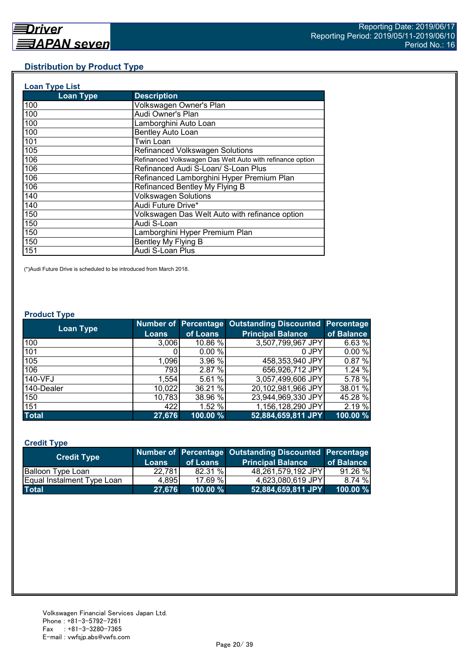## **Distribution by Product Type**

| <b>Loan Type List</b> |                                                           |
|-----------------------|-----------------------------------------------------------|
| <b>Loan Type</b>      | <b>Description</b>                                        |
| 100                   | Volkswagen Owner's Plan                                   |
| 100                   | Audi Owner's Plan                                         |
| 100                   | Lamborghini Auto Loan                                     |
| 100                   | <b>Bentley Auto Loan</b>                                  |
| 101                   | Twin Loan                                                 |
| 105                   | Refinanced Volkswagen Solutions                           |
| 106                   | Refinanced Volkswagen Das Welt Auto with refinance option |
| 106                   | Refinanced Audi S-Loan/ S-Loan Plus                       |
| 106                   | Refinanced Lamborghini Hyper Premium Plan                 |
| 106                   | Refinanced Bentley My Flying B                            |
| 140                   | <b>Volkswagen Solutions</b>                               |
| 140                   | Audi Future Drive*                                        |
| 150                   | Volkswagen Das Welt Auto with refinance option            |
| 150                   | Audi S-Loan                                               |
| 150                   | Lamborghini Hyper Premium Plan                            |
| 150                   | Bentley My Flying B                                       |
| 151                   | Audi S-Loan Plus                                          |

(\*)Audi Future Drive is scheduled to be introduced from March 2018.

#### **Product Type**

| <b>Loan Type</b> |              |          | Number of Percentage Outstanding Discounted Percentage |            |
|------------------|--------------|----------|--------------------------------------------------------|------------|
|                  | <b>Loans</b> | of Loans | <b>Principal Balance</b>                               | of Balance |
| 100              | 3,006        | 10.86 %  | 3,507,799,967 JPY                                      | 6.63 %     |
| 101              |              | 0.00%    | 0 JPY                                                  | 0.00%      |
| 105              | 1,096        | 3.96 %   | 458,353,940 JPY                                        | 0.87 %     |
| 106              | 793          | 2.87 %   | 656,926,712 JPY                                        | 1.24 %     |
| 140-VFJ          | 1,554        | 5.61%    | 3,057,499,606 JPY                                      | 5.78 %     |
| 140-Dealer       | 10,022       | 36.21 %  | 20,102,981,966 JPY                                     | 38.01 %    |
| 150              | 10,783       | 38.96 %  | 23,944,969,330 JPY                                     | 45.28 %    |
| 151              | 4221         | 1.52 %   | 1,156,128,290 JPY                                      | 2.19 %     |
| <b>Total</b>     | 27,676       | 100.00 % | 52,884,659,811 JPY                                     | 100.00 %   |

## **Credit Type**

| <b>Credit Type</b>         |        |                                | Number of Percentage Outstanding Discounted Percentage |            |
|----------------------------|--------|--------------------------------|--------------------------------------------------------|------------|
|                            | Loans  | of Loans                       | <b>Principal Balance</b>                               | of Balance |
| <b>Balloon Type Loan</b>   | 22,781 | 82.31 %                        | 48,261,579,192 JPY                                     | 91.26%     |
| Equal Instalment Type Loan | 4.895  | 17.69 %                        | 4,623,080,619 JPY                                      | 8.74 %     |
| <b>Total</b>               | 27.676 | $100.00\ \%$ $^{\prime\prime}$ | 52,884,659,811 JPY                                     | 100.00 %   |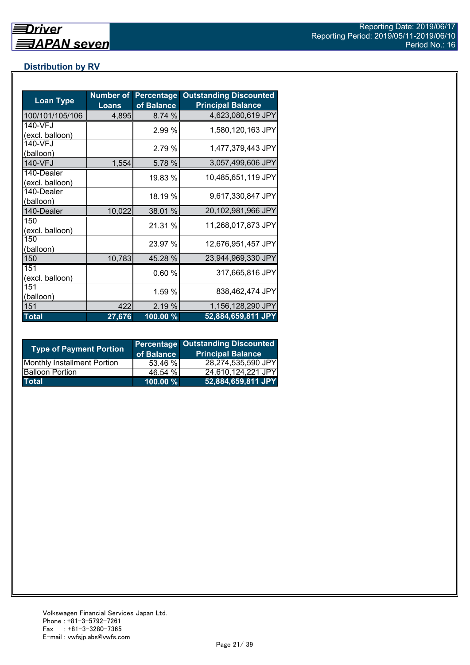# **Distribution by RV**

| <b>Loan Type</b>              | <b>Number of</b><br><b>Loans</b> | <b>Percentage</b><br>of Balance | <b>Outstanding Discounted</b><br><b>Principal Balance</b> |
|-------------------------------|----------------------------------|---------------------------------|-----------------------------------------------------------|
| 100/101/105/106               | 4,895                            | 8.74 %                          | 4,623,080,619 JPY                                         |
| 140-VFJ<br>(excl. balloon)    |                                  | 2.99 %                          | 1,580,120,163 JPY                                         |
| 140-VFJ<br>(balloon)          |                                  | 2.79 %                          | 1,477,379,443 JPY                                         |
| 140-VFJ                       | 1,554                            | 5.78 %                          | 3,057,499,606 JPY                                         |
| 140-Dealer<br>(excl. balloon) |                                  | 19.83 %                         | 10,485,651,119 JPY                                        |
| 140-Dealer<br>(balloon)       |                                  | 18.19 %                         | 9,617,330,847 JPY                                         |
| 140-Dealer                    | 10,022                           | 38.01 %                         | 20,102,981,966 JPY                                        |
| 150<br>(excl. balloon)        |                                  | 21.31 %                         | 11,268,017,873 JPY                                        |
| 150<br>(balloon)              |                                  | 23.97 %                         | 12,676,951,457 JPY                                        |
| 150                           | 10,783                           | 45.28 %                         | 23,944,969,330 JPY                                        |
| 151<br>(excl. balloon)        |                                  | 0.60%                           | 317,665,816 JPY                                           |
| 151<br>(balloon)              |                                  | 1.59 %                          | 838,462,474 JPY                                           |
| 151                           | 422                              | 2.19 %                          | 1,156,128,290 JPY                                         |
| <b>Total</b>                  | 27,676                           | 100.00 %                        | 52,884,659,811 JPY                                        |

| <b>Type of Payment Portion</b>     | of Balance | <b>Percentage Outstanding Discounted</b><br><b>Principal Balance</b> |
|------------------------------------|------------|----------------------------------------------------------------------|
| <b>Monthly Installment Portion</b> | 53.46 %    | 28,274,535,590 JPY                                                   |
| <b>Balloon Portion</b>             | 46.54 %    | 24,610,124,221 JPY                                                   |
| <b>Total</b>                       | 100.00 %   | 52,884,659,811 JPY                                                   |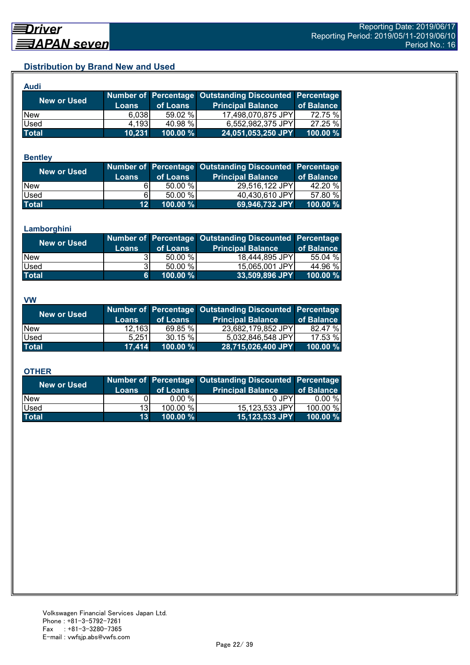# **Distribution by Brand New and Used**

| <b>Audi</b>  |              |          |                                                        |            |
|--------------|--------------|----------|--------------------------------------------------------|------------|
| New or Used  |              |          | Number of Percentage Outstanding Discounted Percentage |            |
|              | <b>Loans</b> | of Loans | <b>Principal Balance</b>                               | of Balance |
| <b>New</b>   | 6,038        | 59.02 %  | 17,498,070,875 JPY                                     | 72.75 %    |
| Used         | 4.193        | 40.98 %  | 6,552,982,375 JPY                                      | 27.25 %    |
| <b>Total</b> | 10,231       | 100.00 % | 24,051,053,250 JPY                                     | 100.00 %   |

#### **Bentley**

| New or Used  | <b>Loans</b>    | of Loans | Number of Percentage Outstanding Discounted Percentage<br><b>Principal Balance</b> | of Balance |
|--------------|-----------------|----------|------------------------------------------------------------------------------------|------------|
| <b>New</b>   |                 | 50.00 %  | 29,516,122 JPY                                                                     | 42.20 %    |
| Used         | 61              | 50.00 %  | 40,430,610 JPY                                                                     | 57.80 %    |
| <b>Total</b> | 12 <sup>1</sup> | 100.00 % | 69,946,732 JPY                                                                     | 100.00 %   |

#### **Lamborghini**

| New or Used  | <b>Loans</b>   | of Loans | Number of Percentage Outstanding Discounted Percentage<br><b>Principal Balance</b> | of Balance |
|--------------|----------------|----------|------------------------------------------------------------------------------------|------------|
| <b>New</b>   |                | 50.00 %  | 18,444,895 JPY                                                                     | 55.04 %    |
| <b>Used</b>  | 31             | 50.00 %  | 15,065,001 JPY                                                                     | 44.96 %    |
| <b>Total</b> | 6 <sup>1</sup> | 100.00 % | 33,509,896 JPY                                                                     | 100.00 %   |

#### **VW**

| <b>New or Used</b> |              |            | Number of Percentage Outstanding Discounted Percentage |            |
|--------------------|--------------|------------|--------------------------------------------------------|------------|
|                    | <b>Loans</b> | of Loans   | <b>Principal Balance</b>                               | of Balance |
| <b>New</b>         | 12,163       | 69.85 %    | 23,682,179,852 JPY                                     | 82.47 %    |
| <b>Used</b>        | 5.251        | $30.15 \%$ | 5,032,846,548 JPY                                      | 17.53 %    |
| <b>Total</b>       | 17,414       | 100.00 %   | 28,715,026,400 JPY                                     | 100.00 %   |

#### **OTHER**

| <b>New or Used</b> | <b>Loans</b>    | of Loans | Number of Percentage Outstanding Discounted Percentage<br><b>Principal Balance</b> | of Balance |
|--------------------|-----------------|----------|------------------------------------------------------------------------------------|------------|
| <b>New</b>         |                 | 0.00 %   | 0 JPY                                                                              | $0.00 \%$  |
| Used               | 13 <sup>1</sup> | 100.00 % | 15,123,533 JPY                                                                     | 100.00 %   |
| <b>Total</b>       | 13 <sup>1</sup> | 100.00 % | 15,123,533 JPY                                                                     | 100.00 $%$ |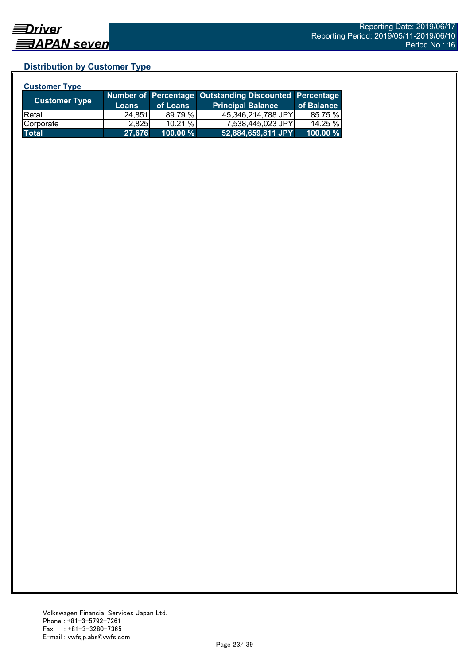# **Distribution by Customer Type**

| <b>Customer Type</b> |              |          |                                                        |            |
|----------------------|--------------|----------|--------------------------------------------------------|------------|
| <b>Customer Type</b> |              |          | Number of Percentage Outstanding Discounted Percentage |            |
|                      | <b>Loans</b> | of Loans | <b>Principal Balance</b>                               | of Balance |
| <b>Retail</b>        | 24.851       | 89.79 %  | 45,346,214,788 JPY                                     | 85.75 %    |
| Corporate            | 2,825        | 10.21 %  | 7,538,445,023 JPY                                      | 14.25 %    |
| <b>Total</b>         | 27,676       | 100.00 % | 52,884,659,811 JPY                                     | 100.00 %   |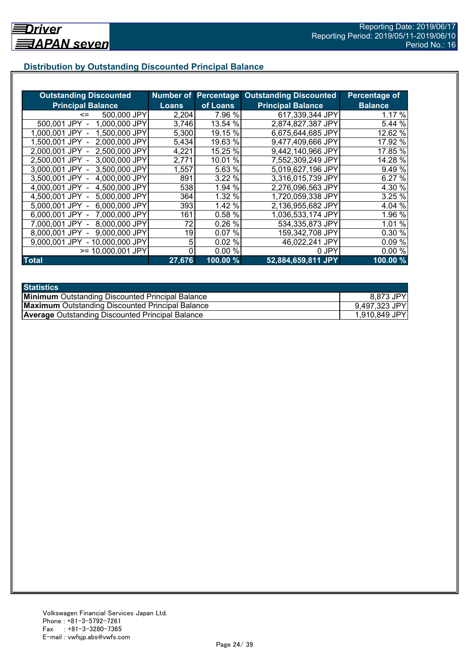# **Distribution by Outstanding Discounted Principal Balance**

| <b>Outstanding Discounted</b>     |              |                     | <b>Number of Percentage Outstanding Discounted</b> | Percentage of  |
|-----------------------------------|--------------|---------------------|----------------------------------------------------|----------------|
| <b>Principal Balance</b>          | <b>Loans</b> | of Loans            | <b>Principal Balance</b>                           | <b>Balance</b> |
| 500,000 JPY<br><=                 | 2,204        | 7.96 %              | 617,339,344 JPY                                    | 1.17%          |
| 1,000,000 JPY<br>500,001 JPY      | 3,746        | 13.54 %             | 2,874,827,387 JPY                                  | 5.44 %         |
| 1,500,000 JPY<br>1.000.001 JPY    | 5,300        | 19.15 %             | 6,675,644,685 JPY                                  | 12.62 %        |
| 2,000,000 JPY<br>1.500.001 JPY -  | 5,434        | 19.63 %             | 9,477,409,666 JPY                                  | 17.92 %        |
| 2,500,000 JPY<br>2.000.001 JPY -  | 4,221        | 15.25 %             | 9,442,140,966 JPY                                  | 17.85 %        |
| 3,000,000 JPY<br>2,500,001 JPY -  | 2,771        | %<br>10.01          | 7,552,309,249 JPY                                  | 14.28 %        |
| 3,000,001 JPY -<br>3,500,000 JPY  | 1,557        | 5.63 %              | 5,019,627,196 JPY                                  | 9.49 %         |
| 3.500,001 JPY -<br>4,000,000 JPY  | 891          | 3.22 %              | 3,316,015,739 JPY                                  | 6.27 %         |
| 4,000,001 JPY -<br>4,500,000 JPY  | 538          | 1.94 %              | 2,276,096,563 JPY                                  | 4.30 %         |
| 4,500,001 JPY -<br>5,000,000 JPY  | 364          | 1.32 %              | 1,720,059,338 JPY                                  | 3.25%          |
| 6,000,000 JPY<br>5,000,001 JPY -  | 393          | 1.42 %              | 2,136,955,682 JPY                                  | 4.04 %         |
| 7,000,000 JPY<br>6,000,001 JPY -  | 161          | 0.58 %              | 1,036,533,174 JPY                                  | 1.96 %         |
| 8,000,000 JPY<br>7.000.001 JPY -  | 72           | 0.26%               | 534,335,873 JPY                                    | 1.01 %         |
| 9,000,000 JPY<br>8,000,001 JPY    | 19           | 0.07%               | 159,342,708 JPY                                    | 0.30 %         |
| - 10,000,000 JPY<br>9.000.001 JPY | 5            | 0.02%               | 46,022,241 JPY                                     | 0.09%          |
| >= 10,000,001 JPY                 |              | 0.00%               | 0 JPY                                              | 0.00%          |
| <b>Total</b>                      | 27,676       | $100.00\frac{9}{6}$ | 52,884,659,811 JPY                                 | 100.00%        |

| <b>Statistics</b>                                       |               |
|---------------------------------------------------------|---------------|
| <b>Minimum</b> Outstanding Discounted Principal Balance | 8,873 JPY     |
| <b>Maximum</b> Outstanding Discounted Principal Balance | 9,497,323 JPY |
| <b>Average Outstanding Discounted Principal Balance</b> | 1,910,849 JPY |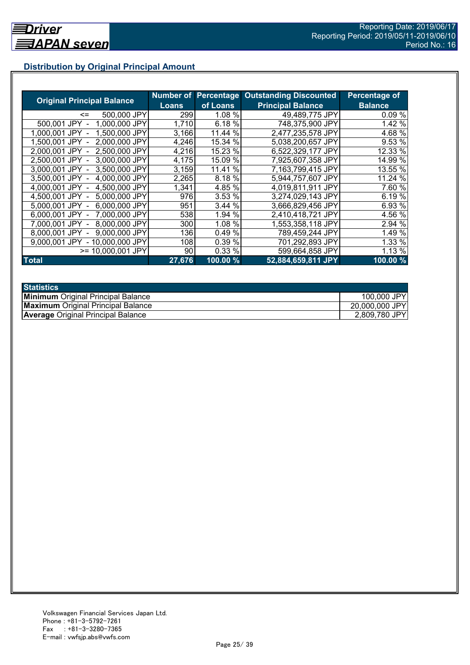# **Distribution by Original Principal Amount**

|                                   |              |          | <b>Number of Percentage Outstanding Discounted</b> | <b>Percentage of</b> |
|-----------------------------------|--------------|----------|----------------------------------------------------|----------------------|
| <b>Original Principal Balance</b> | <b>Loans</b> | of Loans | <b>Principal Balance</b>                           | <b>Balance</b>       |
| 500,000 JPY<br><=                 | 299          | 1.08 %   | 49,489,775 JPY                                     | 0.09%                |
| 500.001 JPY<br>1,000,000 JPY      | 1,710        | 6.18%    | 748,375,900 JPY                                    | 1.42 %               |
| 1,500,000 JPY<br>1.000.001 JPY    | 3,166        | 11.44 %  | 2,477,235,578 JPY                                  | 4.68 %               |
| 2,000,000 JPY<br>1.500.001 JPY    | 4,246        | 15.34 %  | 5,038,200,657 JPY                                  | 9.53 %               |
| 2,500,000 JPY<br>2.000.001 JPY    | 4,216        | 15.23 %  | 6,522,329,177 JPY                                  | 12.33 %              |
| 2,500,001 JPY<br>3,000,000 JPY    | 4,175        | 15.09 %  | 7,925,607,358 JPY                                  | 14.99 %              |
| 3.000.001 JPY -<br>3,500,000 JPY  | 3,159        | 11.41 %  | 7,163,799,415 JPY                                  | 13.55 %              |
| 3,500,001 JPY -<br>4,000,000 JPY  | 2,265        | 8.18 %   | 5,944,757,607 JPY                                  | 11.24 %              |
| 4,500,000 JPY<br>4.000.001 JPY    | 1,341        | 4.85 %   | 4,019,811,911 JPY                                  | 7.60 %               |
| 4,500,001 JPY -<br>5,000,000 JPY  | 976          | 3.53 %   | 3,274,029,143 JPY                                  | 6.19 %               |
| 5.000,001 JPY -<br>6,000,000 JPY  | 951          | 3.44 %   | 3,666,829,456 JPY                                  | 6.93 %               |
| 7,000,000 JPY<br>6,000,001 JPY -  | 538          | 1.94 %   | 2,410,418,721 JPY                                  | 4.56 %               |
| 8,000,000 JPY<br>7.000.001 JPY -  | 300          | 1.08 %   | 1,553,358,118 JPY                                  | 2.94 %               |
| 9,000,000 JPY<br>8.000.001 JPY    | 136          | 0.49%    | 789,459,244 JPY                                    | 1.49 %               |
| 9,000,001 JPY<br>- 10,000,000 JPY | 108          | 0.39 %   | 701,292,893 JPY                                    | 1.33 %               |
| $>= 10,000,001$ JPY               | 90           | 0.33%    | 599,664,858 JPY                                    | 1.13 %               |
| <b>Total</b>                      | 27,676       | 100.00 % | 52,884,659,811 JPY                                 | 100.00%              |

| <b>Statistics</b>                         |                |
|-------------------------------------------|----------------|
| <b>Minimum</b> Original Principal Balance | 100,000 JPY    |
| <b>Maximum</b> Original Principal Balance | 20,000,000 JPY |
| <b>Average Original Principal Balance</b> | 2,809,780 JPY  |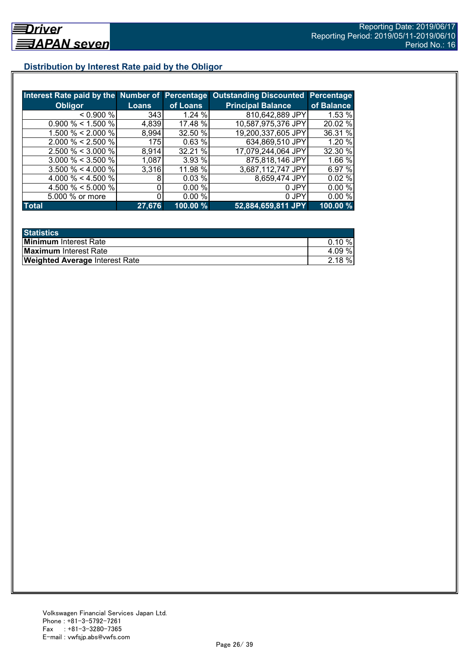# **Distribution by Interest Rate paid by the Obligor**

| Interest Rate paid by the Number of Percentage |        |          | <b>Outstanding Discounted Percentage</b> |            |
|------------------------------------------------|--------|----------|------------------------------------------|------------|
| <b>Obligor</b>                                 | Loans  | of Loans | <b>Principal Balance</b>                 | of Balance |
| $0.900\%$                                      | 343    | 1.24%    | 810,642,889 JPY                          | 1.53 %     |
| $0.900\% < 1.500\%$                            | 4,839  | 17.48 %  | 10,587,975,376 JPY                       | 20.02 %    |
| 1.500 % < 2.000 %                              | 8,994  | 32.50 %  | 19,200,337,605 JPY                       | 36.31 %    |
| $2.000 \% < 2.500 \%$                          | 175    | 0.63%    | 634,869,510 JPY                          | 1.20 %     |
| $2.500 \% < 3.000 \%$                          | 8,914  | 32.21 %  | 17,079,244,064 JPY                       | 32.30 %    |
| $3.000 \% < 3.500 \%$                          | 1,087  | 3.93 %   | 875,818,146 JPY                          | 1.66 %     |
| $3.500 \% < 4.000 \%$                          | 3,316  | 11.98 %  | 3,687,112,747 JPY                        | 6.97 %     |
| 4.000 % < 4.500 %                              | 8      | 0.03%    | 8,659,474 JPY                            | 0.02%      |
| 4.500 % $<$ 5.000 %                            | 0      | 0.00%    | 0 JPY                                    | $0.00\%$   |
| 5.000 % or more                                |        | 0.00%    | 0 JPY                                    | 0.00%      |
| <b>Total</b>                                   | 27,676 | 100.00 % | 52,884,659,811 JPY                       | 100.00%    |

| <b>Statistics</b>                     |           |
|---------------------------------------|-----------|
| <b>Minimum</b> Interest Rate          | $0.10 \%$ |
| <b>Maximum</b> Interest Rate          | 4.09 %    |
| <b>Weighted Average Interest Rate</b> | $2.18 \%$ |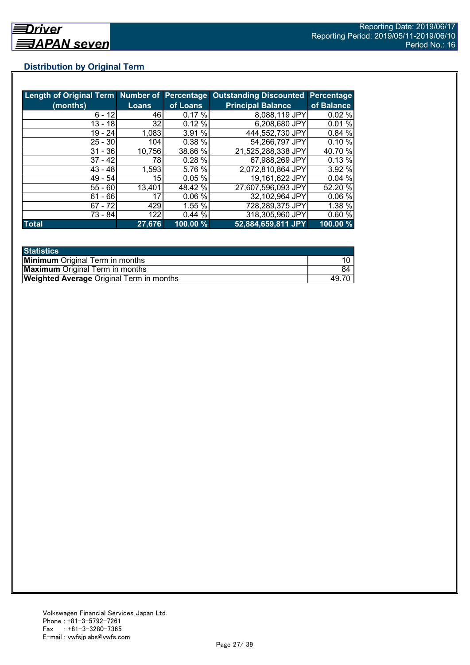# **Distribution by Original Term**

|              |                 |          | Length of Original Term Number of Percentage Outstanding Discounted Percentage |            |
|--------------|-----------------|----------|--------------------------------------------------------------------------------|------------|
| (months)     | Loans           | of Loans | <b>Principal Balance</b>                                                       | of Balance |
| $6 - 12$     | 46              | 0.17%    | 8,088,119 JPY                                                                  | 0.02%      |
| 13 - 18      | 32              | 0.12%    | 6,208,680 JPY                                                                  | 0.01%      |
| $19 - 24$    | 1,083           | 3.91%    | 444,552,730 JPY                                                                | 0.84 %     |
| $25 - 30$    | 104             | 0.38%    | 54,266,797 JPY                                                                 | 0.10%      |
| $31 - 36$    | 10,756          | 38.86 %  | 21,525,288,338 JPY                                                             | 40.70 %    |
| $37 - 42$    | 78              | 0.28 %   | 67,988,269 JPY                                                                 | 0.13%      |
| $43 - 48$    | 1,593           | 5.76 %   | 2,072,810,864 JPY                                                              | 3.92 %     |
| $49 - 54$    | 15 <sup>1</sup> | 0.05%    | 19,161,622 JPY                                                                 | 0.04%      |
| $55 - 60$    | 13,401          | 48.42 %  | 27,607,596,093 JPY                                                             | 52.20 %    |
| $61 - 66$    | 17              | 0.06%    | 32,102,964 JPY                                                                 | 0.06%      |
| $67 - 72$    | 429             | 1.55 %   | 728,289,375 JPY                                                                | 1.38%      |
| 73 - 84      | 122             | 0.44%    | 318,305,960 JPY                                                                | 0.60%      |
| <b>Total</b> | 27,676          | 100.00 % | 52,884,659,811 JPY                                                             | 100.00 %   |

| <b>Statistics</b>                               |      |
|-------------------------------------------------|------|
| <b>Minimum</b> Original Term in months          |      |
| <b>Maximum</b> Original Term in months          | 84   |
| <b>Weighted Average Original Term in months</b> | 49.7 |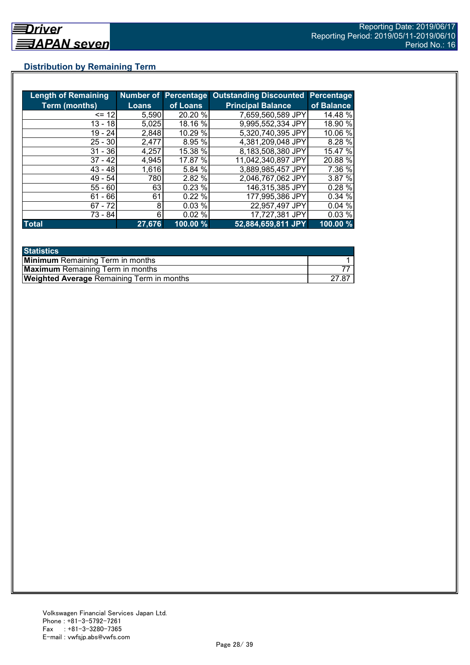# **Distribution by Remaining Term**

| <b>Length of Remaining</b> |              |          | Number of Percentage Outstanding Discounted | Percentage |
|----------------------------|--------------|----------|---------------------------------------------|------------|
| <b>Term (months)</b>       | <b>Loans</b> | of Loans | <b>Principal Balance</b>                    | of Balance |
| $= 12$                     | 5,590        | 20.20 %  | 7,659,560,589 JPY                           | 14.48 %    |
| $13 - 18$                  | 5,025        | 18.16 %  | 9.995,552,334 JPY                           | 18.90 %    |
| $19 - 24$                  | 2,848        | 10.29 %  | 5,320,740,395 JPY                           | 10.06 %    |
| $25 - 30$                  | 2,477        | 8.95 %   | 4,381,209,048 JPY                           | 8.28 %     |
| $31 - 36$                  | 4,257        | 15.38 %  | 8,183,508,380 JPY                           | 15.47 %    |
| $37 - 42$                  | 4,945        | 17.87 %  | 11,042,340,897 JPY                          | 20.88 %    |
| $43 - 48$                  | 1,616        | 5.84 %   | 3,889,985,457 JPY                           | 7.36 %     |
| $49 - 54$                  | 780          | 2.82 %   | 2,046,767,062 JPY                           | 3.87 %     |
| $55 - 60$                  | 63           | 0.23%    | 146,315,385 JPY                             | 0.28%      |
| - 66<br>61                 | 61           | 0.22%    | 177,995,386 JPY                             | 0.34 %     |
| $67 - 72$                  | 8            | 0.03%    | 22,957,497 JPY                              | 0.04%      |
| 73 - 84                    | 6            | 0.02%    | 17,727,381 JPY                              | 0.03%      |
| <b>Total</b>               | 27,676       | 100.00 % | 52,884,659,811 JPY                          | 100.00 %   |

| <b>Statistics</b>                                |       |
|--------------------------------------------------|-------|
| <b>Minimum</b> Remaining Term in months          |       |
| <b>Maximum</b> Remaining Term in months          |       |
| <b>Weighted Average Remaining Term in months</b> | 27.87 |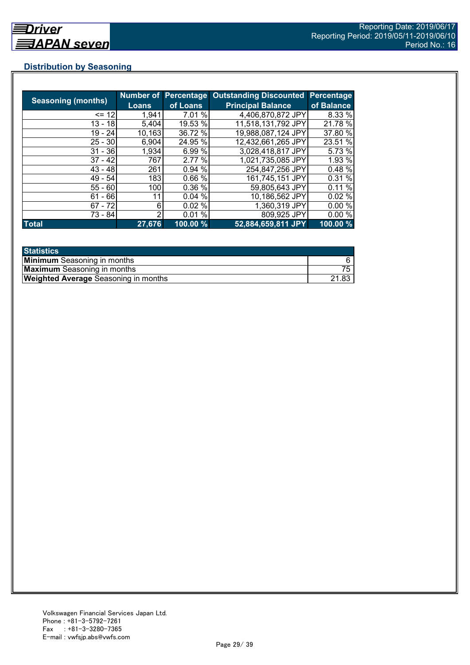# **Distribution by Seasoning**

|                           |              |          | Number of Percentage Outstanding Discounted | Percentage |
|---------------------------|--------------|----------|---------------------------------------------|------------|
| <b>Seasoning (months)</b> | <b>Loans</b> | of Loans | <b>Principal Balance</b>                    | of Balance |
| $= 12$                    | 1,941        | 7.01 %   | 4,406,870,872 JPY                           | 8.33 %     |
| 13 - 18                   | 5,404        | 19.53 %  | 11,518,131,792 JPY                          | 21.78 %    |
| $19 - 24$                 | 10,163       | 36.72 %  | 19,988,087,124 JPY                          | 37.80 %    |
| $25 - 30$                 | 6,904        | 24.95 %  | 12,432,661,265 JPY                          | 23.51 %    |
| $31 - 36$                 | 1,934        | 6.99%    | 3,028,418,817 JPY                           | 5.73 %     |
| $37 - 42$                 | 767          | 2.77 %   | 1,021,735,085 JPY                           | 1.93 %     |
| $43 - 48$                 | 261          | 0.94 %   | 254,847,256 JPY                             | 0.48 %     |
| $49 - 54$                 | 183          | 0.66%    | 161,745,151 JPY                             | 0.31 %     |
| $55 - 60$                 | 100          | 0.36 %   | 59,805,643 JPY                              | 0.11%      |
| $61 - 66$                 | 11           | 0.04%    | 10,186,562 JPY                              | 0.02%      |
| $67 - 72$                 | 6            | 0.02%    | 1,360,319 JPY                               | 0.00%      |
| 73 - 84                   | っ            | 0.01%    | 809,925 JPY                                 | 0.00%      |
| <b>Total</b>              | 27,676       | 100.00 % | 52,884,659,811 JPY                          | 100.00 %   |

| <b>Statistics</b>                           |       |
|---------------------------------------------|-------|
| <b>Minimum</b> Seasoning in months          |       |
| <b>Maximum</b> Seasoning in months          |       |
| <b>Weighted Average Seasoning in months</b> | 21.83 |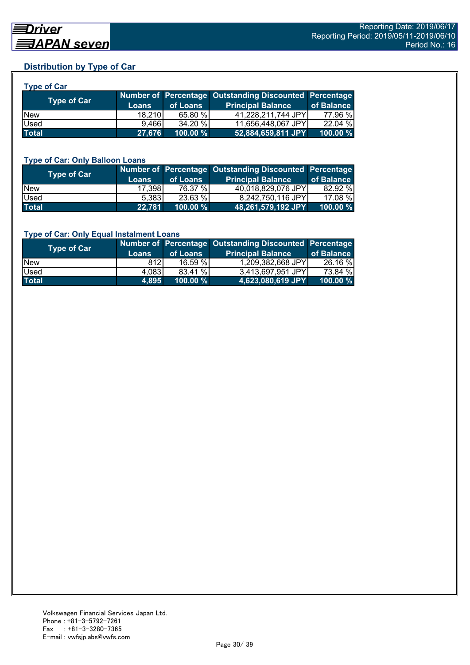# **Distribution by Type of Car**

| <b>Type of Car</b> |        |          |                                                        |            |
|--------------------|--------|----------|--------------------------------------------------------|------------|
| <b>Type of Car</b> |        |          | Number of Percentage Outstanding Discounted Percentage |            |
|                    | Loans  | of Loans | <b>Principal Balance</b>                               | of Balance |
| <b>New</b>         | 18.210 | 65.80 %  | 41,228,211,744 JPY                                     | 77.96 %    |
| Used               | 9.466  | 34.20 %  | 11,656,448,067 JPY                                     | 22.04 %    |
| <b>Total</b>       | 27,676 | 100.00 % | 52,884,659,811 JPY                                     | 100.00 %   |

#### **Type of Car: Only Balloon Loans**

| Type of Car  | <b>Loans</b> | of Loans    | Number of Percentage Outstanding Discounted Percentage<br><b>Principal Balance</b> | of Balance  |
|--------------|--------------|-------------|------------------------------------------------------------------------------------|-------------|
| <b>New</b>   | 17.398       | 76.37 %     | 40,018,829,076 JPY                                                                 | 82.92 %     |
| Used         | 5.383        | 23.63 %     | 8,242,750,116 JPY                                                                  | 17.08 %     |
| <b>Total</b> | 22,781       | $100.00 \%$ | 48,261,579,192 JPY                                                                 | $100.00 \%$ |

#### **Type of Car: Only Equal Instalment Loans**

| Type of Car  | <b>Loans</b> | of Loans | Number of Percentage Outstanding Discounted Percentage<br><b>Principal Balance</b> | of Balance |
|--------------|--------------|----------|------------------------------------------------------------------------------------|------------|
| <b>New</b>   | 812I         | 16.59%   | 1,209,382,668 JPY                                                                  | 26.16 %    |
| <b>Used</b>  | 4,083        | 83.41 %  | 3,413,697,951 JPY                                                                  | 73.84 %    |
| <b>Total</b> | 4.895        | 100.00 % | 4,623,080,619 JPY                                                                  | 100.00 %   |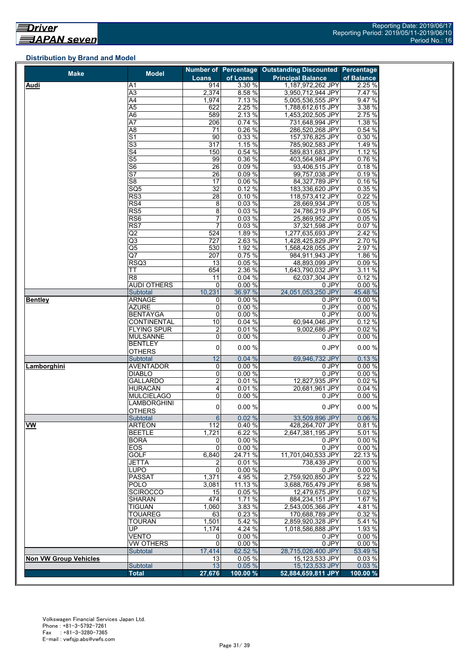#### **Distribution by Brand and Model**

| Loans<br><b>Principal Balance</b><br>of Balance<br>914<br>3.30 %<br>1,187,972,262 JPY<br>Audi<br>A1<br>A3<br>2,374<br>8.58 %<br>3,950,712,944 JPY<br>7.47 %<br>7.13%<br>9.47%<br>A4<br>1,974<br>5,005,536,555 JPY<br>$\overline{A5}$<br>622<br>2.25 %<br>3.38 %<br>1,788,612,615 JPY<br>2.13 %<br>2.75%<br>A6<br>589<br>1,453,202,505 JPY<br>0.74%<br>1.38 %<br>A7<br>206<br>731,648,994 JPY<br>$\overline{71}$<br>0.26%<br>A8<br>286,520,268 JPY<br>0.54 %<br>$\overline{S}$<br>90<br>0.33%<br>157,376,825 JPY<br>0.30 %<br>$\overline{\mathsf{S}3}$<br>$\overline{317}$<br>1.15%<br>785,902,583 JPY<br>1.49 %<br>$\overline{\mathsf{S}4}$<br>0.54%<br>1.12%<br>150<br>589,831,683 JPY<br>S <sub>5</sub><br>0.36%<br>99<br>0.76%<br>403,564,984 JPY<br>$\overline{\mathsf{S6}}$<br>$\overline{26}$<br>0.09%<br>0.18%<br>93,406,515 JPY<br>$\overline{\mathsf{S}7}$<br>26<br>0.09%<br>99,757,038 JPY<br>0.19%<br>S <sub>8</sub><br>17<br>0.06 %<br>84,327,789 JPY<br>0.16%<br>SQ5<br>$\overline{32}$<br>0.12%<br>0.35%<br>183,336,620 JPY<br>RS3<br>28<br>0.10%<br>0.22%<br>118,573,412 JPY<br>8<br>0.03%<br>RS4<br>28,669,934 JPY<br>0.05%<br>8<br>RS5<br>0.03%<br>0.05%<br>24,786,219 JPY<br>RS6<br>$\overline{7}$<br>0.03%<br>0.05%<br>25,869,952 JPY<br>$\overline{7}$<br>RS7<br>0.03%<br>0.07%<br>37,321,598 JPY<br>524<br>Q2<br>1.89 %<br>2.42 %<br>1,277,635,693 JPY<br>Q3<br>727<br>2.63 %<br>1,428,425,829 JPY<br>2.70 %<br>$\overline{\text{Q5}}$<br>530<br>1.92 %<br>2.97 %<br>1,568,428,055 JPY<br>0.75%<br>Q7<br>207<br>984,911,943 JPY<br>1.86 %<br>RSQ3<br>13<br>0.05 %<br>0.09%<br>48,893,099 JPY<br>654<br>2.36 %<br>1,643,790,032 JPY<br>TТ<br>0.12%<br>R <sub>8</sub><br>11<br>0.04 %<br>62,037,304 JPY<br><b>AUDI OTHERS</b><br>0.00%<br>$\mathbf 0$<br>0 JPY<br>10,231<br>24,051,053,250 JPY<br>36.97 %<br>45.48 %<br><b>Subtotal</b><br><b>ARNAGE</b><br>0.00%<br>0 JPY<br><b>Bentley</b><br>0<br><b>AZURE</b><br>0<br>0.00%<br>0 JPY<br>0.00%<br>$0$ JPY<br><b>BENTAYGA</b><br>0<br>10<br>0.04%<br><b>CONTINENTAL</b><br>60,944,046 JPY<br>$\overline{2}$<br><b>FLYING SPUR</b><br>0.01%<br>9,002,686 JPY<br>0<br>0.00%<br><b>MULSANNE</b><br>0 JPY<br><b>BENTLEY</b><br>0<br>0.00%<br>0 JPY<br>0.00%<br><b>OTHERS</b><br>12<br>0.04%<br>69,946,732 JPY<br>0.13%<br>Subtotal<br>0.00%<br><b>AVENTADOR</b><br>0 JPY<br>0.00%<br>Lamborghini<br>0<br><b>DIABLO</b><br>0<br>0.00%<br>0 JPY<br>0.00%<br>$\overline{2}$<br><b>GALLARDO</b><br>0.01%<br>0.02%<br>12,827,935 JPY<br><b>HURACÁN</b><br>4<br>0.04%<br>0.01%<br>20,681,961 JPY<br>0<br><b>MULCIELAGO</b><br>0.00%<br>0 JPY<br>0.00%<br><b>LAMBORGHINI</b><br>0<br>0.00 %<br>0 JPY<br>0.00%<br>OTHERS<br>$6 \overline{6}$<br>0.06%<br>0.02%<br>33,509,896 JPY<br>Subtotal<br><b>VW</b><br>112<br>0.81%<br><b>ARTEON</b><br>0.40%<br>428,264,707 JPY<br><b>BEETLE</b><br>1,721<br>6.22 %<br>2,647,381,195 JPY<br>5.01 %<br><b>BORA</b><br>0.00%<br>0.00%<br>0 JPY<br>0<br>$\mathbf 0$<br>EOS<br>0.00 %<br>0 JPY<br>0.00%<br>GOLF<br>6,840<br>11,701,040,533 JPY<br>22.13 %<br>24.71 %<br><b>JETTA</b><br>0.01%<br>738,439 JPY<br>0.00%<br>2<br>0.00%<br>LUPO<br>$\mathbf 0$<br>0.00%<br>0 JPY<br>5.22 %<br><b>PASSAT</b><br>1,371<br>4.95 %<br>2,759,920,850 JPY<br><b>POLO</b><br>11.13 %<br>3,688,765,479 JPY<br>6.98 %<br>3,081<br><b>SCIROCCO</b><br>15<br>0.05%<br>12,479,675 JPY<br>0.02%<br><b>SHARAN</b><br>474<br>1.71 %<br>884,234,151 JPY<br>1.67 %<br><b>TIGUAN</b><br>1,060<br>3.83 %<br>2,543,005,366 JPY<br>4.81 %<br><b>TOUAREG</b><br>63<br>0.23%<br>170.688.789 JPY<br>0.32 %<br><b>TOURAN</b><br>1,501<br>5.42 %<br>2,859,920,328 JPY<br>5.41%<br>UP.<br>4.24 %<br>1.93 %<br>1,174<br>1,018,586,888 JPY<br>VENTO<br>0.00%<br>0.00%<br>0<br>0 JPY<br>$\overline{0}$<br><b>VW OTHERS</b><br>0 JPY<br>0.00%<br>0.00%<br>17,414<br>62.52 %<br>28,715,026,400 JPY<br>53.49 %<br>Subtotal<br>0.05 %<br>15,123,533 JPY<br>0.03%<br>13<br><b>Non VW Group Vehicles</b><br>13<br>0.03%<br>0.05%<br>15,123,533 JPY<br>Subtotal<br><b>Total</b><br>27,676<br>100.00 %<br>52,884,659,811 JPY | <b>Make</b> | <b>Model</b> | <b>Number of Percentage</b> | <b>Outstanding Discounted Percentage</b> |          |
|--------------------------------------------------------------------------------------------------------------------------------------------------------------------------------------------------------------------------------------------------------------------------------------------------------------------------------------------------------------------------------------------------------------------------------------------------------------------------------------------------------------------------------------------------------------------------------------------------------------------------------------------------------------------------------------------------------------------------------------------------------------------------------------------------------------------------------------------------------------------------------------------------------------------------------------------------------------------------------------------------------------------------------------------------------------------------------------------------------------------------------------------------------------------------------------------------------------------------------------------------------------------------------------------------------------------------------------------------------------------------------------------------------------------------------------------------------------------------------------------------------------------------------------------------------------------------------------------------------------------------------------------------------------------------------------------------------------------------------------------------------------------------------------------------------------------------------------------------------------------------------------------------------------------------------------------------------------------------------------------------------------------------------------------------------------------------------------------------------------------------------------------------------------------------------------------------------------------------------------------------------------------------------------------------------------------------------------------------------------------------------------------------------------------------------------------------------------------------------------------------------------------------------------------------------------------------------------------------------------------------------------------------------------------------------------------------------------------------------------------------------------------------------------------------------------------------------------------------------------------------------------------------------------------------------------------------------------------------------------------------------------------------------------------------------------------------------------------------------------------------------------------------------------------------------------------------------------------------------------------------------------------------------------------------------------------------------------------------------------------------------------------------------------------------------------------------------------------------------------------------------------------------------------------------------------------------------------------------------------------------------------------------------------------------------------------------------------------------------------------------------------------------------------------------------------------------------------------------------------------------------------------------------------------------------------------------------------------------------------------------------------------------------------------------------------------------------|-------------|--------------|-----------------------------|------------------------------------------|----------|
|                                                                                                                                                                                                                                                                                                                                                                                                                                                                                                                                                                                                                                                                                                                                                                                                                                                                                                                                                                                                                                                                                                                                                                                                                                                                                                                                                                                                                                                                                                                                                                                                                                                                                                                                                                                                                                                                                                                                                                                                                                                                                                                                                                                                                                                                                                                                                                                                                                                                                                                                                                                                                                                                                                                                                                                                                                                                                                                                                                                                                                                                                                                                                                                                                                                                                                                                                                                                                                                                                                                                                                                                                                                                                                                                                                                                                                                                                                                                                                                                                                                                                |             |              | of Loans                    |                                          |          |
|                                                                                                                                                                                                                                                                                                                                                                                                                                                                                                                                                                                                                                                                                                                                                                                                                                                                                                                                                                                                                                                                                                                                                                                                                                                                                                                                                                                                                                                                                                                                                                                                                                                                                                                                                                                                                                                                                                                                                                                                                                                                                                                                                                                                                                                                                                                                                                                                                                                                                                                                                                                                                                                                                                                                                                                                                                                                                                                                                                                                                                                                                                                                                                                                                                                                                                                                                                                                                                                                                                                                                                                                                                                                                                                                                                                                                                                                                                                                                                                                                                                                                |             |              |                             |                                          | 2.25%    |
|                                                                                                                                                                                                                                                                                                                                                                                                                                                                                                                                                                                                                                                                                                                                                                                                                                                                                                                                                                                                                                                                                                                                                                                                                                                                                                                                                                                                                                                                                                                                                                                                                                                                                                                                                                                                                                                                                                                                                                                                                                                                                                                                                                                                                                                                                                                                                                                                                                                                                                                                                                                                                                                                                                                                                                                                                                                                                                                                                                                                                                                                                                                                                                                                                                                                                                                                                                                                                                                                                                                                                                                                                                                                                                                                                                                                                                                                                                                                                                                                                                                                                |             |              |                             |                                          |          |
|                                                                                                                                                                                                                                                                                                                                                                                                                                                                                                                                                                                                                                                                                                                                                                                                                                                                                                                                                                                                                                                                                                                                                                                                                                                                                                                                                                                                                                                                                                                                                                                                                                                                                                                                                                                                                                                                                                                                                                                                                                                                                                                                                                                                                                                                                                                                                                                                                                                                                                                                                                                                                                                                                                                                                                                                                                                                                                                                                                                                                                                                                                                                                                                                                                                                                                                                                                                                                                                                                                                                                                                                                                                                                                                                                                                                                                                                                                                                                                                                                                                                                |             |              |                             |                                          |          |
|                                                                                                                                                                                                                                                                                                                                                                                                                                                                                                                                                                                                                                                                                                                                                                                                                                                                                                                                                                                                                                                                                                                                                                                                                                                                                                                                                                                                                                                                                                                                                                                                                                                                                                                                                                                                                                                                                                                                                                                                                                                                                                                                                                                                                                                                                                                                                                                                                                                                                                                                                                                                                                                                                                                                                                                                                                                                                                                                                                                                                                                                                                                                                                                                                                                                                                                                                                                                                                                                                                                                                                                                                                                                                                                                                                                                                                                                                                                                                                                                                                                                                |             |              |                             |                                          |          |
|                                                                                                                                                                                                                                                                                                                                                                                                                                                                                                                                                                                                                                                                                                                                                                                                                                                                                                                                                                                                                                                                                                                                                                                                                                                                                                                                                                                                                                                                                                                                                                                                                                                                                                                                                                                                                                                                                                                                                                                                                                                                                                                                                                                                                                                                                                                                                                                                                                                                                                                                                                                                                                                                                                                                                                                                                                                                                                                                                                                                                                                                                                                                                                                                                                                                                                                                                                                                                                                                                                                                                                                                                                                                                                                                                                                                                                                                                                                                                                                                                                                                                |             |              |                             |                                          |          |
|                                                                                                                                                                                                                                                                                                                                                                                                                                                                                                                                                                                                                                                                                                                                                                                                                                                                                                                                                                                                                                                                                                                                                                                                                                                                                                                                                                                                                                                                                                                                                                                                                                                                                                                                                                                                                                                                                                                                                                                                                                                                                                                                                                                                                                                                                                                                                                                                                                                                                                                                                                                                                                                                                                                                                                                                                                                                                                                                                                                                                                                                                                                                                                                                                                                                                                                                                                                                                                                                                                                                                                                                                                                                                                                                                                                                                                                                                                                                                                                                                                                                                |             |              |                             |                                          |          |
|                                                                                                                                                                                                                                                                                                                                                                                                                                                                                                                                                                                                                                                                                                                                                                                                                                                                                                                                                                                                                                                                                                                                                                                                                                                                                                                                                                                                                                                                                                                                                                                                                                                                                                                                                                                                                                                                                                                                                                                                                                                                                                                                                                                                                                                                                                                                                                                                                                                                                                                                                                                                                                                                                                                                                                                                                                                                                                                                                                                                                                                                                                                                                                                                                                                                                                                                                                                                                                                                                                                                                                                                                                                                                                                                                                                                                                                                                                                                                                                                                                                                                |             |              |                             |                                          |          |
|                                                                                                                                                                                                                                                                                                                                                                                                                                                                                                                                                                                                                                                                                                                                                                                                                                                                                                                                                                                                                                                                                                                                                                                                                                                                                                                                                                                                                                                                                                                                                                                                                                                                                                                                                                                                                                                                                                                                                                                                                                                                                                                                                                                                                                                                                                                                                                                                                                                                                                                                                                                                                                                                                                                                                                                                                                                                                                                                                                                                                                                                                                                                                                                                                                                                                                                                                                                                                                                                                                                                                                                                                                                                                                                                                                                                                                                                                                                                                                                                                                                                                |             |              |                             |                                          |          |
|                                                                                                                                                                                                                                                                                                                                                                                                                                                                                                                                                                                                                                                                                                                                                                                                                                                                                                                                                                                                                                                                                                                                                                                                                                                                                                                                                                                                                                                                                                                                                                                                                                                                                                                                                                                                                                                                                                                                                                                                                                                                                                                                                                                                                                                                                                                                                                                                                                                                                                                                                                                                                                                                                                                                                                                                                                                                                                                                                                                                                                                                                                                                                                                                                                                                                                                                                                                                                                                                                                                                                                                                                                                                                                                                                                                                                                                                                                                                                                                                                                                                                |             |              |                             |                                          |          |
|                                                                                                                                                                                                                                                                                                                                                                                                                                                                                                                                                                                                                                                                                                                                                                                                                                                                                                                                                                                                                                                                                                                                                                                                                                                                                                                                                                                                                                                                                                                                                                                                                                                                                                                                                                                                                                                                                                                                                                                                                                                                                                                                                                                                                                                                                                                                                                                                                                                                                                                                                                                                                                                                                                                                                                                                                                                                                                                                                                                                                                                                                                                                                                                                                                                                                                                                                                                                                                                                                                                                                                                                                                                                                                                                                                                                                                                                                                                                                                                                                                                                                |             |              |                             |                                          |          |
|                                                                                                                                                                                                                                                                                                                                                                                                                                                                                                                                                                                                                                                                                                                                                                                                                                                                                                                                                                                                                                                                                                                                                                                                                                                                                                                                                                                                                                                                                                                                                                                                                                                                                                                                                                                                                                                                                                                                                                                                                                                                                                                                                                                                                                                                                                                                                                                                                                                                                                                                                                                                                                                                                                                                                                                                                                                                                                                                                                                                                                                                                                                                                                                                                                                                                                                                                                                                                                                                                                                                                                                                                                                                                                                                                                                                                                                                                                                                                                                                                                                                                |             |              |                             |                                          |          |
|                                                                                                                                                                                                                                                                                                                                                                                                                                                                                                                                                                                                                                                                                                                                                                                                                                                                                                                                                                                                                                                                                                                                                                                                                                                                                                                                                                                                                                                                                                                                                                                                                                                                                                                                                                                                                                                                                                                                                                                                                                                                                                                                                                                                                                                                                                                                                                                                                                                                                                                                                                                                                                                                                                                                                                                                                                                                                                                                                                                                                                                                                                                                                                                                                                                                                                                                                                                                                                                                                                                                                                                                                                                                                                                                                                                                                                                                                                                                                                                                                                                                                |             |              |                             |                                          |          |
|                                                                                                                                                                                                                                                                                                                                                                                                                                                                                                                                                                                                                                                                                                                                                                                                                                                                                                                                                                                                                                                                                                                                                                                                                                                                                                                                                                                                                                                                                                                                                                                                                                                                                                                                                                                                                                                                                                                                                                                                                                                                                                                                                                                                                                                                                                                                                                                                                                                                                                                                                                                                                                                                                                                                                                                                                                                                                                                                                                                                                                                                                                                                                                                                                                                                                                                                                                                                                                                                                                                                                                                                                                                                                                                                                                                                                                                                                                                                                                                                                                                                                |             |              |                             |                                          |          |
|                                                                                                                                                                                                                                                                                                                                                                                                                                                                                                                                                                                                                                                                                                                                                                                                                                                                                                                                                                                                                                                                                                                                                                                                                                                                                                                                                                                                                                                                                                                                                                                                                                                                                                                                                                                                                                                                                                                                                                                                                                                                                                                                                                                                                                                                                                                                                                                                                                                                                                                                                                                                                                                                                                                                                                                                                                                                                                                                                                                                                                                                                                                                                                                                                                                                                                                                                                                                                                                                                                                                                                                                                                                                                                                                                                                                                                                                                                                                                                                                                                                                                |             |              |                             |                                          |          |
|                                                                                                                                                                                                                                                                                                                                                                                                                                                                                                                                                                                                                                                                                                                                                                                                                                                                                                                                                                                                                                                                                                                                                                                                                                                                                                                                                                                                                                                                                                                                                                                                                                                                                                                                                                                                                                                                                                                                                                                                                                                                                                                                                                                                                                                                                                                                                                                                                                                                                                                                                                                                                                                                                                                                                                                                                                                                                                                                                                                                                                                                                                                                                                                                                                                                                                                                                                                                                                                                                                                                                                                                                                                                                                                                                                                                                                                                                                                                                                                                                                                                                |             |              |                             |                                          |          |
|                                                                                                                                                                                                                                                                                                                                                                                                                                                                                                                                                                                                                                                                                                                                                                                                                                                                                                                                                                                                                                                                                                                                                                                                                                                                                                                                                                                                                                                                                                                                                                                                                                                                                                                                                                                                                                                                                                                                                                                                                                                                                                                                                                                                                                                                                                                                                                                                                                                                                                                                                                                                                                                                                                                                                                                                                                                                                                                                                                                                                                                                                                                                                                                                                                                                                                                                                                                                                                                                                                                                                                                                                                                                                                                                                                                                                                                                                                                                                                                                                                                                                |             |              |                             |                                          |          |
|                                                                                                                                                                                                                                                                                                                                                                                                                                                                                                                                                                                                                                                                                                                                                                                                                                                                                                                                                                                                                                                                                                                                                                                                                                                                                                                                                                                                                                                                                                                                                                                                                                                                                                                                                                                                                                                                                                                                                                                                                                                                                                                                                                                                                                                                                                                                                                                                                                                                                                                                                                                                                                                                                                                                                                                                                                                                                                                                                                                                                                                                                                                                                                                                                                                                                                                                                                                                                                                                                                                                                                                                                                                                                                                                                                                                                                                                                                                                                                                                                                                                                |             |              |                             |                                          |          |
|                                                                                                                                                                                                                                                                                                                                                                                                                                                                                                                                                                                                                                                                                                                                                                                                                                                                                                                                                                                                                                                                                                                                                                                                                                                                                                                                                                                                                                                                                                                                                                                                                                                                                                                                                                                                                                                                                                                                                                                                                                                                                                                                                                                                                                                                                                                                                                                                                                                                                                                                                                                                                                                                                                                                                                                                                                                                                                                                                                                                                                                                                                                                                                                                                                                                                                                                                                                                                                                                                                                                                                                                                                                                                                                                                                                                                                                                                                                                                                                                                                                                                |             |              |                             |                                          |          |
|                                                                                                                                                                                                                                                                                                                                                                                                                                                                                                                                                                                                                                                                                                                                                                                                                                                                                                                                                                                                                                                                                                                                                                                                                                                                                                                                                                                                                                                                                                                                                                                                                                                                                                                                                                                                                                                                                                                                                                                                                                                                                                                                                                                                                                                                                                                                                                                                                                                                                                                                                                                                                                                                                                                                                                                                                                                                                                                                                                                                                                                                                                                                                                                                                                                                                                                                                                                                                                                                                                                                                                                                                                                                                                                                                                                                                                                                                                                                                                                                                                                                                |             |              |                             |                                          |          |
|                                                                                                                                                                                                                                                                                                                                                                                                                                                                                                                                                                                                                                                                                                                                                                                                                                                                                                                                                                                                                                                                                                                                                                                                                                                                                                                                                                                                                                                                                                                                                                                                                                                                                                                                                                                                                                                                                                                                                                                                                                                                                                                                                                                                                                                                                                                                                                                                                                                                                                                                                                                                                                                                                                                                                                                                                                                                                                                                                                                                                                                                                                                                                                                                                                                                                                                                                                                                                                                                                                                                                                                                                                                                                                                                                                                                                                                                                                                                                                                                                                                                                |             |              |                             |                                          |          |
|                                                                                                                                                                                                                                                                                                                                                                                                                                                                                                                                                                                                                                                                                                                                                                                                                                                                                                                                                                                                                                                                                                                                                                                                                                                                                                                                                                                                                                                                                                                                                                                                                                                                                                                                                                                                                                                                                                                                                                                                                                                                                                                                                                                                                                                                                                                                                                                                                                                                                                                                                                                                                                                                                                                                                                                                                                                                                                                                                                                                                                                                                                                                                                                                                                                                                                                                                                                                                                                                                                                                                                                                                                                                                                                                                                                                                                                                                                                                                                                                                                                                                |             |              |                             |                                          |          |
|                                                                                                                                                                                                                                                                                                                                                                                                                                                                                                                                                                                                                                                                                                                                                                                                                                                                                                                                                                                                                                                                                                                                                                                                                                                                                                                                                                                                                                                                                                                                                                                                                                                                                                                                                                                                                                                                                                                                                                                                                                                                                                                                                                                                                                                                                                                                                                                                                                                                                                                                                                                                                                                                                                                                                                                                                                                                                                                                                                                                                                                                                                                                                                                                                                                                                                                                                                                                                                                                                                                                                                                                                                                                                                                                                                                                                                                                                                                                                                                                                                                                                |             |              |                             |                                          |          |
|                                                                                                                                                                                                                                                                                                                                                                                                                                                                                                                                                                                                                                                                                                                                                                                                                                                                                                                                                                                                                                                                                                                                                                                                                                                                                                                                                                                                                                                                                                                                                                                                                                                                                                                                                                                                                                                                                                                                                                                                                                                                                                                                                                                                                                                                                                                                                                                                                                                                                                                                                                                                                                                                                                                                                                                                                                                                                                                                                                                                                                                                                                                                                                                                                                                                                                                                                                                                                                                                                                                                                                                                                                                                                                                                                                                                                                                                                                                                                                                                                                                                                |             |              |                             |                                          |          |
|                                                                                                                                                                                                                                                                                                                                                                                                                                                                                                                                                                                                                                                                                                                                                                                                                                                                                                                                                                                                                                                                                                                                                                                                                                                                                                                                                                                                                                                                                                                                                                                                                                                                                                                                                                                                                                                                                                                                                                                                                                                                                                                                                                                                                                                                                                                                                                                                                                                                                                                                                                                                                                                                                                                                                                                                                                                                                                                                                                                                                                                                                                                                                                                                                                                                                                                                                                                                                                                                                                                                                                                                                                                                                                                                                                                                                                                                                                                                                                                                                                                                                |             |              |                             |                                          |          |
|                                                                                                                                                                                                                                                                                                                                                                                                                                                                                                                                                                                                                                                                                                                                                                                                                                                                                                                                                                                                                                                                                                                                                                                                                                                                                                                                                                                                                                                                                                                                                                                                                                                                                                                                                                                                                                                                                                                                                                                                                                                                                                                                                                                                                                                                                                                                                                                                                                                                                                                                                                                                                                                                                                                                                                                                                                                                                                                                                                                                                                                                                                                                                                                                                                                                                                                                                                                                                                                                                                                                                                                                                                                                                                                                                                                                                                                                                                                                                                                                                                                                                |             |              |                             |                                          | 3.11 %   |
|                                                                                                                                                                                                                                                                                                                                                                                                                                                                                                                                                                                                                                                                                                                                                                                                                                                                                                                                                                                                                                                                                                                                                                                                                                                                                                                                                                                                                                                                                                                                                                                                                                                                                                                                                                                                                                                                                                                                                                                                                                                                                                                                                                                                                                                                                                                                                                                                                                                                                                                                                                                                                                                                                                                                                                                                                                                                                                                                                                                                                                                                                                                                                                                                                                                                                                                                                                                                                                                                                                                                                                                                                                                                                                                                                                                                                                                                                                                                                                                                                                                                                |             |              |                             |                                          |          |
|                                                                                                                                                                                                                                                                                                                                                                                                                                                                                                                                                                                                                                                                                                                                                                                                                                                                                                                                                                                                                                                                                                                                                                                                                                                                                                                                                                                                                                                                                                                                                                                                                                                                                                                                                                                                                                                                                                                                                                                                                                                                                                                                                                                                                                                                                                                                                                                                                                                                                                                                                                                                                                                                                                                                                                                                                                                                                                                                                                                                                                                                                                                                                                                                                                                                                                                                                                                                                                                                                                                                                                                                                                                                                                                                                                                                                                                                                                                                                                                                                                                                                |             |              |                             |                                          | 0.00%    |
|                                                                                                                                                                                                                                                                                                                                                                                                                                                                                                                                                                                                                                                                                                                                                                                                                                                                                                                                                                                                                                                                                                                                                                                                                                                                                                                                                                                                                                                                                                                                                                                                                                                                                                                                                                                                                                                                                                                                                                                                                                                                                                                                                                                                                                                                                                                                                                                                                                                                                                                                                                                                                                                                                                                                                                                                                                                                                                                                                                                                                                                                                                                                                                                                                                                                                                                                                                                                                                                                                                                                                                                                                                                                                                                                                                                                                                                                                                                                                                                                                                                                                |             |              |                             |                                          |          |
|                                                                                                                                                                                                                                                                                                                                                                                                                                                                                                                                                                                                                                                                                                                                                                                                                                                                                                                                                                                                                                                                                                                                                                                                                                                                                                                                                                                                                                                                                                                                                                                                                                                                                                                                                                                                                                                                                                                                                                                                                                                                                                                                                                                                                                                                                                                                                                                                                                                                                                                                                                                                                                                                                                                                                                                                                                                                                                                                                                                                                                                                                                                                                                                                                                                                                                                                                                                                                                                                                                                                                                                                                                                                                                                                                                                                                                                                                                                                                                                                                                                                                |             |              |                             |                                          | 0.00%    |
|                                                                                                                                                                                                                                                                                                                                                                                                                                                                                                                                                                                                                                                                                                                                                                                                                                                                                                                                                                                                                                                                                                                                                                                                                                                                                                                                                                                                                                                                                                                                                                                                                                                                                                                                                                                                                                                                                                                                                                                                                                                                                                                                                                                                                                                                                                                                                                                                                                                                                                                                                                                                                                                                                                                                                                                                                                                                                                                                                                                                                                                                                                                                                                                                                                                                                                                                                                                                                                                                                                                                                                                                                                                                                                                                                                                                                                                                                                                                                                                                                                                                                |             |              |                             |                                          | 0.00%    |
|                                                                                                                                                                                                                                                                                                                                                                                                                                                                                                                                                                                                                                                                                                                                                                                                                                                                                                                                                                                                                                                                                                                                                                                                                                                                                                                                                                                                                                                                                                                                                                                                                                                                                                                                                                                                                                                                                                                                                                                                                                                                                                                                                                                                                                                                                                                                                                                                                                                                                                                                                                                                                                                                                                                                                                                                                                                                                                                                                                                                                                                                                                                                                                                                                                                                                                                                                                                                                                                                                                                                                                                                                                                                                                                                                                                                                                                                                                                                                                                                                                                                                |             |              |                             |                                          | 0.00%    |
|                                                                                                                                                                                                                                                                                                                                                                                                                                                                                                                                                                                                                                                                                                                                                                                                                                                                                                                                                                                                                                                                                                                                                                                                                                                                                                                                                                                                                                                                                                                                                                                                                                                                                                                                                                                                                                                                                                                                                                                                                                                                                                                                                                                                                                                                                                                                                                                                                                                                                                                                                                                                                                                                                                                                                                                                                                                                                                                                                                                                                                                                                                                                                                                                                                                                                                                                                                                                                                                                                                                                                                                                                                                                                                                                                                                                                                                                                                                                                                                                                                                                                |             |              |                             |                                          | 0.12%    |
|                                                                                                                                                                                                                                                                                                                                                                                                                                                                                                                                                                                                                                                                                                                                                                                                                                                                                                                                                                                                                                                                                                                                                                                                                                                                                                                                                                                                                                                                                                                                                                                                                                                                                                                                                                                                                                                                                                                                                                                                                                                                                                                                                                                                                                                                                                                                                                                                                                                                                                                                                                                                                                                                                                                                                                                                                                                                                                                                                                                                                                                                                                                                                                                                                                                                                                                                                                                                                                                                                                                                                                                                                                                                                                                                                                                                                                                                                                                                                                                                                                                                                |             |              |                             |                                          | 0.02%    |
|                                                                                                                                                                                                                                                                                                                                                                                                                                                                                                                                                                                                                                                                                                                                                                                                                                                                                                                                                                                                                                                                                                                                                                                                                                                                                                                                                                                                                                                                                                                                                                                                                                                                                                                                                                                                                                                                                                                                                                                                                                                                                                                                                                                                                                                                                                                                                                                                                                                                                                                                                                                                                                                                                                                                                                                                                                                                                                                                                                                                                                                                                                                                                                                                                                                                                                                                                                                                                                                                                                                                                                                                                                                                                                                                                                                                                                                                                                                                                                                                                                                                                |             |              |                             |                                          | 0.00%    |
|                                                                                                                                                                                                                                                                                                                                                                                                                                                                                                                                                                                                                                                                                                                                                                                                                                                                                                                                                                                                                                                                                                                                                                                                                                                                                                                                                                                                                                                                                                                                                                                                                                                                                                                                                                                                                                                                                                                                                                                                                                                                                                                                                                                                                                                                                                                                                                                                                                                                                                                                                                                                                                                                                                                                                                                                                                                                                                                                                                                                                                                                                                                                                                                                                                                                                                                                                                                                                                                                                                                                                                                                                                                                                                                                                                                                                                                                                                                                                                                                                                                                                |             |              |                             |                                          |          |
|                                                                                                                                                                                                                                                                                                                                                                                                                                                                                                                                                                                                                                                                                                                                                                                                                                                                                                                                                                                                                                                                                                                                                                                                                                                                                                                                                                                                                                                                                                                                                                                                                                                                                                                                                                                                                                                                                                                                                                                                                                                                                                                                                                                                                                                                                                                                                                                                                                                                                                                                                                                                                                                                                                                                                                                                                                                                                                                                                                                                                                                                                                                                                                                                                                                                                                                                                                                                                                                                                                                                                                                                                                                                                                                                                                                                                                                                                                                                                                                                                                                                                |             |              |                             |                                          |          |
|                                                                                                                                                                                                                                                                                                                                                                                                                                                                                                                                                                                                                                                                                                                                                                                                                                                                                                                                                                                                                                                                                                                                                                                                                                                                                                                                                                                                                                                                                                                                                                                                                                                                                                                                                                                                                                                                                                                                                                                                                                                                                                                                                                                                                                                                                                                                                                                                                                                                                                                                                                                                                                                                                                                                                                                                                                                                                                                                                                                                                                                                                                                                                                                                                                                                                                                                                                                                                                                                                                                                                                                                                                                                                                                                                                                                                                                                                                                                                                                                                                                                                |             |              |                             |                                          |          |
|                                                                                                                                                                                                                                                                                                                                                                                                                                                                                                                                                                                                                                                                                                                                                                                                                                                                                                                                                                                                                                                                                                                                                                                                                                                                                                                                                                                                                                                                                                                                                                                                                                                                                                                                                                                                                                                                                                                                                                                                                                                                                                                                                                                                                                                                                                                                                                                                                                                                                                                                                                                                                                                                                                                                                                                                                                                                                                                                                                                                                                                                                                                                                                                                                                                                                                                                                                                                                                                                                                                                                                                                                                                                                                                                                                                                                                                                                                                                                                                                                                                                                |             |              |                             |                                          |          |
|                                                                                                                                                                                                                                                                                                                                                                                                                                                                                                                                                                                                                                                                                                                                                                                                                                                                                                                                                                                                                                                                                                                                                                                                                                                                                                                                                                                                                                                                                                                                                                                                                                                                                                                                                                                                                                                                                                                                                                                                                                                                                                                                                                                                                                                                                                                                                                                                                                                                                                                                                                                                                                                                                                                                                                                                                                                                                                                                                                                                                                                                                                                                                                                                                                                                                                                                                                                                                                                                                                                                                                                                                                                                                                                                                                                                                                                                                                                                                                                                                                                                                |             |              |                             |                                          |          |
|                                                                                                                                                                                                                                                                                                                                                                                                                                                                                                                                                                                                                                                                                                                                                                                                                                                                                                                                                                                                                                                                                                                                                                                                                                                                                                                                                                                                                                                                                                                                                                                                                                                                                                                                                                                                                                                                                                                                                                                                                                                                                                                                                                                                                                                                                                                                                                                                                                                                                                                                                                                                                                                                                                                                                                                                                                                                                                                                                                                                                                                                                                                                                                                                                                                                                                                                                                                                                                                                                                                                                                                                                                                                                                                                                                                                                                                                                                                                                                                                                                                                                |             |              |                             |                                          |          |
|                                                                                                                                                                                                                                                                                                                                                                                                                                                                                                                                                                                                                                                                                                                                                                                                                                                                                                                                                                                                                                                                                                                                                                                                                                                                                                                                                                                                                                                                                                                                                                                                                                                                                                                                                                                                                                                                                                                                                                                                                                                                                                                                                                                                                                                                                                                                                                                                                                                                                                                                                                                                                                                                                                                                                                                                                                                                                                                                                                                                                                                                                                                                                                                                                                                                                                                                                                                                                                                                                                                                                                                                                                                                                                                                                                                                                                                                                                                                                                                                                                                                                |             |              |                             |                                          |          |
|                                                                                                                                                                                                                                                                                                                                                                                                                                                                                                                                                                                                                                                                                                                                                                                                                                                                                                                                                                                                                                                                                                                                                                                                                                                                                                                                                                                                                                                                                                                                                                                                                                                                                                                                                                                                                                                                                                                                                                                                                                                                                                                                                                                                                                                                                                                                                                                                                                                                                                                                                                                                                                                                                                                                                                                                                                                                                                                                                                                                                                                                                                                                                                                                                                                                                                                                                                                                                                                                                                                                                                                                                                                                                                                                                                                                                                                                                                                                                                                                                                                                                |             |              |                             |                                          |          |
|                                                                                                                                                                                                                                                                                                                                                                                                                                                                                                                                                                                                                                                                                                                                                                                                                                                                                                                                                                                                                                                                                                                                                                                                                                                                                                                                                                                                                                                                                                                                                                                                                                                                                                                                                                                                                                                                                                                                                                                                                                                                                                                                                                                                                                                                                                                                                                                                                                                                                                                                                                                                                                                                                                                                                                                                                                                                                                                                                                                                                                                                                                                                                                                                                                                                                                                                                                                                                                                                                                                                                                                                                                                                                                                                                                                                                                                                                                                                                                                                                                                                                |             |              |                             |                                          |          |
|                                                                                                                                                                                                                                                                                                                                                                                                                                                                                                                                                                                                                                                                                                                                                                                                                                                                                                                                                                                                                                                                                                                                                                                                                                                                                                                                                                                                                                                                                                                                                                                                                                                                                                                                                                                                                                                                                                                                                                                                                                                                                                                                                                                                                                                                                                                                                                                                                                                                                                                                                                                                                                                                                                                                                                                                                                                                                                                                                                                                                                                                                                                                                                                                                                                                                                                                                                                                                                                                                                                                                                                                                                                                                                                                                                                                                                                                                                                                                                                                                                                                                |             |              |                             |                                          |          |
|                                                                                                                                                                                                                                                                                                                                                                                                                                                                                                                                                                                                                                                                                                                                                                                                                                                                                                                                                                                                                                                                                                                                                                                                                                                                                                                                                                                                                                                                                                                                                                                                                                                                                                                                                                                                                                                                                                                                                                                                                                                                                                                                                                                                                                                                                                                                                                                                                                                                                                                                                                                                                                                                                                                                                                                                                                                                                                                                                                                                                                                                                                                                                                                                                                                                                                                                                                                                                                                                                                                                                                                                                                                                                                                                                                                                                                                                                                                                                                                                                                                                                |             |              |                             |                                          |          |
|                                                                                                                                                                                                                                                                                                                                                                                                                                                                                                                                                                                                                                                                                                                                                                                                                                                                                                                                                                                                                                                                                                                                                                                                                                                                                                                                                                                                                                                                                                                                                                                                                                                                                                                                                                                                                                                                                                                                                                                                                                                                                                                                                                                                                                                                                                                                                                                                                                                                                                                                                                                                                                                                                                                                                                                                                                                                                                                                                                                                                                                                                                                                                                                                                                                                                                                                                                                                                                                                                                                                                                                                                                                                                                                                                                                                                                                                                                                                                                                                                                                                                |             |              |                             |                                          |          |
|                                                                                                                                                                                                                                                                                                                                                                                                                                                                                                                                                                                                                                                                                                                                                                                                                                                                                                                                                                                                                                                                                                                                                                                                                                                                                                                                                                                                                                                                                                                                                                                                                                                                                                                                                                                                                                                                                                                                                                                                                                                                                                                                                                                                                                                                                                                                                                                                                                                                                                                                                                                                                                                                                                                                                                                                                                                                                                                                                                                                                                                                                                                                                                                                                                                                                                                                                                                                                                                                                                                                                                                                                                                                                                                                                                                                                                                                                                                                                                                                                                                                                |             |              |                             |                                          |          |
|                                                                                                                                                                                                                                                                                                                                                                                                                                                                                                                                                                                                                                                                                                                                                                                                                                                                                                                                                                                                                                                                                                                                                                                                                                                                                                                                                                                                                                                                                                                                                                                                                                                                                                                                                                                                                                                                                                                                                                                                                                                                                                                                                                                                                                                                                                                                                                                                                                                                                                                                                                                                                                                                                                                                                                                                                                                                                                                                                                                                                                                                                                                                                                                                                                                                                                                                                                                                                                                                                                                                                                                                                                                                                                                                                                                                                                                                                                                                                                                                                                                                                |             |              |                             |                                          |          |
|                                                                                                                                                                                                                                                                                                                                                                                                                                                                                                                                                                                                                                                                                                                                                                                                                                                                                                                                                                                                                                                                                                                                                                                                                                                                                                                                                                                                                                                                                                                                                                                                                                                                                                                                                                                                                                                                                                                                                                                                                                                                                                                                                                                                                                                                                                                                                                                                                                                                                                                                                                                                                                                                                                                                                                                                                                                                                                                                                                                                                                                                                                                                                                                                                                                                                                                                                                                                                                                                                                                                                                                                                                                                                                                                                                                                                                                                                                                                                                                                                                                                                |             |              |                             |                                          |          |
|                                                                                                                                                                                                                                                                                                                                                                                                                                                                                                                                                                                                                                                                                                                                                                                                                                                                                                                                                                                                                                                                                                                                                                                                                                                                                                                                                                                                                                                                                                                                                                                                                                                                                                                                                                                                                                                                                                                                                                                                                                                                                                                                                                                                                                                                                                                                                                                                                                                                                                                                                                                                                                                                                                                                                                                                                                                                                                                                                                                                                                                                                                                                                                                                                                                                                                                                                                                                                                                                                                                                                                                                                                                                                                                                                                                                                                                                                                                                                                                                                                                                                |             |              |                             |                                          |          |
|                                                                                                                                                                                                                                                                                                                                                                                                                                                                                                                                                                                                                                                                                                                                                                                                                                                                                                                                                                                                                                                                                                                                                                                                                                                                                                                                                                                                                                                                                                                                                                                                                                                                                                                                                                                                                                                                                                                                                                                                                                                                                                                                                                                                                                                                                                                                                                                                                                                                                                                                                                                                                                                                                                                                                                                                                                                                                                                                                                                                                                                                                                                                                                                                                                                                                                                                                                                                                                                                                                                                                                                                                                                                                                                                                                                                                                                                                                                                                                                                                                                                                |             |              |                             |                                          |          |
|                                                                                                                                                                                                                                                                                                                                                                                                                                                                                                                                                                                                                                                                                                                                                                                                                                                                                                                                                                                                                                                                                                                                                                                                                                                                                                                                                                                                                                                                                                                                                                                                                                                                                                                                                                                                                                                                                                                                                                                                                                                                                                                                                                                                                                                                                                                                                                                                                                                                                                                                                                                                                                                                                                                                                                                                                                                                                                                                                                                                                                                                                                                                                                                                                                                                                                                                                                                                                                                                                                                                                                                                                                                                                                                                                                                                                                                                                                                                                                                                                                                                                |             |              |                             |                                          |          |
|                                                                                                                                                                                                                                                                                                                                                                                                                                                                                                                                                                                                                                                                                                                                                                                                                                                                                                                                                                                                                                                                                                                                                                                                                                                                                                                                                                                                                                                                                                                                                                                                                                                                                                                                                                                                                                                                                                                                                                                                                                                                                                                                                                                                                                                                                                                                                                                                                                                                                                                                                                                                                                                                                                                                                                                                                                                                                                                                                                                                                                                                                                                                                                                                                                                                                                                                                                                                                                                                                                                                                                                                                                                                                                                                                                                                                                                                                                                                                                                                                                                                                |             |              |                             |                                          |          |
|                                                                                                                                                                                                                                                                                                                                                                                                                                                                                                                                                                                                                                                                                                                                                                                                                                                                                                                                                                                                                                                                                                                                                                                                                                                                                                                                                                                                                                                                                                                                                                                                                                                                                                                                                                                                                                                                                                                                                                                                                                                                                                                                                                                                                                                                                                                                                                                                                                                                                                                                                                                                                                                                                                                                                                                                                                                                                                                                                                                                                                                                                                                                                                                                                                                                                                                                                                                                                                                                                                                                                                                                                                                                                                                                                                                                                                                                                                                                                                                                                                                                                |             |              |                             |                                          |          |
|                                                                                                                                                                                                                                                                                                                                                                                                                                                                                                                                                                                                                                                                                                                                                                                                                                                                                                                                                                                                                                                                                                                                                                                                                                                                                                                                                                                                                                                                                                                                                                                                                                                                                                                                                                                                                                                                                                                                                                                                                                                                                                                                                                                                                                                                                                                                                                                                                                                                                                                                                                                                                                                                                                                                                                                                                                                                                                                                                                                                                                                                                                                                                                                                                                                                                                                                                                                                                                                                                                                                                                                                                                                                                                                                                                                                                                                                                                                                                                                                                                                                                |             |              |                             |                                          |          |
|                                                                                                                                                                                                                                                                                                                                                                                                                                                                                                                                                                                                                                                                                                                                                                                                                                                                                                                                                                                                                                                                                                                                                                                                                                                                                                                                                                                                                                                                                                                                                                                                                                                                                                                                                                                                                                                                                                                                                                                                                                                                                                                                                                                                                                                                                                                                                                                                                                                                                                                                                                                                                                                                                                                                                                                                                                                                                                                                                                                                                                                                                                                                                                                                                                                                                                                                                                                                                                                                                                                                                                                                                                                                                                                                                                                                                                                                                                                                                                                                                                                                                |             |              |                             |                                          |          |
|                                                                                                                                                                                                                                                                                                                                                                                                                                                                                                                                                                                                                                                                                                                                                                                                                                                                                                                                                                                                                                                                                                                                                                                                                                                                                                                                                                                                                                                                                                                                                                                                                                                                                                                                                                                                                                                                                                                                                                                                                                                                                                                                                                                                                                                                                                                                                                                                                                                                                                                                                                                                                                                                                                                                                                                                                                                                                                                                                                                                                                                                                                                                                                                                                                                                                                                                                                                                                                                                                                                                                                                                                                                                                                                                                                                                                                                                                                                                                                                                                                                                                |             |              |                             |                                          |          |
|                                                                                                                                                                                                                                                                                                                                                                                                                                                                                                                                                                                                                                                                                                                                                                                                                                                                                                                                                                                                                                                                                                                                                                                                                                                                                                                                                                                                                                                                                                                                                                                                                                                                                                                                                                                                                                                                                                                                                                                                                                                                                                                                                                                                                                                                                                                                                                                                                                                                                                                                                                                                                                                                                                                                                                                                                                                                                                                                                                                                                                                                                                                                                                                                                                                                                                                                                                                                                                                                                                                                                                                                                                                                                                                                                                                                                                                                                                                                                                                                                                                                                |             |              |                             |                                          |          |
|                                                                                                                                                                                                                                                                                                                                                                                                                                                                                                                                                                                                                                                                                                                                                                                                                                                                                                                                                                                                                                                                                                                                                                                                                                                                                                                                                                                                                                                                                                                                                                                                                                                                                                                                                                                                                                                                                                                                                                                                                                                                                                                                                                                                                                                                                                                                                                                                                                                                                                                                                                                                                                                                                                                                                                                                                                                                                                                                                                                                                                                                                                                                                                                                                                                                                                                                                                                                                                                                                                                                                                                                                                                                                                                                                                                                                                                                                                                                                                                                                                                                                |             |              |                             |                                          |          |
|                                                                                                                                                                                                                                                                                                                                                                                                                                                                                                                                                                                                                                                                                                                                                                                                                                                                                                                                                                                                                                                                                                                                                                                                                                                                                                                                                                                                                                                                                                                                                                                                                                                                                                                                                                                                                                                                                                                                                                                                                                                                                                                                                                                                                                                                                                                                                                                                                                                                                                                                                                                                                                                                                                                                                                                                                                                                                                                                                                                                                                                                                                                                                                                                                                                                                                                                                                                                                                                                                                                                                                                                                                                                                                                                                                                                                                                                                                                                                                                                                                                                                |             |              |                             |                                          |          |
|                                                                                                                                                                                                                                                                                                                                                                                                                                                                                                                                                                                                                                                                                                                                                                                                                                                                                                                                                                                                                                                                                                                                                                                                                                                                                                                                                                                                                                                                                                                                                                                                                                                                                                                                                                                                                                                                                                                                                                                                                                                                                                                                                                                                                                                                                                                                                                                                                                                                                                                                                                                                                                                                                                                                                                                                                                                                                                                                                                                                                                                                                                                                                                                                                                                                                                                                                                                                                                                                                                                                                                                                                                                                                                                                                                                                                                                                                                                                                                                                                                                                                |             |              |                             |                                          |          |
|                                                                                                                                                                                                                                                                                                                                                                                                                                                                                                                                                                                                                                                                                                                                                                                                                                                                                                                                                                                                                                                                                                                                                                                                                                                                                                                                                                                                                                                                                                                                                                                                                                                                                                                                                                                                                                                                                                                                                                                                                                                                                                                                                                                                                                                                                                                                                                                                                                                                                                                                                                                                                                                                                                                                                                                                                                                                                                                                                                                                                                                                                                                                                                                                                                                                                                                                                                                                                                                                                                                                                                                                                                                                                                                                                                                                                                                                                                                                                                                                                                                                                |             |              |                             |                                          |          |
|                                                                                                                                                                                                                                                                                                                                                                                                                                                                                                                                                                                                                                                                                                                                                                                                                                                                                                                                                                                                                                                                                                                                                                                                                                                                                                                                                                                                                                                                                                                                                                                                                                                                                                                                                                                                                                                                                                                                                                                                                                                                                                                                                                                                                                                                                                                                                                                                                                                                                                                                                                                                                                                                                                                                                                                                                                                                                                                                                                                                                                                                                                                                                                                                                                                                                                                                                                                                                                                                                                                                                                                                                                                                                                                                                                                                                                                                                                                                                                                                                                                                                |             |              |                             |                                          |          |
|                                                                                                                                                                                                                                                                                                                                                                                                                                                                                                                                                                                                                                                                                                                                                                                                                                                                                                                                                                                                                                                                                                                                                                                                                                                                                                                                                                                                                                                                                                                                                                                                                                                                                                                                                                                                                                                                                                                                                                                                                                                                                                                                                                                                                                                                                                                                                                                                                                                                                                                                                                                                                                                                                                                                                                                                                                                                                                                                                                                                                                                                                                                                                                                                                                                                                                                                                                                                                                                                                                                                                                                                                                                                                                                                                                                                                                                                                                                                                                                                                                                                                |             |              |                             |                                          |          |
|                                                                                                                                                                                                                                                                                                                                                                                                                                                                                                                                                                                                                                                                                                                                                                                                                                                                                                                                                                                                                                                                                                                                                                                                                                                                                                                                                                                                                                                                                                                                                                                                                                                                                                                                                                                                                                                                                                                                                                                                                                                                                                                                                                                                                                                                                                                                                                                                                                                                                                                                                                                                                                                                                                                                                                                                                                                                                                                                                                                                                                                                                                                                                                                                                                                                                                                                                                                                                                                                                                                                                                                                                                                                                                                                                                                                                                                                                                                                                                                                                                                                                |             |              |                             |                                          | 100.00 % |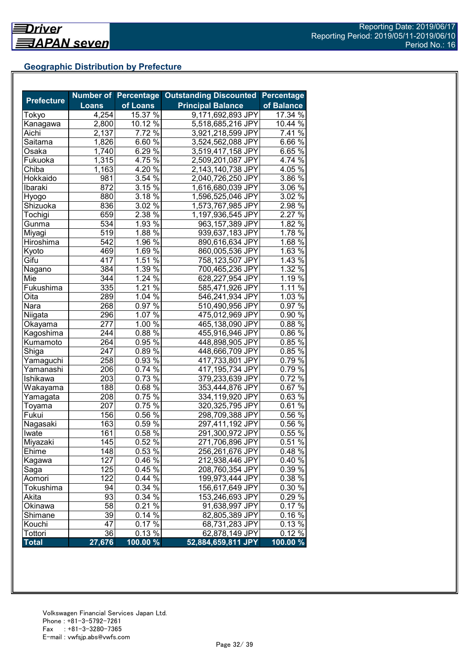## **Geographic Distribution by Prefecture**

| <b>Prefecture</b> |                  |                    | Number of Percentage Outstanding Discounted | <b>Percentage</b>   |
|-------------------|------------------|--------------------|---------------------------------------------|---------------------|
|                   | <b>Loans</b>     | of Loans           | <b>Principal Balance</b>                    | of Balance          |
| Tokyo             | 4,254            | 15.37 %            | 9,171,692,893 JPY                           | 17.34 %             |
| Kanagawa          | 2,800            | $10.12\%$          | 5,518,685,216 JPY                           | 10.44 %             |
| Aichi             | 2,137            | 7.72 %             | 3,921,218,599 JPY                           | 7.41 %              |
| Saitama           | 1,826            | $6.60\%$           | 3,524,562,088 JPY                           | $6.66\%$            |
| Osaka             | 1,740            | 6.29 $\sqrt{2}$    | 3,519,417,158 JPY                           | $6.65\%$            |
| Fukuoka           | 1,315            | 4.75%              | 2,509,201,087 JPY                           | 4.74 %              |
| Chiba             | 1,163            | $4.20\%$           | 2,143,140,738 JPY                           | $4.05\%$            |
| Hokkaido          | 981              | 3.54%              | 2,040,726,250 JPY                           | 3.86 %              |
| Ibaraki           | 872              | 3.15%              | 1,616,680,039 JPY                           | 3.06 %              |
| Hyogo             | 880              | $3.18\%$           | 1,596,525,046 JPY                           | 3.02%               |
| Shizuoka          | 836              | $3.02\%$           | 1,573,767,985 JPY                           | $2.98\%$            |
| Tochigi           | 659              | 2.38 %             | 1,197,936,545 JPY                           | 2.27 %              |
| Gunma             | 534              | 1.93%              | 963,157,389 JPY                             | 1.82%               |
| Miyagi            | 519              | 1.88 $\sqrt{8}$    | 939,637,183 JPY                             | 1.78 %              |
| Hiroshima         | 542              | $1.96\%$           | 890,616,634 JPY                             | 1.68 %              |
| Kyoto             | 469              | 1.69 $\sqrt{2}$    | 860,005,536 JPY                             | 1.63%               |
| Gifu              | $\overline{417}$ | 1.51%              | 758,123,507 JPY                             | 1.43%               |
| Nagano            | 384              | 1.39 $\frac{8}{6}$ | 700,465,236 JPY                             | $1.\overline{32\%}$ |
| Mie               | 344              | 1.24%              | 628,227,954 JPY                             | 1.19 %              |
| Fukushima         | 335              | $1.21\%$           | 585,471,926 JPY                             | 1.11%               |
| Oita              | 289              | 1.04%              | 546,241,934 JPY                             | 1.03%               |
| Nara              | 268              | 0.97%              | 510,490,956 JPY                             | 0.97%               |
| Niigata           | 296              | 1.07 %             | 475,012,969 JPY                             | 0.90%               |
| Okaya <u>ma</u>   | 277              | 1.00%              | 465,138,090 JPY                             | 0.88%               |
| Kagoshima         | 244              | $0.88\%$           | 455,916,946 JPY                             | 0.86 %              |
| Kumamoto          | 264              | $0.95\%$           | 448,898,905 JPY                             | 0.85%               |
| Shiga             | 247              | $0.89\%$           | 448,666,709 JPY                             | $0.85\%$            |
| Yamaguchi         | 258              | $0.93\%$           | 417,733,801 JPY                             | 0.79%               |
| Yamanashi         | 206              | $0.74\sqrt{26}$    | 417,195,734 JPY                             | $0.79\%$            |
| Ishikawa          | 203              | $0.73\,\sqrt{6}$   | 379,233,639 JPY                             | $0.72\%$            |
| Wakayama          | 188              | $0.68\sqrt{6}$     | 353,444,876 JPY                             | $0.67\%$            |
| Yamagata          | 208              | $0.75\%$           | 334,119,920 JPY                             | $0.63\%$            |
| Toyama            | 207              | $0.75\,\sqrt{6}$   | 320, 325, 795 JPY                           | $0.61\%$            |
| Fukui             | 156              | $0.56\%$           | 298,709,388 JPY                             | 0.56%               |
| Nagasaki          | 163              | 0.59%              | 297,411,192 JPY                             | 0.56%               |
| Iwate             | 161              | 0.58 %             | 291,300,972 JPY                             | 0.55%               |
| Miyazaki          | 145              | 0.52%              | 271,706,896 JPY                             | 0.51%               |
| Ehime             | 148              | 0.53 %             | 256,261,676 JPY                             | 0.48%               |
| Kagawa            | 127              | 0.46 %             | 212,938,446 JPY                             | 0.40%               |
| Saga              | 125              | 0.45 %             | 208,760,354 JPY                             | 0.39 %              |
| Aomori            | 122              | $0.44\%$           | 199,973,444 JPY                             | 0.38 %              |
| Tokushima         | 94               | 0.34%              | 156,617,649 JPY                             | 0.30 %              |
| Akita             | 93               | 0.34 %             | 153,246,693 JPY                             | 0.29 %              |
| Okinawa           | $\overline{58}$  | $0.21\%$           | 91,638,997 JPY                              | 0.17%               |
| Shimane           | 39               | $0.14\sqrt{26}$    | 82,805,389 JPY                              | 0.16%               |
| Kouchi            | 47               | $0.17\%$           | 68,731,283 JPY                              | 0.13%               |
| Tottori           | 36               | 0.13%              | 62,878,149 JPY                              | 0.12%               |
| <b>Total</b>      | 27,676           | 100.00 %           | 52,884,659,811 JPY                          | 100.00 %            |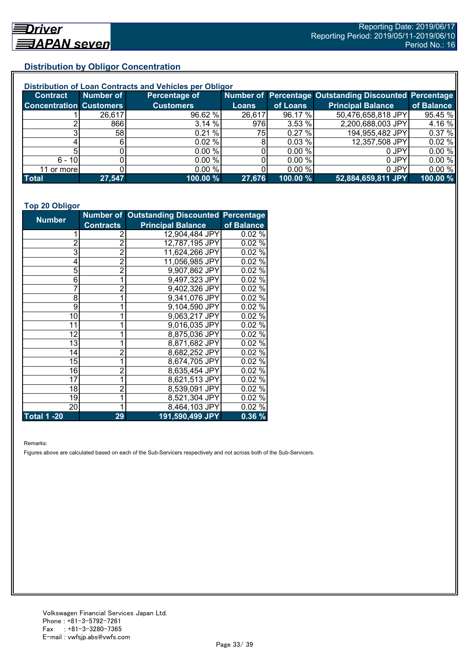## **Distribution by Obligor Concentration**

| Distribution of Loan Contracts and Vehicles per Obligor |           |                  |              |          |                                                        |            |  |
|---------------------------------------------------------|-----------|------------------|--------------|----------|--------------------------------------------------------|------------|--|
| <b>Contract</b>                                         | Number of | Percentage of    |              |          | Number of Percentage Outstanding Discounted Percentage |            |  |
| <b>Concentration Customers</b>                          |           | <b>Customers</b> | <b>Loans</b> | of Loans | <b>Principal Balance</b>                               | of Balance |  |
|                                                         | 26,617    | 96.62 %          | 26,617       | 96.17 %  | 50,476,658,818 JPY                                     | 95.45 %    |  |
|                                                         | 866       | 3.14 %           | 976          | 3.53 %   | 2,200,688,003 JPY                                      | 4.16 %     |  |
|                                                         | 58I       | 0.21%            | 75           | 0.27%    | 194,955,482 JPY                                        | 0.37%      |  |
|                                                         |           | $0.02 \%$        | 8            | 0.03%    | 12,357,508 JPY                                         | 0.02%      |  |
|                                                         |           | 0.00%            |              | 0.00 %   | 0 JPY                                                  | 0.00%      |  |
| $6 - 10$                                                |           | 0.00 %           |              | 0.00 %   | 0 JPY                                                  | 0.00%      |  |
| 11 or morel                                             |           | 0.00 %           |              | 0.00 %   | 0 JPY                                                  | 0.00%      |  |
| <b>Total</b>                                            | 27,547    | 100.00 %         | 27,676       | 100.00 % | 52,884,659,811 JPY                                     | 100.00 %   |  |

#### **Top 20 Obligor**

| <b>Number</b>      |                | Number of Outstanding Discounted Percentage |            |
|--------------------|----------------|---------------------------------------------|------------|
| <b>Contracts</b>   |                | <b>Principal Balance</b>                    | of Balance |
| 1                  | 2              | 12,904,484 JPY                              | 0.02%      |
| $\overline{2}$     | $\overline{2}$ | 12,787,195 JPY                              | 0.02%      |
| 3                  | $\bar{2}$      | 11,624,266 JPY                              | 0.02%      |
| 4                  | $\overline{2}$ | 11,056,985 JPY                              | 0.02%      |
| 5                  | $\overline{2}$ | 9,907,862 JPY                               | 0.02%      |
| 6                  | 1              | 9,497,323 JPY                               | 0.02%      |
| 7                  | $\overline{2}$ | 9,402,326 JPY                               | $0.02\%$   |
| 8                  | 1              | 9,341,076 JPY                               | 0.02%      |
| 9                  |                | 9,104,590 JPY                               | 0.02%      |
| 10                 |                | 9,063,217 JPY                               | 0.02%      |
| 11                 |                | 9,016,035 JPY                               | $0.02\%$   |
| 12                 |                | 8,875,036 JPY                               | $0.02\%$   |
| 13                 |                | 8,871,682 JPY                               | 0.02%      |
| 14                 | 2              | 8,682,252 JPY                               | 0.02%      |
| 15                 | 1              | 8,674,705 JPY                               | 0.02%      |
| 16                 | $\overline{2}$ | 8,635,454 JPY                               | 0.02%      |
| 17                 | 1              | 8,621,513 JPY                               | 0.02%      |
| 18                 | $\overline{2}$ | 8,539,091 JPY                               | 0.02%      |
| 19                 | 1              | 8,521,304 JPY                               | 0.02%      |
| 20                 | 1              | 8,464,103 JPY                               | 0.02%      |
| <b>Total 1 -20</b> | 29             | 191,590,499 JPY                             | 0.36%      |

Remarks:

Figures above are calculated based on each of the Sub-Servicers respectively and not across both of the Sub-Servicers.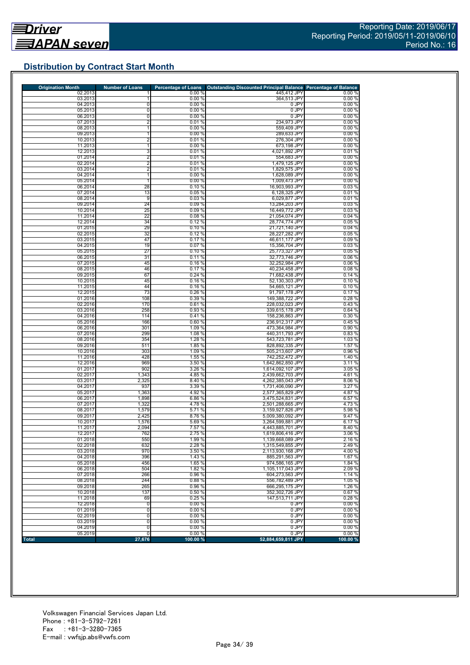# **Distribution by Contract Start Month**

| <b>Origination Month</b> | <b>Number of Loans</b> | <b>Percentage of Loans</b> | <b>Outstanding Discounted Principal Balance</b> | <b>Percentage of Balance</b> |
|--------------------------|------------------------|----------------------------|-------------------------------------------------|------------------------------|
| 02.2013<br>03.2013       |                        | 0.00%                      | 445,412 JPY<br>364.513 JPY                      | 0.00%                        |
| 04.2013                  | 0                      | 0.00%<br>0.00%             | 0 JPY                                           | 0.00%<br>0.00%               |
| 05.2013                  | 0                      | 0.00%                      | 0 JPY                                           | 0.00%                        |
| 06.2013                  | 0                      | 0.00%                      | 0 JPY                                           | 0.00%                        |
| 07.2013                  | 2                      | 0.01%                      | 234,973 JPY                                     | 0.00%                        |
| 08.2013                  | 1                      | 0.00%                      | 559,409 JPY                                     | 0.00%                        |
| 09.2013                  |                        | 0.00%                      | 289,633 JPY                                     | 0.00%                        |
| 10.2013                  | $\overline{2}$         | 0.01%                      | 276,304 JPY                                     | 0.00%                        |
| 11.2013<br>12.2013       | 1<br>3                 | 0.00%<br>0.01%             | 673,198 JPY<br>4,021,892 JPY                    | 0.00%<br>0.01%               |
| 01.2014                  | $\overline{2}$         | 0.01%                      | 554,683 JPY                                     | 0.00%                        |
| 02.2014                  | $\overline{2}$         | 0.01%                      | 1,479,125 JPY                                   | 0.00%                        |
| 03.2014                  | $\overline{2}$         | 0.01%                      | 1.829.575 JPY                                   | 0.00%                        |
| 04.2014                  | 1                      | 0.00%                      | 1,628,089 JPY                                   | 0.00%                        |
| 05.2014                  | $\mathbf{1}$           | 0.00%                      | 1,009,473 JPY                                   | 0.00%                        |
| 06.2014                  | 28                     | 0.10%                      | 16,903,993 JPY                                  | 0.03%                        |
| 07.2014<br>08.2014       | 13<br>9                | 0.05%<br>0.03%             | 6,128,325 JPY<br>6,029,877 JPY                  | 0.01%<br>0.01%               |
| 09.2014                  | 24                     | 0.09%                      | 13,284,203 JPY                                  | 0.03%                        |
| 10.2014                  | 25                     | 0.09%                      | 16,449,772 JPY                                  | 0.03%                        |
| 11.2014                  | 22                     | 0.08%                      | 21,054,074 JPY                                  | 0.04%                        |
| 12.2014                  | 34                     | 0.12%                      | 28,774,774 JPY                                  | 0.05%                        |
| 01.2015                  | 29                     | 0.10%                      | 21,721,140 JPY                                  | 0.04%                        |
| 02.2015                  | 32                     | 0.12%                      | 28,227,282 JPY                                  | 0.05%                        |
| 03.2015<br>04.2015       | 47                     | 0.17%<br>0.07%             | 46,611,177 JPY                                  | 0.09%                        |
| 05.2015                  | 19<br>27               | 0.10%                      | 15,356,704 JPY<br>25,773,327 JPY                | 0.03%<br>0.05%               |
| 06.2015                  | 31                     | 0.11%                      | 32,773,746 JPY                                  | 0.06%                        |
| 07.2015                  | 45                     | 0.16%                      | 32,252,984 JPY                                  | 0.06%                        |
| 08.2015                  | 46                     | 0.17%                      | 40,234,458 JPY                                  | 0.08%                        |
| 09.2015                  | 67                     | 0.24%                      | 71,682,438 JPY                                  | 0.14%                        |
| 10.2015                  | 45                     | 0.16%                      | 52,130,303 JPY                                  | 0.10%                        |
| 11.2015<br>12.2015       | 44<br>73               | 0.16%<br>0.26 %            | 54,665,121 JPY                                  | 0.10%                        |
| 01.2016                  | 108                    | 0.39 %                     | 91,797,178 JPY<br>149,388,722 JPY               | 0.17%<br>0.28%               |
| 02.2016                  | 170                    | 0.61%                      | 228,032,023 JPY                                 | 0.43%                        |
| 03.2016                  | 258                    | 0.93%                      | 339,615,178 JPY                                 | 0.64%                        |
| 04.2016                  | 114                    | 0.41%                      | 158,236,863 JPY                                 | 0.30%                        |
| 05.2016                  | 166                    | 0.60%                      | 236,912,317 JPY                                 | 0.45%                        |
| 06.2016                  | 301                    | 1.09 %                     | 473,364,984 JPY                                 | 0.90%                        |
| 07.2016<br>08.2016       | 299<br>354             | 1.08 %<br>1.28 %           | 440,311,793 JPY<br>543,723,781 JPY              | 0.83%<br>1.03 %              |
| 09.2016                  | 511                    | 1.85 %                     | 828,892,335 JPY                                 | 1.57 %                       |
| 10.2016                  | 303                    | 1.09 %                     | 505,213,607 JPY                                 | 0.96 %                       |
| 11.2016                  | 428                    | 1.55 %                     | 742,252,472 JPY                                 | 1.40 %                       |
| 12.2016                  | 969                    | 3.50 %                     | 1,642,862,850 JPY                               | 3.11%                        |
| 01.2017                  | 902                    | 3.26 %                     | 1,614,092,107 JPY                               | 3.05 %                       |
| 02.2017                  | 1,343                  | 4.85 %                     | 2,439,662,703 JPY                               | 4.61%                        |
| 03.2017<br>04.2017       | 2,325<br>937           | 8.40 %<br>3.39 %           | 4,262,385,043 JPY<br>1,731,406,090 JPY          | 8.06%<br>3.27 %              |
| 05.2017                  | 1,363                  | 4.92 %                     | 2,577,365,829 JPY                               | 4.87%                        |
| 06.2017                  | 1,898                  | 6.86 %                     | 3,475,524,831 JPY                               | 6.57 %                       |
| 07.2017                  | 1,322                  | 4.78%                      | 2,501,288,665 JPY                               | 4.73%                        |
| 08.2017                  | 1,579                  | 5.71 %                     | 3,159,927,826 JPY                               | 5.98 %                       |
| 09.2017                  | 2,425                  | 8.76 %                     | 5,009,380,092 JPY                               | 9.47 %                       |
| 10.2017                  | 1,576<br>2,094         | 5.69 %                     | 3,264,599,881 JPY                               | 6.17%                        |
| 11.2017<br>12.2017       | 762                    | 7.57 %<br>2.75 %           | 4,443,885,701 JPY<br>1,619,806,416 JPY          | 8.40 %<br>3.06%              |
| 01.2018                  | 550                    | 1.99 %                     | 1,139,668,089 JPY                               | 2.16 %                       |
| 02.2018                  | 632                    | 2.28 %                     | 1.315.549.855 JPY                               | 2.49%                        |
| 03.2018                  | 970                    | 3.50 %                     | 2,113,930,168 JPY                               | 4.00 %                       |
| 04.2018                  | 396                    | 1.43 %                     | 885,291,563 JPY                                 | 1.67%                        |
| 05.2018                  | 456                    | 1.65 %                     | 974,586,165 JPY                                 | 1.84 %                       |
| 06.2018<br>07.2018       | 504<br>266             | 1.82 %<br>0.96%            | 1.105.117.043 JPY<br>604.273.563 JPY            | 2.09%<br>1.14 %              |
| 08.2018                  | 244                    | 0.88%                      | 556.782.489 JPY                                 | 1.05 %                       |
| 09.2018                  | 265                    | 0.96%                      | 666,295,175 JPY                                 | 1.26 %                       |
| 10.2018                  | 137                    | 0.50%                      | 352,302,726 JPY                                 | 0.67%                        |
| 11.2018                  | 69                     | 0.25 %                     | 147,513,711 JPY                                 | 0.28%                        |
| 12.2018                  | O                      | 0.00%                      | 0 JPY                                           | 0.00%                        |
| 01.2019                  | $\overline{0}$         | 0.00%                      | 0 JPY                                           | 0.00%                        |
| 02.2019                  | 0                      | 0.00%                      | 0 JPY                                           | 0.00%                        |
| 03.2019<br>04.2019       | 0<br>0                 | 0.00 %<br>0.00 %           | 0 JPY<br>0 JPY                                  | 0.00%<br>0.00%               |
| 05.2019                  | 0                      | 0.00%                      | 0 JPY                                           | 0.00 %                       |
| <b>Total</b>             | 27,676                 | 100.00 %                   | 52,884,659,811 JPY                              | 100.00 %                     |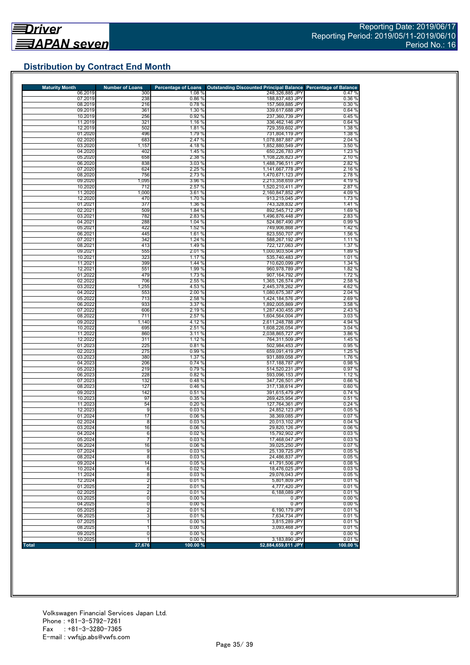# **Distribution by Contract End Month**

| <b>Maturity Month</b> | <b>Number of Loans</b> | <b>Percentage of Loans</b> | <b>Outstanding Discounted Principal Balance Percentage of Balance</b> |                  |
|-----------------------|------------------------|----------------------------|-----------------------------------------------------------------------|------------------|
| 06.2019               | 300                    | 1.08%                      | 248,326,885 JPY                                                       | 0.47%            |
| 07.2019<br>08.2019    | 238<br>216             | 0.86%<br>0.78 %            | 188,837,483 JPY<br>157,569,885 JPY                                    | 0.36%<br>0.30%   |
| 09.2019               | 361                    | 1.30 %                     | 339,617,688 JPY                                                       | 0.64%            |
| 10.2019               | 256                    | 0.92 %                     | 237,360,739 JPY                                                       | 0.45 %           |
| 11.2019               | 321                    | 1.16 %                     | 336,462,146 JPY                                                       | 0.64%            |
| 12.2019               | 502                    | 1.81 %                     | 729,359,602 JPY                                                       | 1.38 %           |
| 01.2020               | 496                    | 1.79 %                     | 731,804,119 JPY                                                       | 1.38 %           |
| 02.2020<br>03.2020    | 683<br>1,157           | 2.47 %<br>4.18%            | 1,078,887,887 JPY<br>1,852,880,549 JPY                                | 2.04 %<br>3.50 % |
| 04.2020               | 402                    | 1.45 %                     | 650,226,783 JPY                                                       | 1.23 %           |
| 05.2020               | 658                    | 2.38 %                     | 1,108,226,823 JPY                                                     | 2.10 %           |
| 06.2020               | 838                    | 3.03%                      | 1,488,796,511 JPY                                                     | 2.82 %           |
| 07.2020               | 624                    | 2.25%                      | 1,141,667,778 JPY                                                     | 2.16 %           |
| 08.2020               | 756                    | 2.73 %                     | 1,470,671,123 JPY                                                     | 2.78%            |
| 09.2020<br>10.2020    | 1,095<br>712           | 3.96 %<br>2.57 %           | 2,213,358,659 JPY<br>1,520,210,411 JPY                                | 4.19%<br>2.87 %  |
| 11.2020               | 1,000                  | 3.61 %                     | 2,160,847,852 JPY                                                     | 4.09%            |
| 12.2020               | 470                    | 1.70 %                     | 913,215,045 JPY                                                       | 1.73 %           |
| 01.2021               | 377                    | 1.36 %                     | 743,328,832 JPY                                                       | 1.41%            |
| 02.2021               | 509                    | 1.84 %                     | 892,545,712 JPY                                                       | 1.69%            |
| 03.2021               | 782                    | 2.83 %                     | 1,496,876,448 JPY                                                     | 2.83%            |
| 04.2021<br>05.2021    | 288<br>422             | 1.04 %<br>1.52 %           | 524,867,490 JPY<br>749,906,868 JPY                                    | 0.99%<br>1.42 %  |
| 06.2021               | 445                    | 1.61 %                     | 823,550,707 JPY                                                       | 1.56 %           |
| 07.2021               | 342                    | 1.24 %                     | 588,267,192 JPY                                                       | 1.11 %           |
| 08.2021               | 413                    | 1.49 %                     | 722,127,063 JPY                                                       | 1.37 %           |
| 09.2021               | 555                    | 2.01 %                     | 1,000,903,504 JPY                                                     | 1.89%            |
| 10.2021               | 323                    | 1.17 %                     | 535,740,483 JPY                                                       | 1.01%            |
| 11.2021<br>12.2021    | 399<br>551             | 1.44 %<br>1.99 %           | 710,620,099 JPY<br>960,978,789 JPY                                    | 1.34 %<br>1.82 % |
| 01.2022               | 479                    | 1.73 %                     | 907,164,792 JPY                                                       | 1.72 %           |
| 02.2022               | 706                    | 2.55 %                     | 1,365,126,574 JPY                                                     | 2.58 %           |
| 03.2022               | 1,255                  | 4.53 %                     | 2,445,378,262 JPY                                                     | 4.62%            |
| 04.2022               | 553                    | 2.00%                      | 1,080,675,387 JPY                                                     | 2.04%            |
| 05.2022               | 713                    | 2.58 %                     | 1,424,184,576 JPY                                                     | 2.69%            |
| 06.2022<br>07.2022    | 933<br>606             | 3.37 %<br>2.19 %           | 1,892,005,869 JPY<br>1,287,430,455 JPY                                | 3.58 %<br>2.43 % |
| 08.2022               | 711                    | 2.57 %                     | 1,604,564,004 JPY                                                     | 3.03%            |
| 09.2022               | 1,140                  | 4.12 %                     | 2,611,248,788 JPY                                                     | 4.94 %           |
| 10.2022               | 695                    | 2.51%                      | 1,608,226,054 JPY                                                     | 3.04%            |
| 11.2022               | 860                    | 3.11 %                     | 2,038,865,727 JPY                                                     | 3.86 %           |
| 12.2022               | 311                    | 1.12 %                     | 764,311,509 JPY                                                       | 1.45 %           |
| 01.2023<br>02.2023    | 225<br>275             | 0.81%<br>0.99%             | 502,984,453 JPY<br>659,091,419 JPY                                    | 0.95%<br>1.25 %  |
| 03.2023               | 380                    | 1.37 %                     | 931,889,058 JPY                                                       | 1.76 %           |
| 04.2023               | 206                    | 0.74%                      | 517,188,787 JPY                                                       | 0.98%            |
| 05.2023               | 219                    | 0.79%                      | 514,520,231 JPY                                                       | 0.97%            |
| 06.2023               | 228                    | 0.82%                      | 593,096,153 JPY                                                       | 1.12 %           |
| 07.2023               | 132                    | 0.48%                      | 347,726,501 JPY                                                       | 0.66%            |
| 08.2023<br>09.2023    | 127<br>142             | 0.46%<br>0.51%             | 317,138,614 JPY<br>391,615,479 JPY                                    | 0.60%<br>0.74%   |
| 10.2023               | 97                     | 0.35%                      | 269,425,954 JPY                                                       | 0.51%            |
| 11.2023               | 54                     | 0.20%                      | 127,764,361 JPY                                                       | 0.24%            |
| 12.2023               | 9                      | 0.03%                      | 24,852,123 JPY                                                        | 0.05 %           |
| 01.2024               | 17                     | 0.06 %                     | 38,369,085 JPY                                                        | 0.07%            |
| 02.2024               | 8                      | 0.03%<br>0.06%             | 20,013,102 JPY                                                        | 0.04%            |
| 03.2024<br>04.2024    | 16<br>6                | 0.02%                      | 29,820,126 JPY<br>15,792,902 JPY                                      | 0.06%<br>0.03%   |
| 05.2024               | 7                      | 0.03%                      | 17,468,047 JPY                                                        | 0.03%            |
| 06.2024               | 16                     | 0.06%                      | 39.025.250 JPY                                                        | 0.07%            |
| 07.2024               | 9                      | 0.03%                      | 25,139,725 JPY                                                        | 0.05%            |
| 08.2024               | 8                      | 0.03%                      | 24,486,837 JPY                                                        | 0.05%            |
| 09.2024<br>10.2024    | 14                     | 0.05%                      | 41,791,506 JPY                                                        | 0.08%            |
| 11.2024               | 6<br>$\overline{8}$    | 0.02%<br>0.03%             | 18,476,025 JPY<br>29,076,043 JPY                                      | 0.03%<br>0.05%   |
| 12.2024               | $\overline{2}$         | 0.01%                      | 5,801,809 JPY                                                         | 0.01%            |
| 01.2025               | $\overline{2}$         | 0.01%                      | 4.777.420 JPY                                                         | 0.01%            |
| 02.2025               | $\overline{2}$         | 0.01%                      | 6,188,089 JPY                                                         | 0.01%            |
| 03.2025               | $\overline{0}$         | 0.00%                      | 0 JPY                                                                 | 0.00%            |
| 04.2025               | 0                      | 0.00%                      | 0 JPY                                                                 | 0.00%            |
| 05.2025               | 2<br>3                 | 0.01%<br>0.01%             | 6,190,179 JPY<br>7,634,734 JPY                                        | 0.01%<br>0.01%   |
| 06.2025<br>07.2025    | 1                      | 0.00%                      | 3,815,289 JPY                                                         | 0.01%            |
| 08.2025               | 1                      | 0.00%                      | 3,093,468 JPY                                                         | 0.01%            |
| 09.2025               | 0                      | 0.00%                      | 0 JPY                                                                 | 0.00%            |
| 10.2025               | 1                      | 0.00%                      | 3,183,890 JPY                                                         | 0.01%            |
| Total                 | 27,676                 | 100.00 %                   | 52,884,659,811 JPY                                                    | 100.00 %         |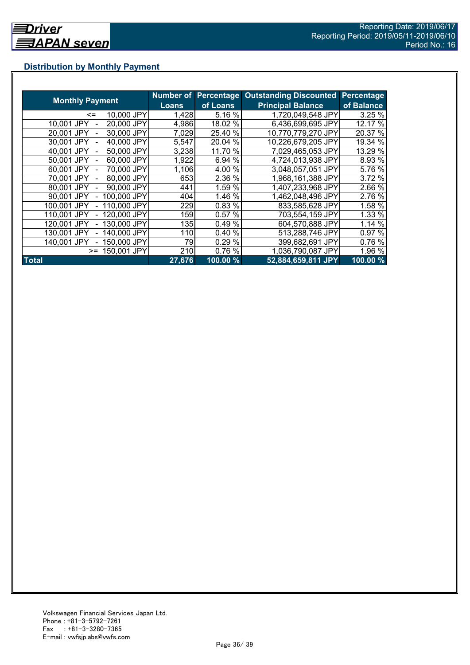# **Distribution by Monthly Payment**

|                            | Number of    | <b>Percentage</b> | <b>Outstanding Discounted</b> | <b>Percentage</b> |
|----------------------------|--------------|-------------------|-------------------------------|-------------------|
| <b>Monthly Payment</b>     | <b>Loans</b> | of Loans          | <b>Principal Balance</b>      | of Balance        |
| 10,000 JPY<br><=           | 1,428        | 5.16 %            | 1,720,049,548 JPY             | 3.25%             |
| 20,000 JPY<br>10.001 JPY   | 4,986        | 18.02 %           | 6,436,699,695 JPY             | 12.17 %           |
| 30,000 JPY<br>20.001 JPY   | 7,029        | 25.40 %           | 10,770,779,270 JPY            | 20.37 %           |
| 40,000 JPY<br>30,001 JPY   | 5,547        | 20.04 %           | 10,226,679,205 JPY            | 19.34 %           |
| 50,000 JPY<br>40.001 JPY   | 3,238        | 11.70 %           | 7,029,465,053 JPY             | 13.29 %           |
| 60,000 JPY<br>50,001 JPY   | 1,922        | 6.94 %            | 4.724,013,938 JPY             | 8.93 %            |
| 70,000 JPY<br>60.001 JPY   | 1,106        | 4.00 %            | 3,048,057,051 JPY             | 5.76 %            |
| 80,000 JPY<br>70.001 JPY   | 653          | 2.36 %            | 1,968,161,388 JPY             | 3.72 %            |
| 90,000 JPY<br>80.001 JPY   | 441          | 1.59 %            | 1.407,233,968 JPY             | 2.66 %            |
| 100,000 JPY<br>90.001 JPY  | 404          | 1.46 %            | 1,462,048,496 JPY             | 2.76 %            |
| 110,000 JPY<br>100,001 JPY | 229          | 0.83%             | 833,585,628 JPY               | 1.58 %            |
| 120,000 JPY<br>110.001 JPY | 159          | 0.57%             | 703.554,159 JPY               | 1.33 %            |
| 130,000 JPY<br>120.001 JPY | 135          | 0.49%             | 604,570,888 JPY               | 1.14 %            |
| 140,000 JPY<br>130.001 JPY | 110          | 0.40%             | 513,288,746 JPY               | 0.97 %            |
| 150,000 JPY<br>140.001 JPY | 79           | 0.29 %            | 399,682,691 JPY               | 0.76 %            |
| 150,001 JPY<br>$>=$        | 210          | 0.76%             | 1,036,790,087 JPY             | 1.96 %            |
| <b>Total</b>               | 27,676       | 100.00 %          | 52,884,659,811 JPY            | $100.00\%$        |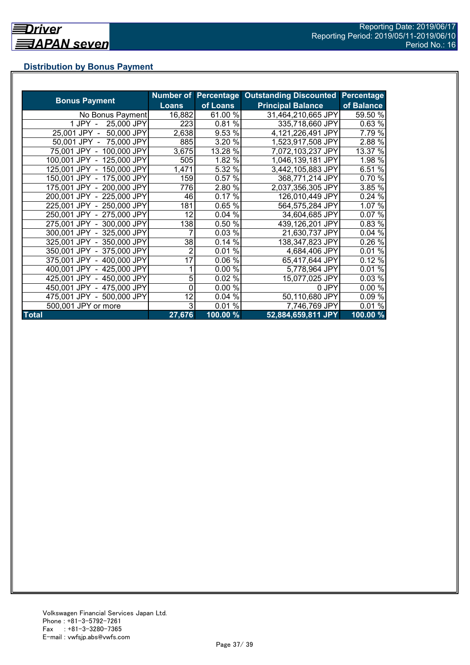# **Distribution by Bonus Payment**

|                            |                |          | Number of Percentage Outstanding Discounted | Percentage |
|----------------------------|----------------|----------|---------------------------------------------|------------|
| <b>Bonus Payment</b>       | <b>Loans</b>   | of Loans | <b>Principal Balance</b>                    | of Balance |
| No Bonus Payment           | 16,882         | 61.00 %  | 31,464,210,665 JPY                          | 59.50 %    |
| 25,000 JPY<br>1 JPY -      | 223            | 0.81%    | 335,718,660 JPY                             | 0.63%      |
| 25,001 JPY -<br>50,000 JPY | 2,638          | 9.53 %   | 4,121,226,491 JPY                           | 7.79 %     |
| 50,001 JPY - 75,000 JPY    | 885            | 3.20 %   | 1,523,917,508 JPY                           | 2.88 %     |
| 75,001 JPY - 100,000 JPY   | 3,675          | 13.28 %  | 7,072,103,237 JPY                           | 13.37 %    |
| 100,001 JPY - 125,000 JPY  | 505            | 1.82 %   | 1,046,139,181 JPY                           | 1.98 %     |
| 125,001 JPY - 150,000 JPY  | 1,471          | 5.32 %   | 3,442,105,883 JPY                           | 6.51 %     |
| 150,001 JPY - 175,000 JPY  | 159            | 0.57 %   | 368,771,214 JPY                             | 0.70 %     |
| 175,001 JPY - 200,000 JPY  | 776            | 2.80 %   | 2,037,356,305 JPY                           | 3.85 %     |
| 200,001 JPY - 225,000 JPY  | 46             | 0.17%    | 126,010,449 JPY                             | 0.24%      |
| 225,001 JPY - 250,000 JPY  | 181            | 0.65 %   | 564,575,284 JPY                             | 1.07 %     |
| 250,001 JPY - 275,000 JPY  | 12             | 0.04%    | 34,604,685 JPY                              | 0.07%      |
| 275,001 JPY - 300,000 JPY  | 138            | 0.50 %   | 439,126,201 JPY                             | 0.83 %     |
| 300,001 JPY - 325,000 JPY  |                | 0.03%    | 21,630,737 JPY                              | 0.04%      |
| 325,001 JPY - 350,000 JPY  | 38             | 0.14%    | 138,347,823 JPY                             | 0.26 %     |
| 350,001 JPY - 375,000 JPY  | $\overline{2}$ | 0.01%    | 4,684,406 JPY                               | 0.01%      |
| 375,001 JPY - 400,000 JPY  | 17             | 0.06%    | 65,417,644 JPY                              | 0.12%      |
| 400,001 JPY - 425,000 JPY  |                | 0.00 %   | 5,778,964 JPY                               | 0.01%      |
| 425,001 JPY - 450,000 JPY  | 5              | 0.02%    | 15,077,025 JPY                              | 0.03%      |
| 450,001 JPY - 475,000 JPY  | 0              | 0.00 %   | 0 JPY                                       | 0.00%      |
| 475,001 JPY - 500,000 JPY  | 12             | 0.04%    | 50,110,680 JPY                              | 0.09 %     |
| 500,001 JPY or more        | 3              | 0.01%    | 7,746,769 JPY                               | 0.01%      |
| <b>Total</b>               | 27,676         | 100.00 % | 52,884,659,811 JPY                          | 100.00 %   |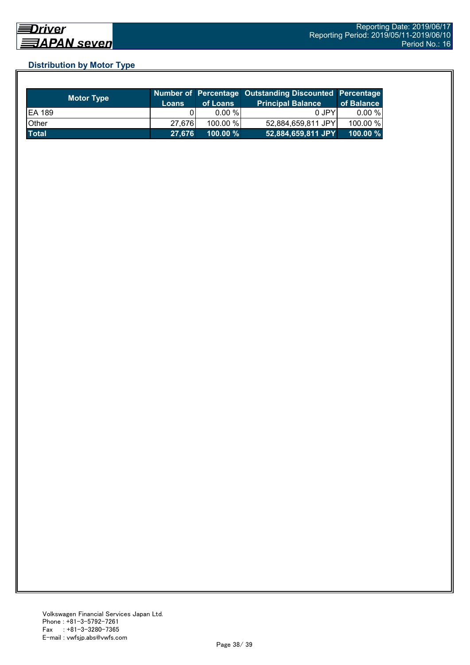# **Distribution by Motor Type**

| <b>Motor Type</b> | <b>Loans</b> | of Loans    | Number of Percentage Outstanding Discounted Percentage<br><b>Principal Balance</b> | of Balance  |
|-------------------|--------------|-------------|------------------------------------------------------------------------------------|-------------|
| <b>EA 189</b>     |              | $0.00 \%$   | 0 JPY                                                                              | $0.00 \%$   |
| Other             | 27.676       | 100.00 %    | 52,884,659,811 JPY                                                                 | 100.00 %    |
| <b>Total</b>      | 27,676       | $100.00 \%$ | 52,884,659,811 JPY                                                                 | $100.00 \%$ |